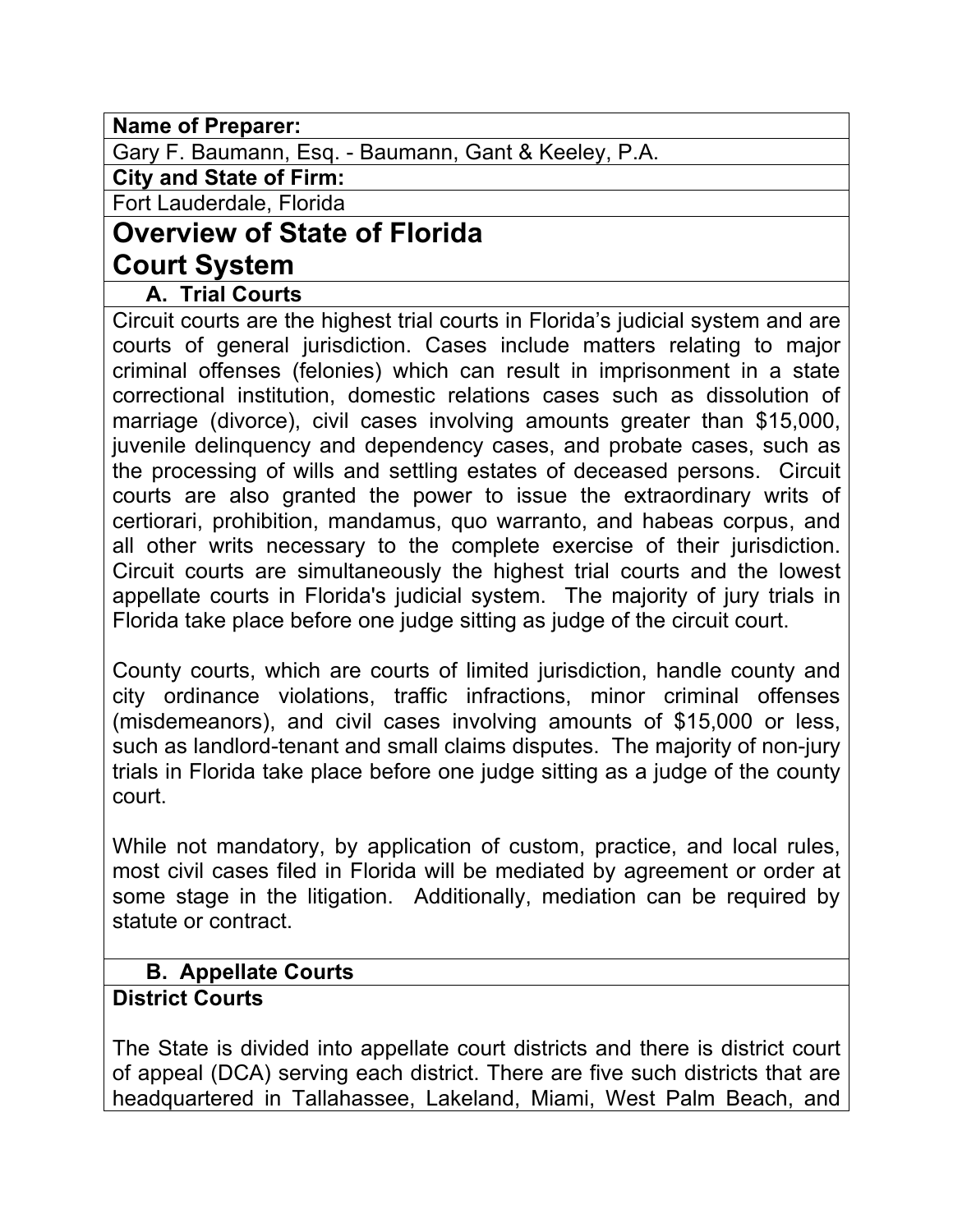#### **Name of Preparer:**

Gary F. Baumann, Esq. - Baumann, Gant & Keeley, P.A.

**City and State of Firm:**

Fort Lauderdale, Florida

# **Overview of State of Florida Court System**

# **A. Trial Courts**

Circuit courts are the highest trial courts in Florida's judicial system and are courts of general jurisdiction. Cases include matters relating to major criminal offenses (felonies) which can result in imprisonment in a state correctional institution, domestic relations cases such as dissolution of marriage (divorce), civil cases involving amounts greater than \$15,000, juvenile delinquency and dependency cases, and probate cases, such as the processing of wills and settling estates of deceased persons. Circuit courts are also granted the power to issue the extraordinary writs of certiorari, prohibition, mandamus, quo warranto, and habeas corpus, and all other writs necessary to the complete exercise of their jurisdiction. Circuit courts are simultaneously the highest trial courts and the lowest appellate courts in Florida's judicial system. The majority of jury trials in Florida take place before one judge sitting as judge of the circuit court.

County courts, which are courts of limited jurisdiction, handle county and city ordinance violations, traffic infractions, minor criminal offenses (misdemeanors), and civil cases involving amounts of \$15,000 or less, such as landlord-tenant and small claims disputes. The majority of non-jury trials in Florida take place before one judge sitting as a judge of the county court.

While not mandatory, by application of custom, practice, and local rules, most civil cases filed in Florida will be mediated by agreement or order at some stage in the litigation. Additionally, mediation can be required by statute or contract.

# **B. Appellate Courts**

# **District Courts**

The State is divided into appellate court districts and there is district court of appeal (DCA) serving each district. There are five such districts that are headquartered in Tallahassee, Lakeland, Miami, West Palm Beach, and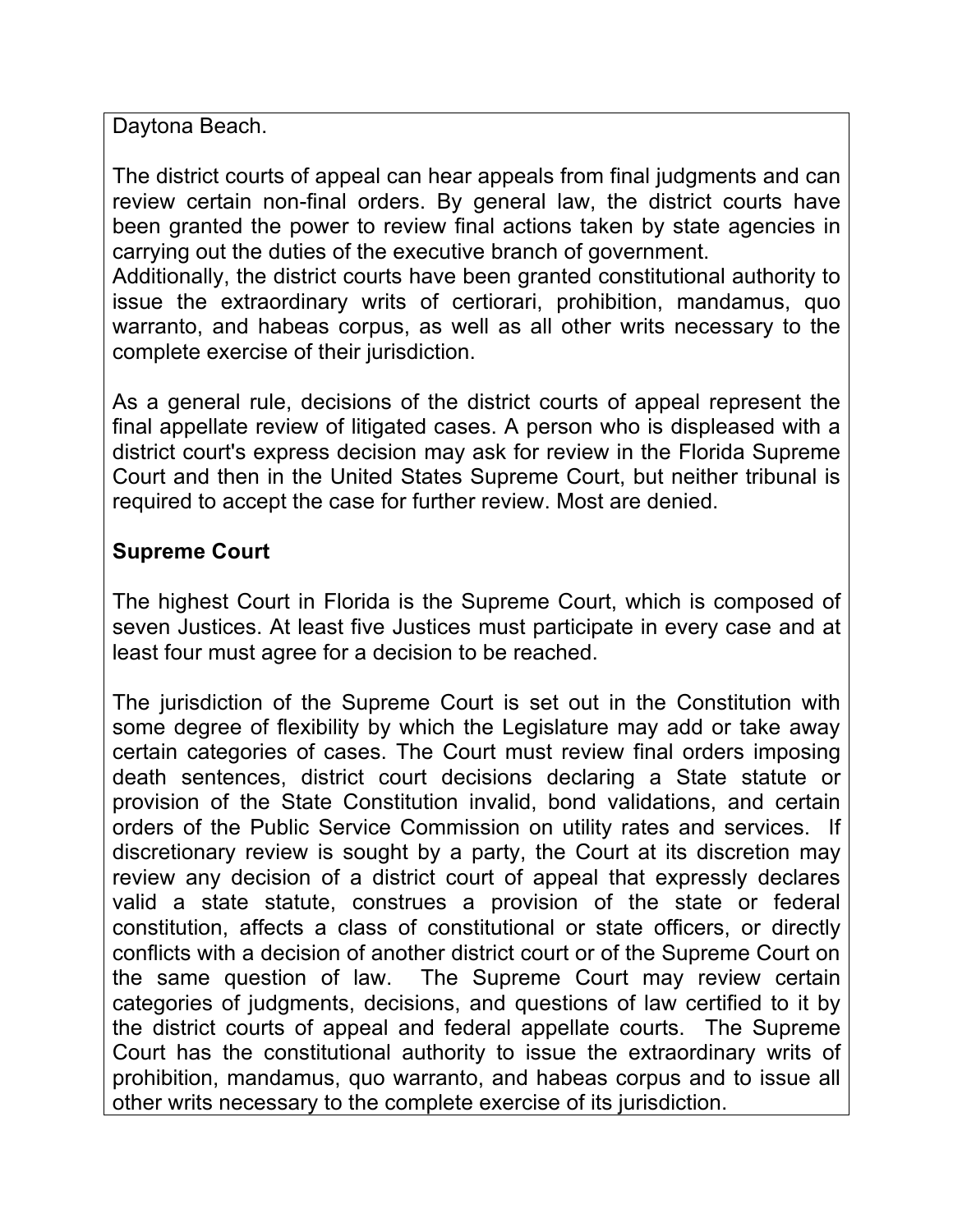Daytona Beach.

The district courts of appeal can hear appeals from final judgments and can review certain non-final orders. By general law, the district courts have been granted the power to review final actions taken by state agencies in carrying out the duties of the executive branch of government. Additionally, the district courts have been granted constitutional authority to issue the extraordinary writs of certiorari, prohibition, mandamus, quo warranto, and habeas corpus, as well as all other writs necessary to the complete exercise of their jurisdiction.

As a general rule, decisions of the district courts of appeal represent the final appellate review of litigated cases. A person who is displeased with a district court's express decision may ask for review in the Florida Supreme Court and then in the United States Supreme Court, but neither tribunal is required to accept the case for further review. Most are denied.

### **Supreme Court**

The highest Court in Florida is the Supreme Court, which is composed of seven Justices. At least five Justices must participate in every case and at least four must agree for a decision to be reached.

The jurisdiction of the Supreme Court is set out in the Constitution with some degree of flexibility by which the Legislature may add or take away certain categories of cases. The Court must review final orders imposing death sentences, district court decisions declaring a State statute or provision of the State Constitution invalid, bond validations, and certain orders of the Public Service Commission on utility rates and services. If discretionary review is sought by a party, the Court at its discretion may review any decision of a district court of appeal that expressly declares valid a state statute, construes a provision of the state or federal constitution, affects a class of constitutional or state officers, or directly conflicts with a decision of another district court or of the Supreme Court on the same question of law. The Supreme Court may review certain categories of judgments, decisions, and questions of law certified to it by the district courts of appeal and federal appellate courts. The Supreme Court has the constitutional authority to issue the extraordinary writs of prohibition, mandamus, quo warranto, and habeas corpus and to issue all other writs necessary to the complete exercise of its jurisdiction.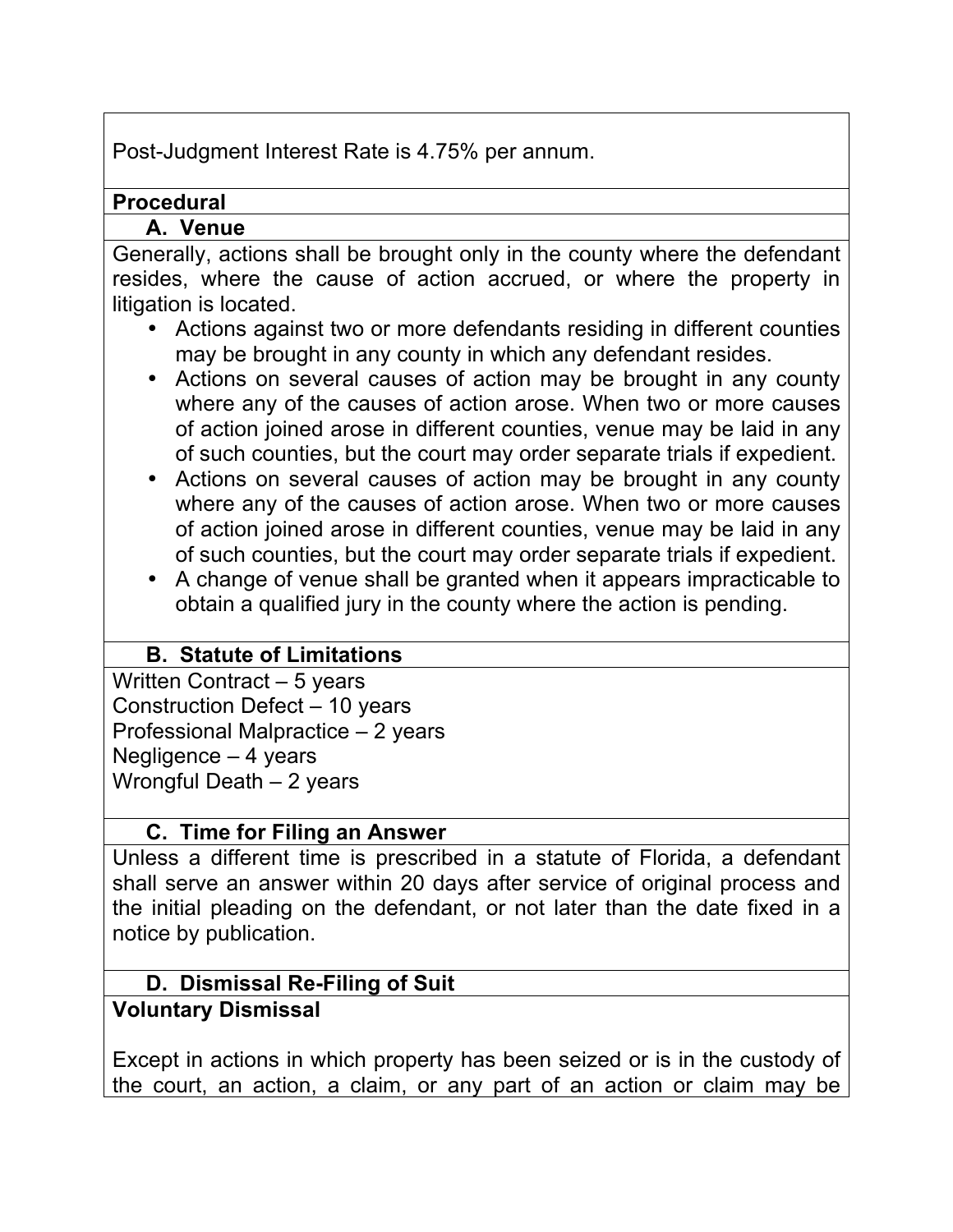Post-Judgment Interest Rate is 4.75% per annum.

# **Procedural**

#### **A. Venue**

Generally, actions shall be brought only in the county where the defendant resides, where the cause of action accrued, or where the property in litigation is located.

- Actions against two or more defendants residing in different counties may be brought in any county in which any defendant resides.
- Actions on several causes of action may be brought in any county where any of the causes of action arose. When two or more causes of action joined arose in different counties, venue may be laid in any of such counties, but the court may order separate trials if expedient.
- Actions on several causes of action may be brought in any county where any of the causes of action arose. When two or more causes of action joined arose in different counties, venue may be laid in any of such counties, but the court may order separate trials if expedient.
- A change of venue shall be granted when it appears impracticable to obtain a qualified jury in the county where the action is pending.

# **B. Statute of Limitations**

Written Contract – 5 years Construction Defect – 10 years Professional Malpractice – 2 years Negligence – 4 years Wrongful Death – 2 years

# **C. Time for Filing an Answer**

Unless a different time is prescribed in a statute of Florida, a defendant shall serve an answer within 20 days after service of original process and the initial pleading on the defendant, or not later than the date fixed in a notice by publication.

#### **D. Dismissal Re-Filing of Suit Voluntary Dismissal**

Except in actions in which property has been seized or is in the custody of the court, an action, a claim, or any part of an action or claim may be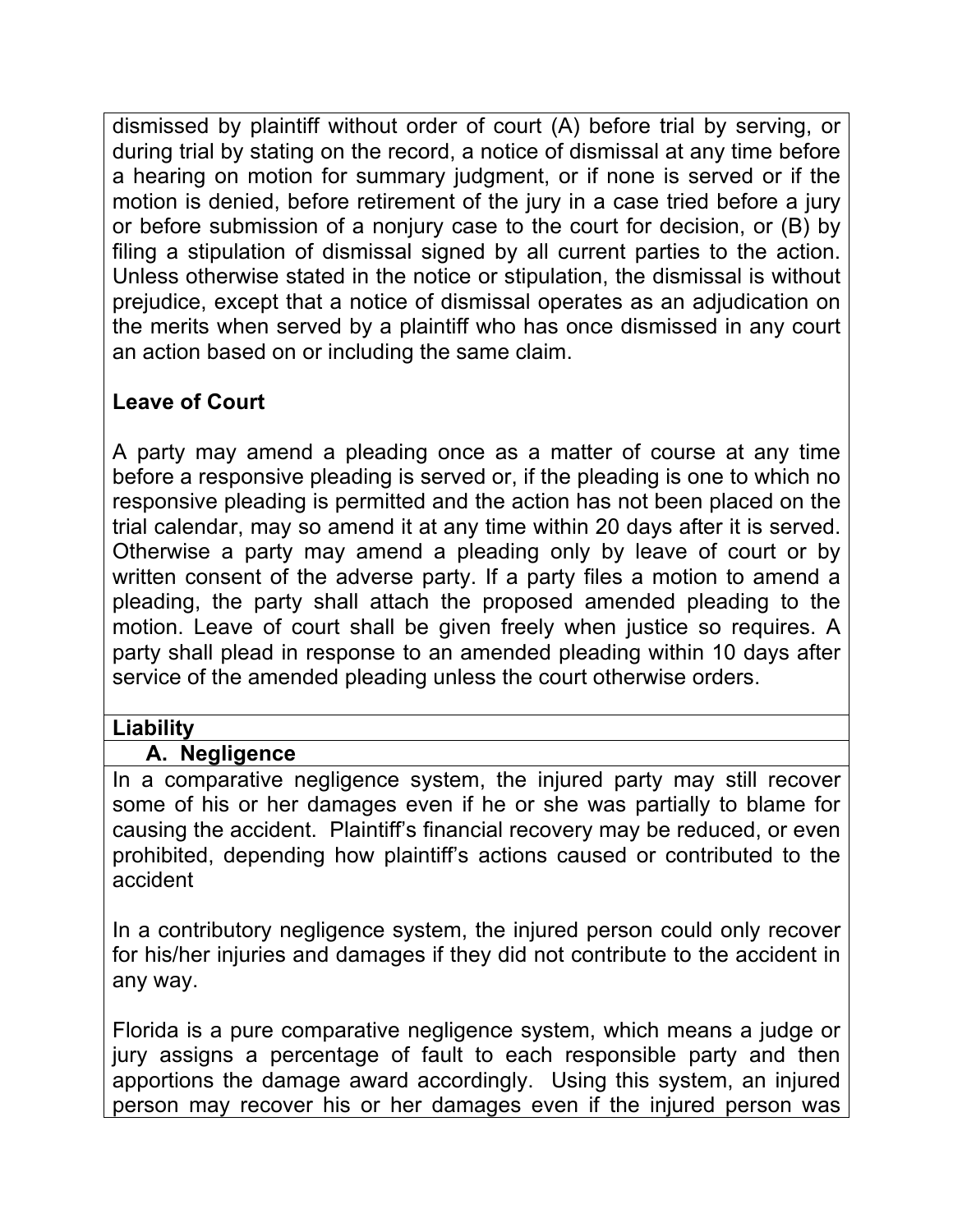dismissed by plaintiff without order of court (A) before trial by serving, or during trial by stating on the record, a notice of dismissal at any time before a hearing on motion for summary judgment, or if none is served or if the motion is denied, before retirement of the jury in a case tried before a jury or before submission of a nonjury case to the court for decision, or (B) by filing a stipulation of dismissal signed by all current parties to the action. Unless otherwise stated in the notice or stipulation, the dismissal is without prejudice, except that a notice of dismissal operates as an adjudication on the merits when served by a plaintiff who has once dismissed in any court an action based on or including the same claim.

# **Leave of Court**

A party may amend a pleading once as a matter of course at any time before a responsive pleading is served or, if the pleading is one to which no responsive pleading is permitted and the action has not been placed on the trial calendar, may so amend it at any time within 20 days after it is served. Otherwise a party may amend a pleading only by leave of court or by written consent of the adverse party. If a party files a motion to amend a pleading, the party shall attach the proposed amended pleading to the motion. Leave of court shall be given freely when justice so requires. A party shall plead in response to an amended pleading within 10 days after service of the amended pleading unless the court otherwise orders.

#### **Liability**

#### **A. Negligence**

In a comparative negligence system, the injured party may still recover some of his or her damages even if he or she was partially to blame for causing the accident. Plaintiff's financial recovery may be reduced, or even prohibited, depending how plaintiff's actions caused or contributed to the accident

In a contributory negligence system, the injured person could only recover for his/her injuries and damages if they did not contribute to the accident in any way.

Florida is a pure comparative negligence system, which means a judge or jury assigns a percentage of fault to each responsible party and then apportions the damage award accordingly. Using this system, an injured person may recover his or her damages even if the injured person was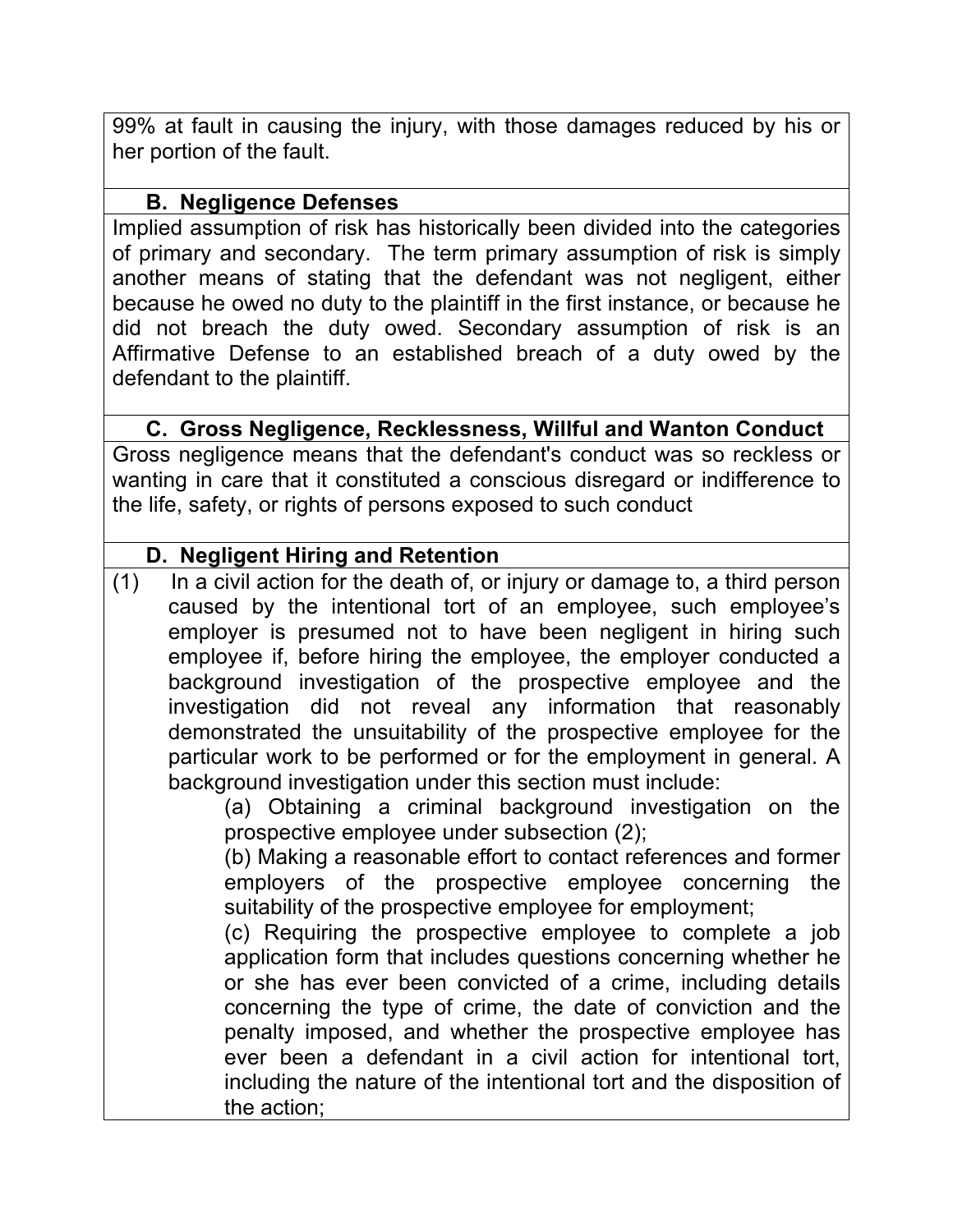99% at fault in causing the injury, with those damages reduced by his or her portion of the fault.

#### **B. Negligence Defenses**

Implied assumption of risk has historically been divided into the categories of primary and secondary. The term primary assumption of risk is simply another means of stating that the defendant was not negligent, either because he owed no duty to the plaintiff in the first instance, or because he did not breach the duty owed. Secondary assumption of risk is an Affirmative Defense to an established breach of a duty owed by the defendant to the plaintiff.

### **C. Gross Negligence, Recklessness, Willful and Wanton Conduct**

Gross negligence means that the defendant's conduct was so reckless or wanting in care that it constituted a conscious disregard or indifference to the life, safety, or rights of persons exposed to such conduct

#### **D. Negligent Hiring and Retention**

(1) In a civil action for the death of, or injury or damage to, a third person caused by the intentional tort of an employee, such employee's employer is presumed not to have been negligent in hiring such employee if, before hiring the employee, the employer conducted a background investigation of the prospective employee and the investigation did not reveal any information that reasonably demonstrated the unsuitability of the prospective employee for the particular work to be performed or for the employment in general. A background investigation under this section must include:

(a) Obtaining a criminal background investigation on the prospective employee under subsection (2);

(b) Making a reasonable effort to contact references and former employers of the prospective employee concerning the suitability of the prospective employee for employment;

(c) Requiring the prospective employee to complete a job application form that includes questions concerning whether he or she has ever been convicted of a crime, including details concerning the type of crime, the date of conviction and the penalty imposed, and whether the prospective employee has ever been a defendant in a civil action for intentional tort, including the nature of the intentional tort and the disposition of the action;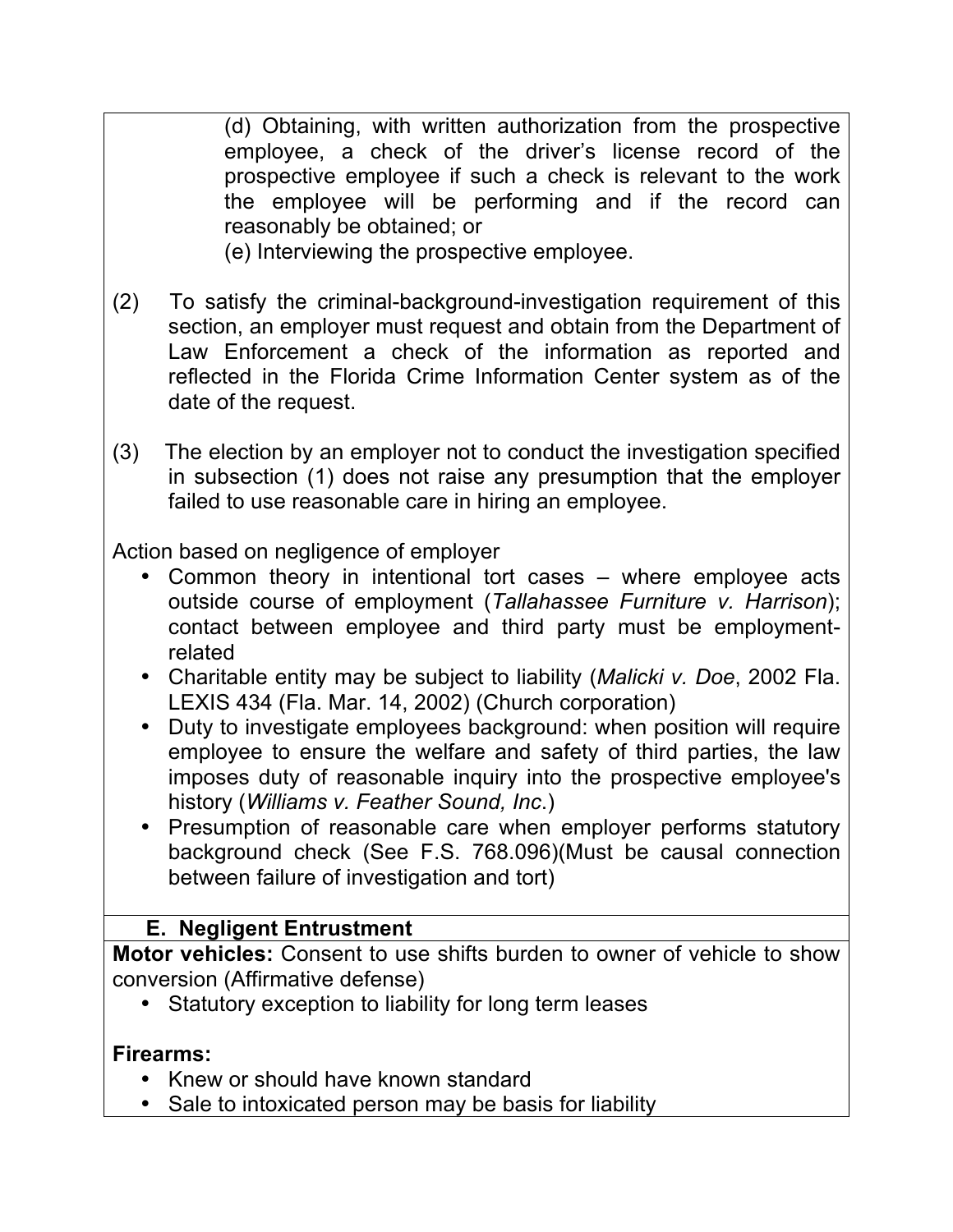(d) Obtaining, with written authorization from the prospective employee, a check of the driver's license record of the prospective employee if such a check is relevant to the work the employee will be performing and if the record can reasonably be obtained; or

(e) Interviewing the prospective employee.

- (2) To satisfy the criminal-background-investigation requirement of this section, an employer must request and obtain from the Department of Law Enforcement a check of the information as reported and reflected in the Florida Crime Information Center system as of the date of the request.
- (3) The election by an employer not to conduct the investigation specified in subsection (1) does not raise any presumption that the employer failed to use reasonable care in hiring an employee.

Action based on negligence of employer

- Common theory in intentional tort cases where employee acts outside course of employment (*Tallahassee Furniture v. Harrison*); contact between employee and third party must be employmentrelated
- Charitable entity may be subject to liability (*Malicki v. Doe*, 2002 Fla. LEXIS 434 (Fla. Mar. 14, 2002) (Church corporation)
- Duty to investigate employees background: when position will require employee to ensure the welfare and safety of third parties, the law imposes duty of reasonable inquiry into the prospective employee's history (*Williams v. Feather Sound, Inc*.)
- Presumption of reasonable care when employer performs statutory background check (See F.S. 768.096)(Must be causal connection between failure of investigation and tort)

# **E. Negligent Entrustment**

**Motor vehicles:** Consent to use shifts burden to owner of vehicle to show conversion (Affirmative defense)

• Statutory exception to liability for long term leases

#### **Firearms:**

- Knew or should have known standard
- Sale to intoxicated person may be basis for liability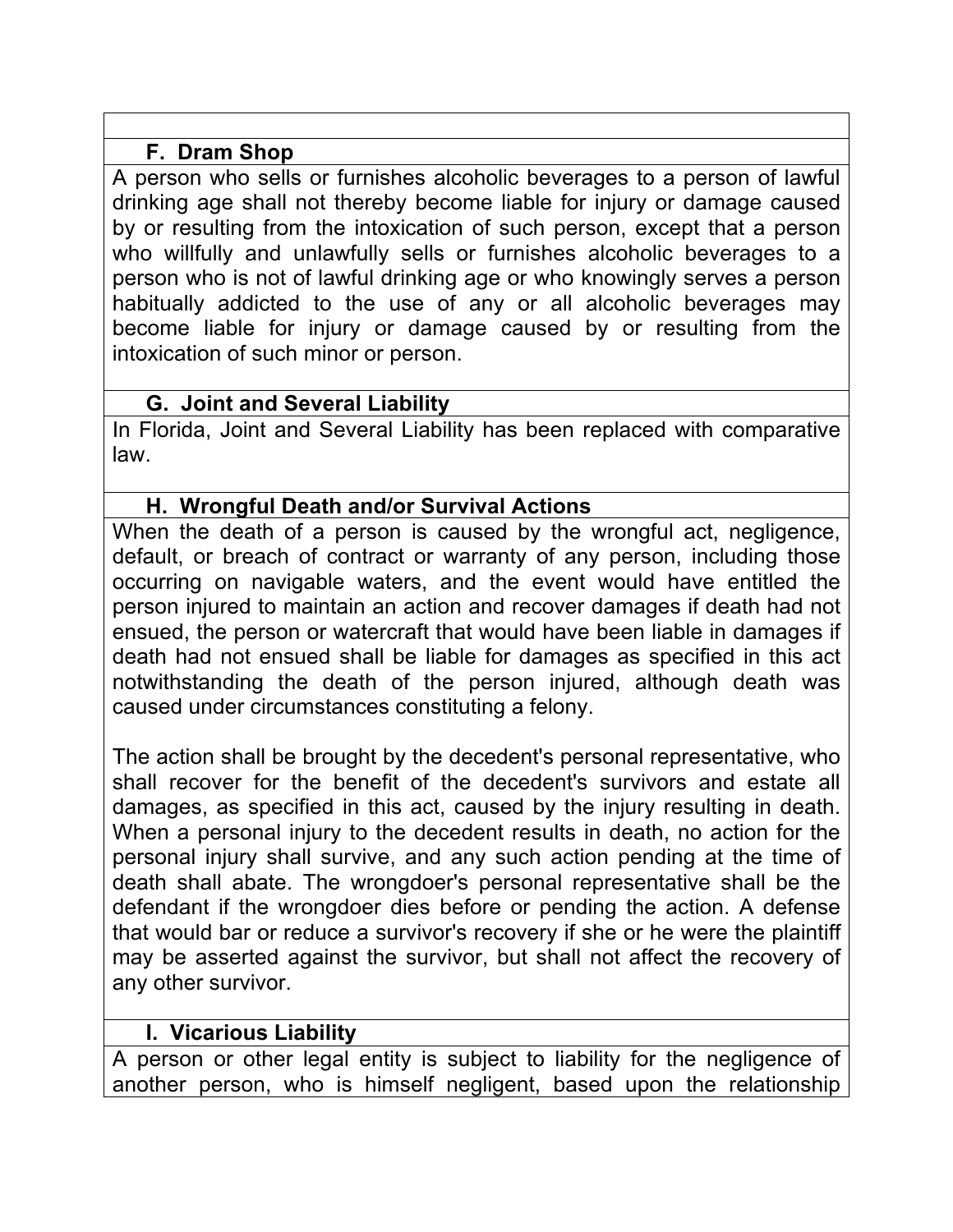# **F. Dram Shop**

A person who sells or furnishes alcoholic beverages to a person of lawful drinking age shall not thereby become liable for injury or damage caused by or resulting from the intoxication of such person, except that a person who willfully and unlawfully sells or furnishes alcoholic beverages to a person who is not of lawful drinking age or who knowingly serves a person habitually addicted to the use of any or all alcoholic beverages may become liable for injury or damage caused by or resulting from the intoxication of such minor or person.

# **G. Joint and Several Liability**

In Florida, Joint and Several Liability has been replaced with comparative law.

# **H. Wrongful Death and/or Survival Actions**

When the death of a person is caused by the wrongful act, negligence, default, or breach of contract or warranty of any person, including those occurring on navigable waters, and the event would have entitled the person injured to maintain an action and recover damages if death had not ensued, the person or watercraft that would have been liable in damages if death had not ensued shall be liable for damages as specified in this act notwithstanding the death of the person injured, although death was caused under circumstances constituting a felony.

The action shall be brought by the decedent's personal representative, who shall recover for the benefit of the decedent's survivors and estate all damages, as specified in this act, caused by the injury resulting in death. When a personal injury to the decedent results in death, no action for the personal injury shall survive, and any such action pending at the time of death shall abate. The wrongdoer's personal representative shall be the defendant if the wrongdoer dies before or pending the action. A defense that would bar or reduce a survivor's recovery if she or he were the plaintiff may be asserted against the survivor, but shall not affect the recovery of any other survivor.

#### **I. Vicarious Liability**

A person or other legal entity is subject to liability for the negligence of another person, who is himself negligent, based upon the relationship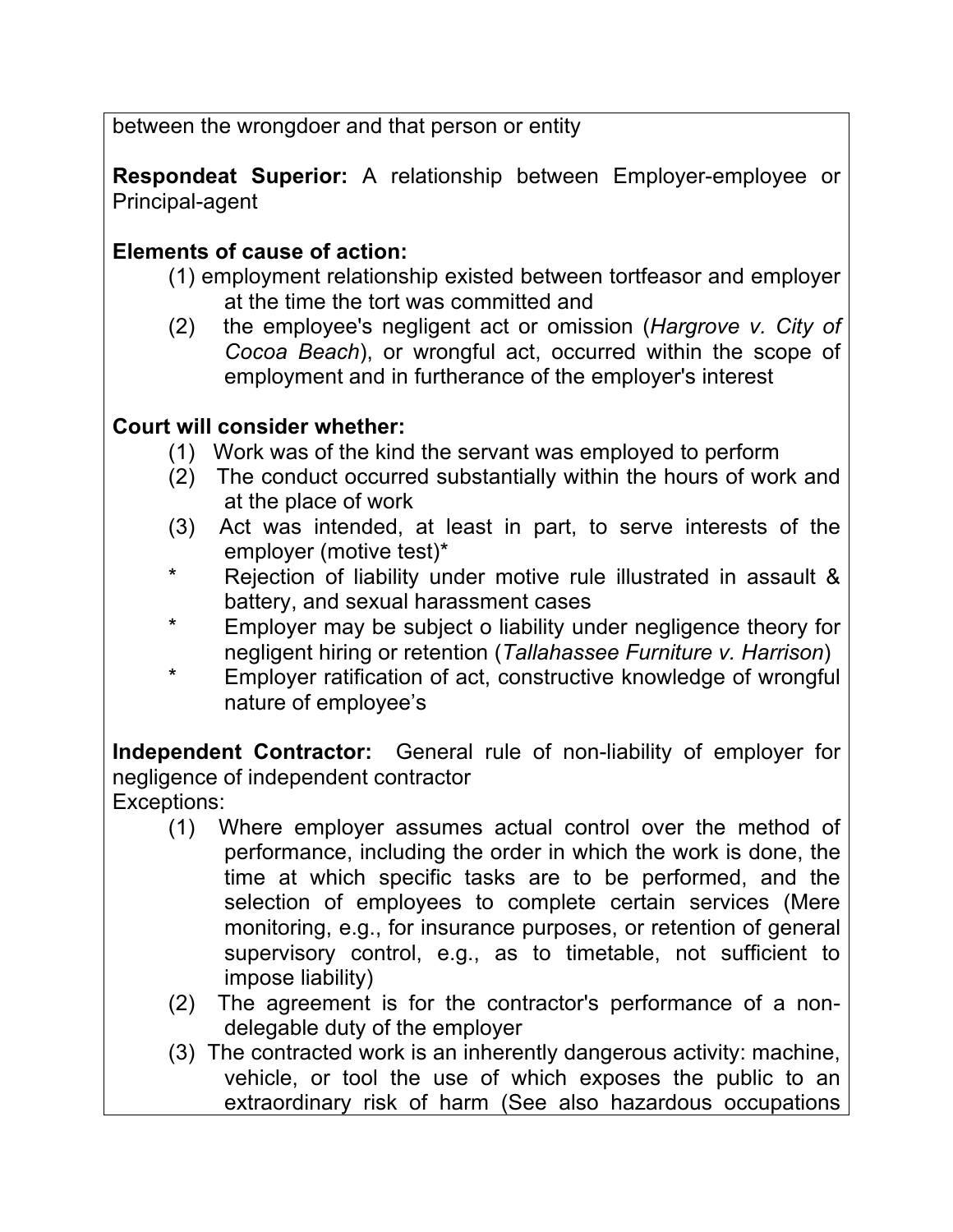between the wrongdoer and that person or entity

**Respondeat Superior:** A relationship between Employer-employee or Principal-agent

# **Elements of cause of action:**

- (1) employment relationship existed between tortfeasor and employer at the time the tort was committed and
- (2) the employee's negligent act or omission (*Hargrove v. City of Cocoa Beach*), or wrongful act, occurred within the scope of employment and in furtherance of the employer's interest

# **Court will consider whether:**

- (1) Work was of the kind the servant was employed to perform
- (2) The conduct occurred substantially within the hours of work and at the place of work
- (3) Act was intended, at least in part, to serve interests of the employer (motive test)\*
- \* Rejection of liability under motive rule illustrated in assault & battery, and sexual harassment cases
- \* Employer may be subject o liability under negligence theory for negligent hiring or retention (*Tallahassee Furniture v. Harrison*)
- \* Employer ratification of act, constructive knowledge of wrongful nature of employee's

**Independent Contractor:** General rule of non-liability of employer for negligence of independent contractor Exceptions:

- (1) Where employer assumes actual control over the method of performance, including the order in which the work is done, the time at which specific tasks are to be performed, and the selection of employees to complete certain services (Mere monitoring, e.g., for insurance purposes, or retention of general supervisory control, e.g., as to timetable, not sufficient to impose liability)
- (2) The agreement is for the contractor's performance of a nondelegable duty of the employer
- (3) The contracted work is an inherently dangerous activity: machine, vehicle, or tool the use of which exposes the public to an extraordinary risk of harm (See also hazardous occupations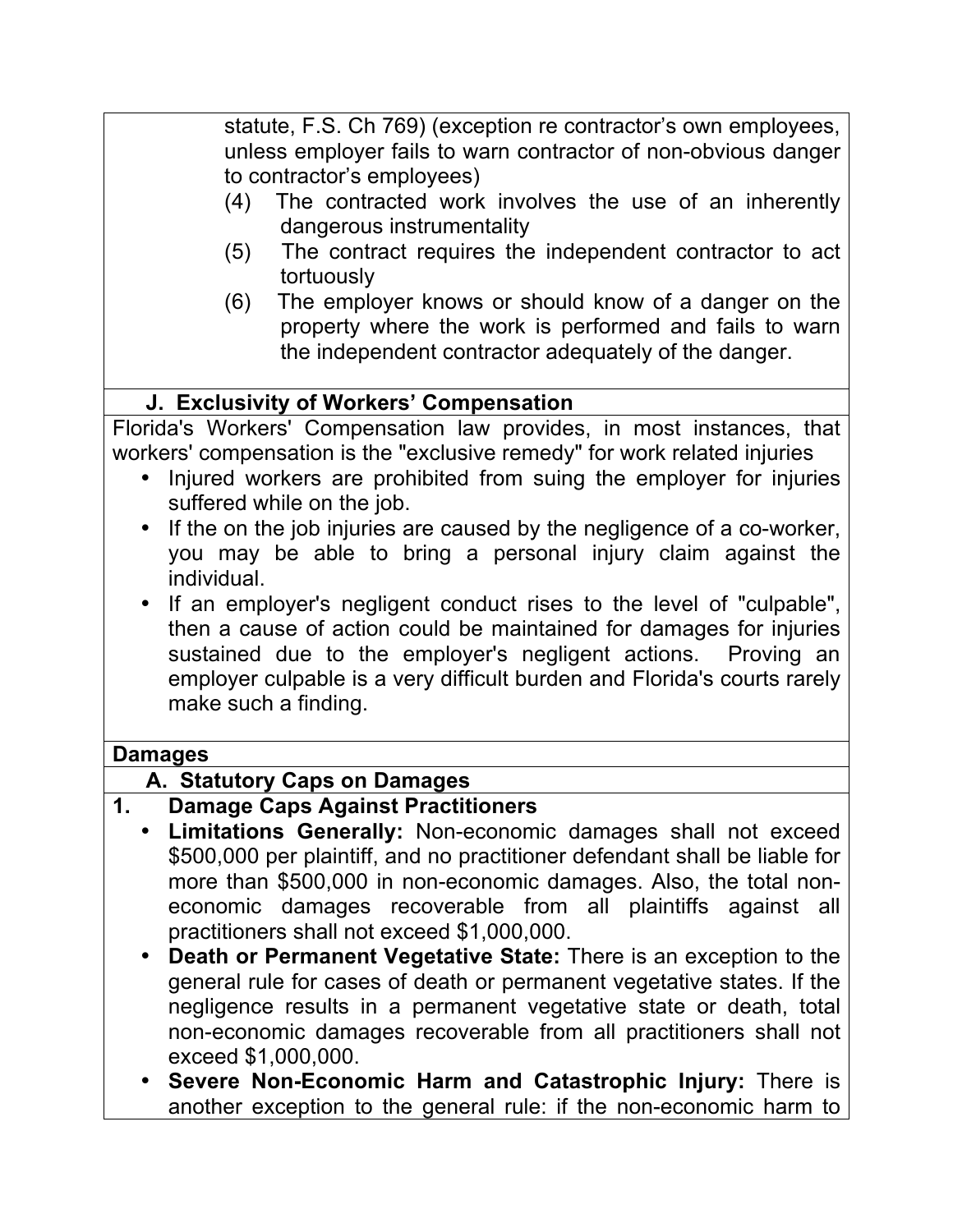| statute, F.S. Ch 769) (exception re contractor's own employees,<br>unless employer fails to warn contractor of non-obvious danger<br>to contractor's employees)<br>The contracted work involves the use of an inherently<br>(4)<br>dangerous instrumentality<br>The contract requires the independent contractor to act<br>(5)<br>tortuously<br>The employer knows or should know of a danger on the<br>(6)<br>property where the work is performed and fails to warn<br>the independent contractor adequately of the danger.<br>J. Exclusivity of Workers' Compensation<br>Florida's Workers' Compensation law provides, in most instances, that<br>workers' compensation is the "exclusive remedy" for work related injuries<br>Injured workers are prohibited from suing the employer for injuries<br>$\bullet$<br>suffered while on the job.<br>If the on the job injuries are caused by the negligence of a co-worker,<br>$\bullet$<br>you may be able to bring a personal injury claim against the<br>individual.<br>If an employer's negligent conduct rises to the level of "culpable",<br>$\bullet$<br>then a cause of action could be maintained for damages for injuries<br>sustained due to the employer's negligent actions. Proving an<br>employer culpable is a very difficult burden and Florida's courts rarely<br>make such a finding.<br><b>Damages</b><br>A. Statutory Caps on Damages<br><b>Damage Caps Against Practitioners</b><br>1.<br>Limitations Generally: Non-economic damages shall not exceed<br>$\bullet$<br>\$500,000 per plaintiff, and no practitioner defendant shall be liable for<br>more than \$500,000 in non-economic damages. Also, the total non-<br>economic damages recoverable from all plaintiffs against all<br>practitioners shall not exceed \$1,000,000.<br><b>Death or Permanent Vegetative State:</b> There is an exception to the<br>general rule for cases of death or permanent vegetative states. If the<br>negligence results in a permanent vegetative state or death, total<br>non-economic damages recoverable from all practitioners shall not<br>exceed \$1,000,000. |  |  |
|-------------------------------------------------------------------------------------------------------------------------------------------------------------------------------------------------------------------------------------------------------------------------------------------------------------------------------------------------------------------------------------------------------------------------------------------------------------------------------------------------------------------------------------------------------------------------------------------------------------------------------------------------------------------------------------------------------------------------------------------------------------------------------------------------------------------------------------------------------------------------------------------------------------------------------------------------------------------------------------------------------------------------------------------------------------------------------------------------------------------------------------------------------------------------------------------------------------------------------------------------------------------------------------------------------------------------------------------------------------------------------------------------------------------------------------------------------------------------------------------------------------------------------------------------------------------------------------------------------------------------------------------------------------------------------------------------------------------------------------------------------------------------------------------------------------------------------------------------------------------------------------------------------------------------------------------------------------------------------------------------------------------------------------------------------------------------------------------------------------------------------------|--|--|
|                                                                                                                                                                                                                                                                                                                                                                                                                                                                                                                                                                                                                                                                                                                                                                                                                                                                                                                                                                                                                                                                                                                                                                                                                                                                                                                                                                                                                                                                                                                                                                                                                                                                                                                                                                                                                                                                                                                                                                                                                                                                                                                                     |  |  |
|                                                                                                                                                                                                                                                                                                                                                                                                                                                                                                                                                                                                                                                                                                                                                                                                                                                                                                                                                                                                                                                                                                                                                                                                                                                                                                                                                                                                                                                                                                                                                                                                                                                                                                                                                                                                                                                                                                                                                                                                                                                                                                                                     |  |  |
|                                                                                                                                                                                                                                                                                                                                                                                                                                                                                                                                                                                                                                                                                                                                                                                                                                                                                                                                                                                                                                                                                                                                                                                                                                                                                                                                                                                                                                                                                                                                                                                                                                                                                                                                                                                                                                                                                                                                                                                                                                                                                                                                     |  |  |
|                                                                                                                                                                                                                                                                                                                                                                                                                                                                                                                                                                                                                                                                                                                                                                                                                                                                                                                                                                                                                                                                                                                                                                                                                                                                                                                                                                                                                                                                                                                                                                                                                                                                                                                                                                                                                                                                                                                                                                                                                                                                                                                                     |  |  |
|                                                                                                                                                                                                                                                                                                                                                                                                                                                                                                                                                                                                                                                                                                                                                                                                                                                                                                                                                                                                                                                                                                                                                                                                                                                                                                                                                                                                                                                                                                                                                                                                                                                                                                                                                                                                                                                                                                                                                                                                                                                                                                                                     |  |  |
|                                                                                                                                                                                                                                                                                                                                                                                                                                                                                                                                                                                                                                                                                                                                                                                                                                                                                                                                                                                                                                                                                                                                                                                                                                                                                                                                                                                                                                                                                                                                                                                                                                                                                                                                                                                                                                                                                                                                                                                                                                                                                                                                     |  |  |
|                                                                                                                                                                                                                                                                                                                                                                                                                                                                                                                                                                                                                                                                                                                                                                                                                                                                                                                                                                                                                                                                                                                                                                                                                                                                                                                                                                                                                                                                                                                                                                                                                                                                                                                                                                                                                                                                                                                                                                                                                                                                                                                                     |  |  |
|                                                                                                                                                                                                                                                                                                                                                                                                                                                                                                                                                                                                                                                                                                                                                                                                                                                                                                                                                                                                                                                                                                                                                                                                                                                                                                                                                                                                                                                                                                                                                                                                                                                                                                                                                                                                                                                                                                                                                                                                                                                                                                                                     |  |  |
|                                                                                                                                                                                                                                                                                                                                                                                                                                                                                                                                                                                                                                                                                                                                                                                                                                                                                                                                                                                                                                                                                                                                                                                                                                                                                                                                                                                                                                                                                                                                                                                                                                                                                                                                                                                                                                                                                                                                                                                                                                                                                                                                     |  |  |
|                                                                                                                                                                                                                                                                                                                                                                                                                                                                                                                                                                                                                                                                                                                                                                                                                                                                                                                                                                                                                                                                                                                                                                                                                                                                                                                                                                                                                                                                                                                                                                                                                                                                                                                                                                                                                                                                                                                                                                                                                                                                                                                                     |  |  |
|                                                                                                                                                                                                                                                                                                                                                                                                                                                                                                                                                                                                                                                                                                                                                                                                                                                                                                                                                                                                                                                                                                                                                                                                                                                                                                                                                                                                                                                                                                                                                                                                                                                                                                                                                                                                                                                                                                                                                                                                                                                                                                                                     |  |  |
|                                                                                                                                                                                                                                                                                                                                                                                                                                                                                                                                                                                                                                                                                                                                                                                                                                                                                                                                                                                                                                                                                                                                                                                                                                                                                                                                                                                                                                                                                                                                                                                                                                                                                                                                                                                                                                                                                                                                                                                                                                                                                                                                     |  |  |
|                                                                                                                                                                                                                                                                                                                                                                                                                                                                                                                                                                                                                                                                                                                                                                                                                                                                                                                                                                                                                                                                                                                                                                                                                                                                                                                                                                                                                                                                                                                                                                                                                                                                                                                                                                                                                                                                                                                                                                                                                                                                                                                                     |  |  |
|                                                                                                                                                                                                                                                                                                                                                                                                                                                                                                                                                                                                                                                                                                                                                                                                                                                                                                                                                                                                                                                                                                                                                                                                                                                                                                                                                                                                                                                                                                                                                                                                                                                                                                                                                                                                                                                                                                                                                                                                                                                                                                                                     |  |  |
|                                                                                                                                                                                                                                                                                                                                                                                                                                                                                                                                                                                                                                                                                                                                                                                                                                                                                                                                                                                                                                                                                                                                                                                                                                                                                                                                                                                                                                                                                                                                                                                                                                                                                                                                                                                                                                                                                                                                                                                                                                                                                                                                     |  |  |
|                                                                                                                                                                                                                                                                                                                                                                                                                                                                                                                                                                                                                                                                                                                                                                                                                                                                                                                                                                                                                                                                                                                                                                                                                                                                                                                                                                                                                                                                                                                                                                                                                                                                                                                                                                                                                                                                                                                                                                                                                                                                                                                                     |  |  |
|                                                                                                                                                                                                                                                                                                                                                                                                                                                                                                                                                                                                                                                                                                                                                                                                                                                                                                                                                                                                                                                                                                                                                                                                                                                                                                                                                                                                                                                                                                                                                                                                                                                                                                                                                                                                                                                                                                                                                                                                                                                                                                                                     |  |  |
|                                                                                                                                                                                                                                                                                                                                                                                                                                                                                                                                                                                                                                                                                                                                                                                                                                                                                                                                                                                                                                                                                                                                                                                                                                                                                                                                                                                                                                                                                                                                                                                                                                                                                                                                                                                                                                                                                                                                                                                                                                                                                                                                     |  |  |

• **Severe Non-Economic Harm and Catastrophic Injury:** There is another exception to the general rule: if the non-economic harm to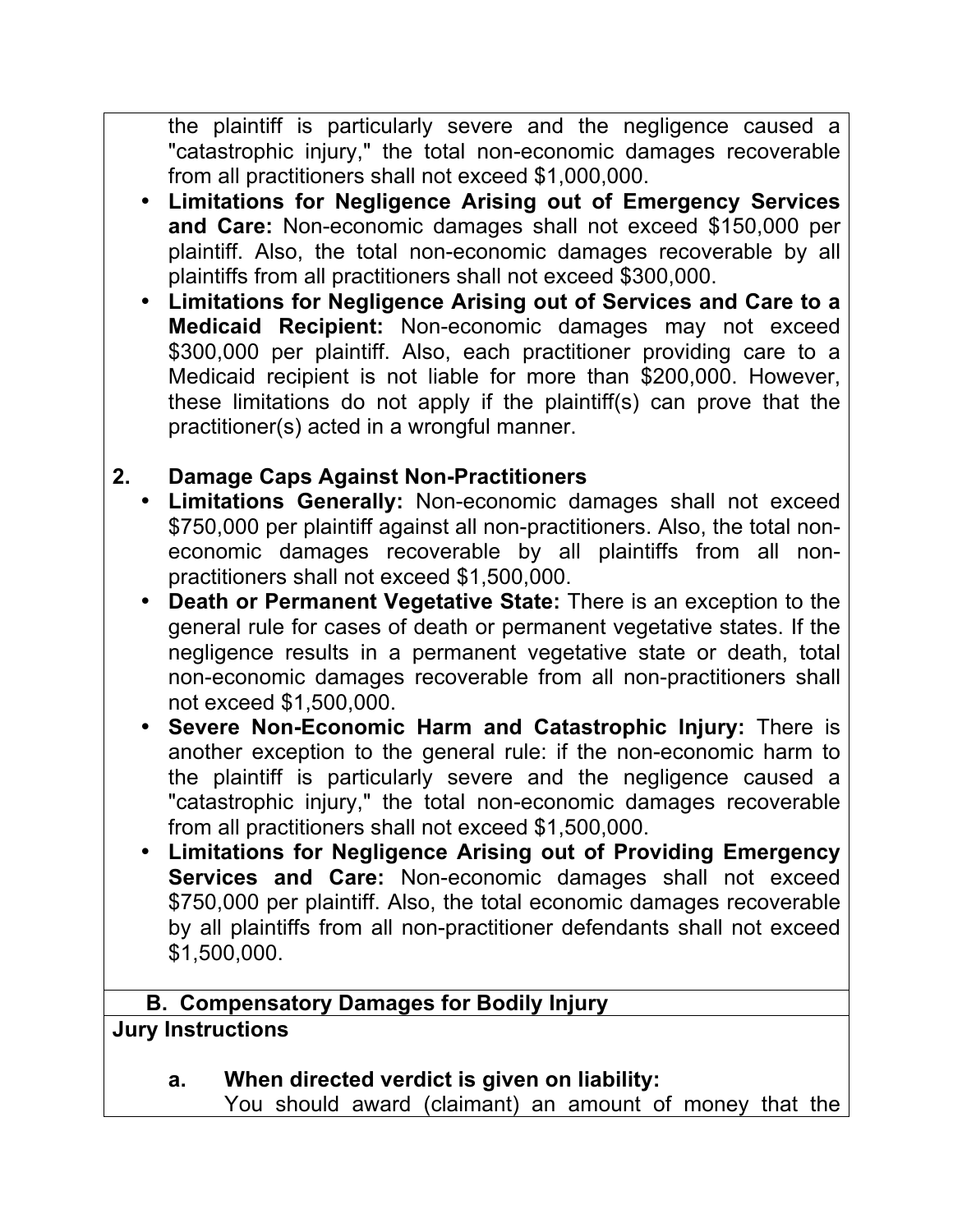the plaintiff is particularly severe and the negligence caused a "catastrophic injury," the total non-economic damages recoverable from all practitioners shall not exceed \$1,000,000.

- **Limitations for Negligence Arising out of Emergency Services and Care:** Non-economic damages shall not exceed \$150,000 per plaintiff. Also, the total non-economic damages recoverable by all plaintiffs from all practitioners shall not exceed \$300,000.
- **Limitations for Negligence Arising out of Services and Care to a Medicaid Recipient:** Non-economic damages may not exceed \$300,000 per plaintiff. Also, each practitioner providing care to a Medicaid recipient is not liable for more than \$200,000. However, these limitations do not apply if the plaintiff(s) can prove that the practitioner(s) acted in a wrongful manner.

# **2. Damage Caps Against Non-Practitioners**

- **Limitations Generally:** Non-economic damages shall not exceed \$750,000 per plaintiff against all non-practitioners. Also, the total noneconomic damages recoverable by all plaintiffs from all nonpractitioners shall not exceed \$1,500,000.
- **Death or Permanent Vegetative State:** There is an exception to the general rule for cases of death or permanent vegetative states. If the negligence results in a permanent vegetative state or death, total non-economic damages recoverable from all non-practitioners shall not exceed \$1,500,000.
- **Severe Non-Economic Harm and Catastrophic Injury:** There is another exception to the general rule: if the non-economic harm to the plaintiff is particularly severe and the negligence caused a "catastrophic injury," the total non-economic damages recoverable from all practitioners shall not exceed \$1,500,000.
- **Limitations for Negligence Arising out of Providing Emergency Services and Care:** Non-economic damages shall not exceed \$750,000 per plaintiff. Also, the total economic damages recoverable by all plaintiffs from all non-practitioner defendants shall not exceed \$1,500,000.

# **B. Compensatory Damages for Bodily Injury Jury Instructions**

**a. When directed verdict is given on liability:** You should award (claimant) an amount of money that the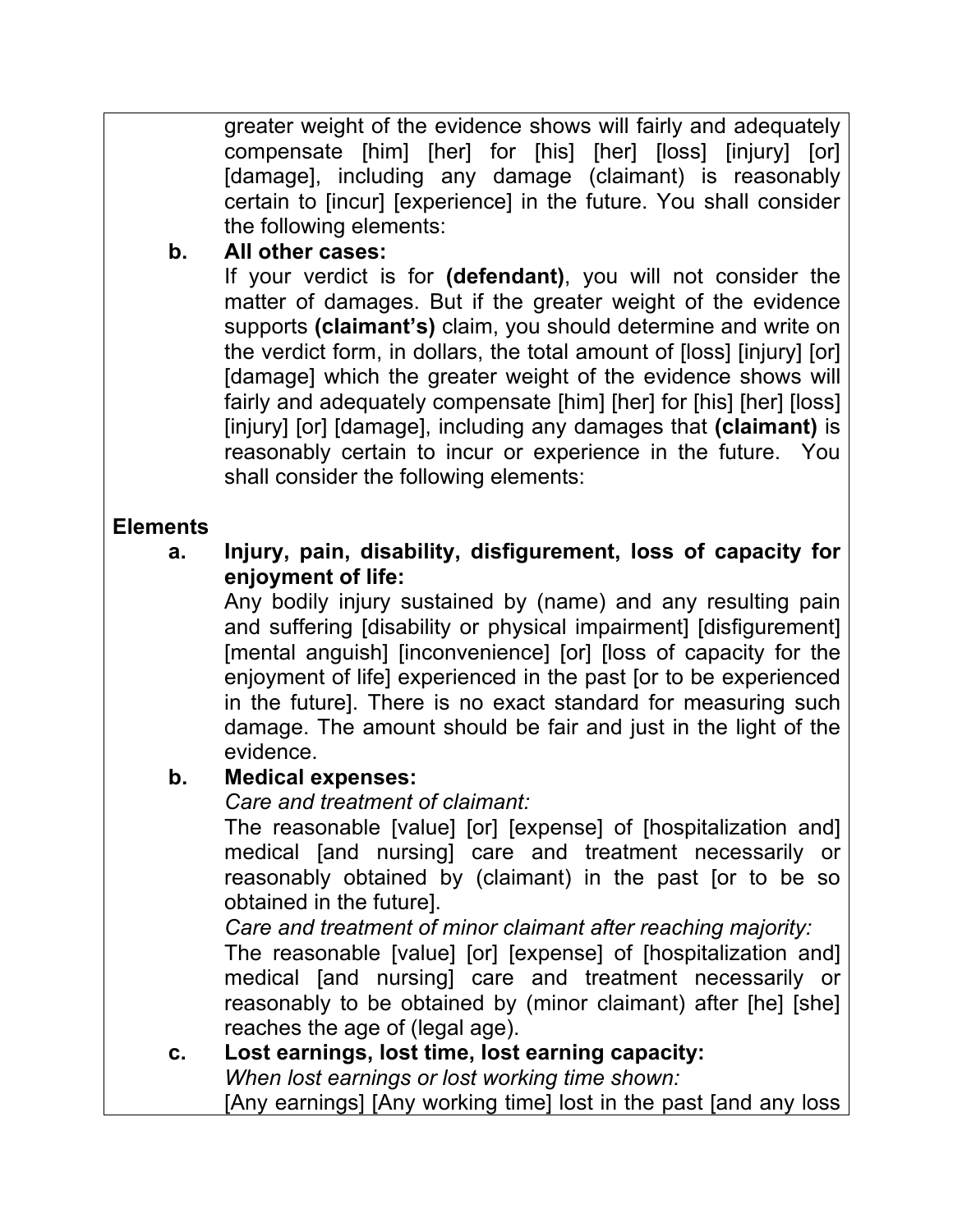greater weight of the evidence shows will fairly and adequately compensate [him] [her] for [his] [her] [loss] [injury] [or] [damage], including any damage (claimant) is reasonably certain to [incur] [experience] in the future. You shall consider the following elements:

# **b. All other cases:**

If your verdict is for **(defendant)**, you will not consider the matter of damages. But if the greater weight of the evidence supports **(claimant's)** claim, you should determine and write on the verdict form, in dollars, the total amount of [loss] [injury] [or] [damage] which the greater weight of the evidence shows will fairly and adequately compensate [him] [her] for [his] [her] [loss] [injury] [or] [damage], including any damages that **(claimant)** is reasonably certain to incur or experience in the future. You shall consider the following elements:

# **Elements**

### **a. Injury, pain, disability, disfigurement, loss of capacity for enjoyment of life:**

Any bodily injury sustained by (name) and any resulting pain and suffering [disability or physical impairment] [disfigurement] [mental anguish] [inconvenience] [or] [loss of capacity for the enjoyment of life] experienced in the past [or to be experienced in the future]. There is no exact standard for measuring such damage. The amount should be fair and just in the light of the evidence.

# **b. Medical expenses:**

*Care and treatment of claimant:* 

The reasonable [value] [or] [expense] of [hospitalization and] medical [and nursing] care and treatment necessarily or reasonably obtained by (claimant) in the past [or to be so obtained in the future].

*Care and treatment of minor claimant after reaching majority:*

The reasonable [value] [or] [expense] of [hospitalization and] medical [and nursing] care and treatment necessarily or reasonably to be obtained by (minor claimant) after [he] [she] reaches the age of (legal age).

**c. Lost earnings, lost time, lost earning capacity:** *When lost earnings or lost working time shown:*  [Any earnings] [Any working time] lost in the past [and any loss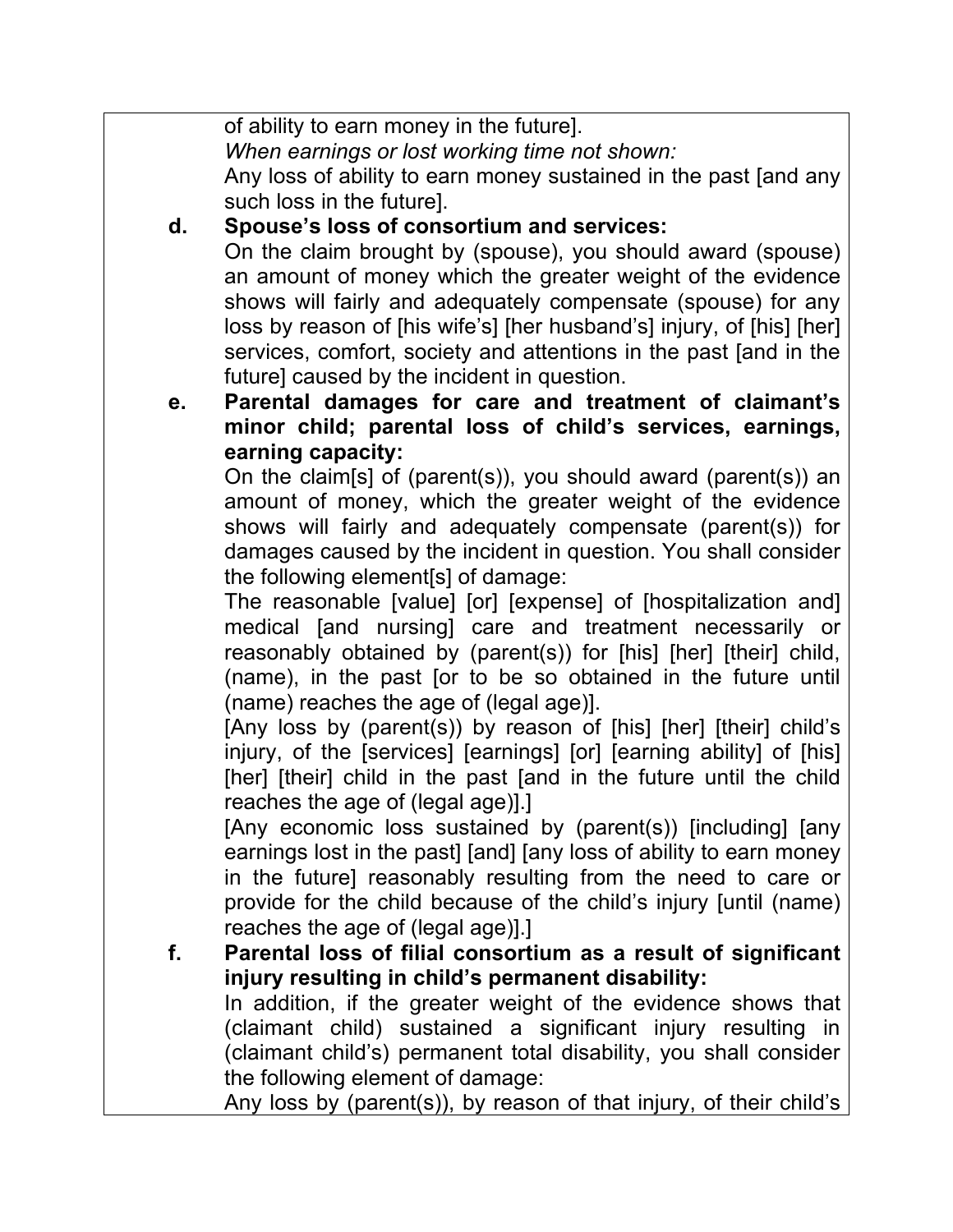of ability to earn money in the future].

*When earnings or lost working time not shown:*

Any loss of ability to earn money sustained in the past [and any such loss in the future].

# **d. Spouse's loss of consortium and services:**

On the claim brought by (spouse), you should award (spouse) an amount of money which the greater weight of the evidence shows will fairly and adequately compensate (spouse) for any loss by reason of [his wife's] [her husband's] injury, of [his] [her] services, comfort, society and attentions in the past [and in the future] caused by the incident in question.

**e. Parental damages for care and treatment of claimant's minor child; parental loss of child's services, earnings, earning capacity:** 

On the claim[s] of (parent(s)), you should award (parent(s)) an amount of money, which the greater weight of the evidence shows will fairly and adequately compensate (parent(s)) for damages caused by the incident in question. You shall consider the following element[s] of damage:

The reasonable [value] [or] [expense] of [hospitalization and] medical [and nursing] care and treatment necessarily or reasonably obtained by (parent(s)) for [his] [her] [their] child, (name), in the past [or to be so obtained in the future until (name) reaches the age of (legal age)].

[Any loss by (parent(s)) by reason of [his] [her] [their] child's injury, of the [services] [earnings] [or] [earning ability] of [his] [her] [their] child in the past [and in the future until the child reaches the age of (legal age)].]

[Any economic loss sustained by (parent(s)) [including] [any earnings lost in the past] [and] [any loss of ability to earn money in the future] reasonably resulting from the need to care or provide for the child because of the child's injury [until (name) reaches the age of (legal age)].]

**f. Parental loss of filial consortium as a result of significant injury resulting in child's permanent disability:**  In addition, if the greater weight of the evidence shows that (claimant child) sustained a significant injury resulting in (claimant child's) permanent total disability, you shall consider the following element of damage:

Any loss by (parent(s)), by reason of that injury, of their child's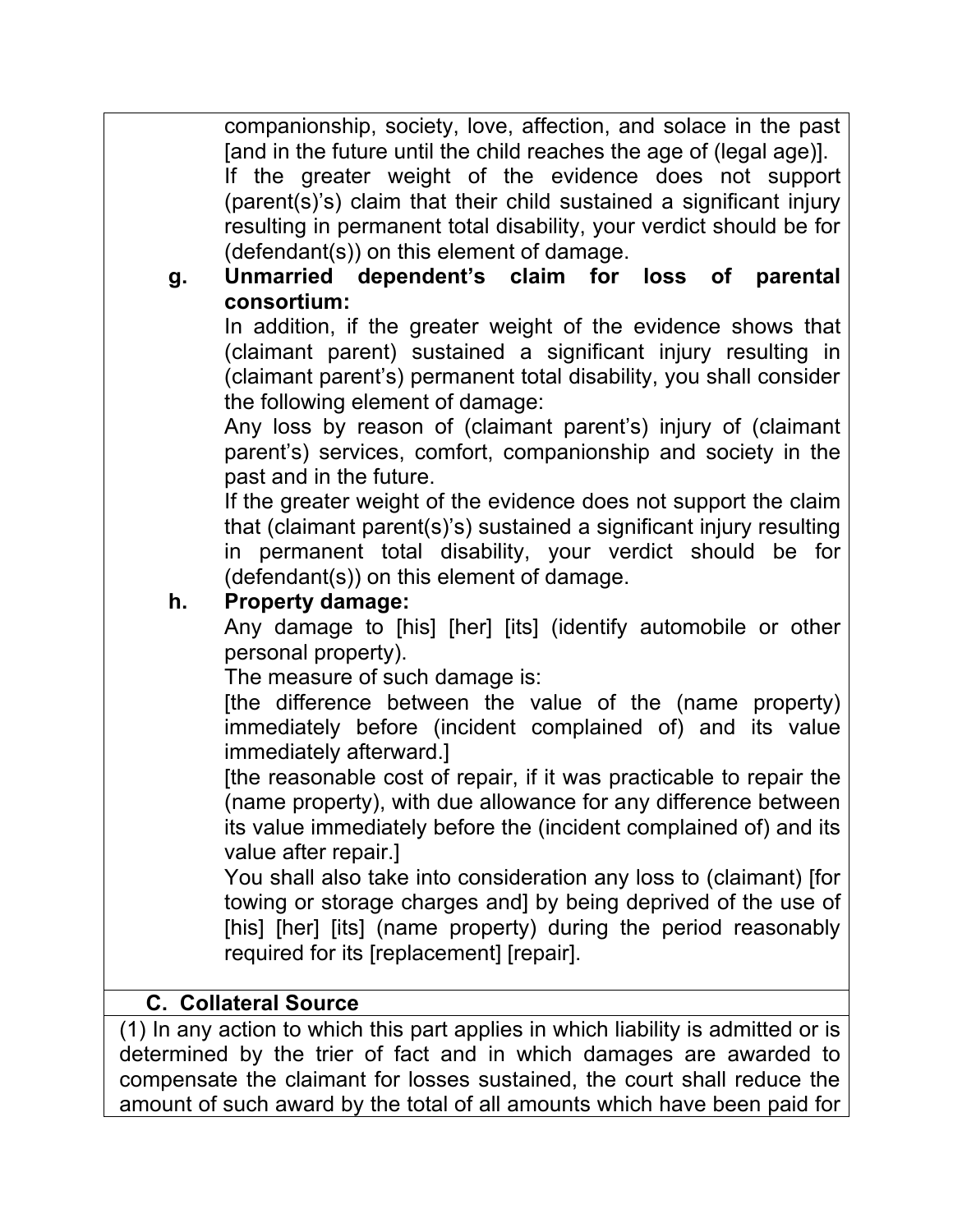companionship, society, love, affection, and solace in the past [and in the future until the child reaches the age of (legal age)]. If the greater weight of the evidence does not support (parent(s)'s) claim that their child sustained a significant injury resulting in permanent total disability, your verdict should be for (defendant(s)) on this element of damage.

**g. Unmarried dependent's claim for loss of parental consortium:** 

In addition, if the greater weight of the evidence shows that (claimant parent) sustained a significant injury resulting in (claimant parent's) permanent total disability, you shall consider the following element of damage:

Any loss by reason of (claimant parent's) injury of (claimant parent's) services, comfort, companionship and society in the past and in the future.

If the greater weight of the evidence does not support the claim that (claimant parent(s)'s) sustained a significant injury resulting in permanent total disability, your verdict should be for (defendant(s)) on this element of damage.

# **h. Property damage:**

Any damage to [his] [her] [its] (identify automobile or other personal property).

The measure of such damage is:

[the difference between the value of the (name property) immediately before (incident complained of) and its value immediately afterward.]

[the reasonable cost of repair, if it was practicable to repair the (name property), with due allowance for any difference between its value immediately before the (incident complained of) and its value after repair.]

You shall also take into consideration any loss to (claimant) [for towing or storage charges and] by being deprived of the use of [his] [her] [its] (name property) during the period reasonably required for its [replacement] [repair].

# **C. Collateral Source**

(1) In any action to which this part applies in which liability is admitted or is determined by the trier of fact and in which damages are awarded to compensate the claimant for losses sustained, the court shall reduce the amount of such award by the total of all amounts which have been paid for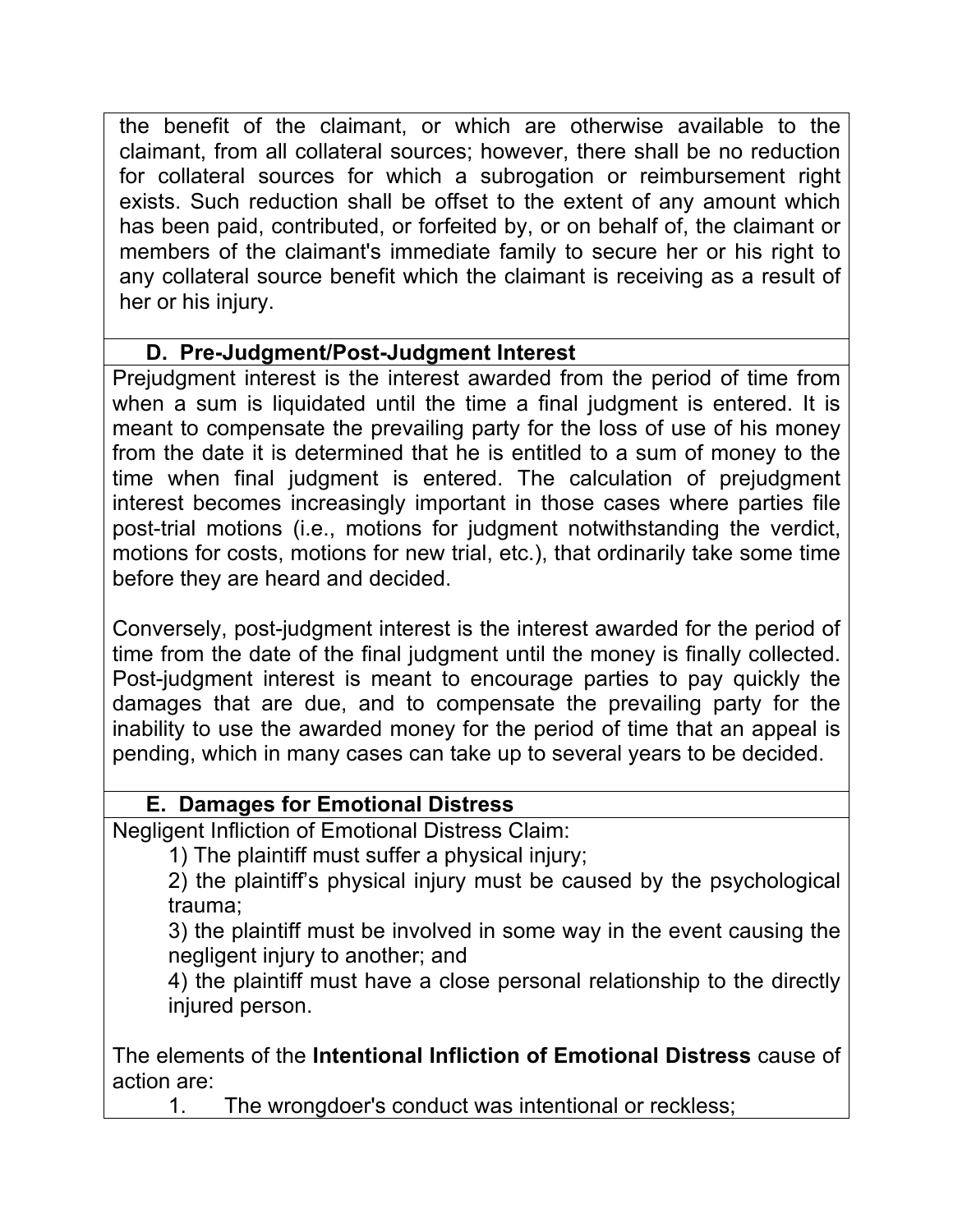the benefit of the claimant, or which are otherwise available to the claimant, from all collateral sources; however, there shall be no reduction for collateral sources for which a subrogation or reimbursement right exists. Such reduction shall be offset to the extent of any amount which has been paid, contributed, or forfeited by, or on behalf of, the claimant or members of the claimant's immediate family to secure her or his right to any collateral source benefit which the claimant is receiving as a result of her or his injury.

# **D. Pre-Judgment/Post-Judgment Interest**

Prejudgment interest is the interest awarded from the period of time from when a sum is liquidated until the time a final judgment is entered. It is meant to compensate the prevailing party for the loss of use of his money from the date it is determined that he is entitled to a sum of money to the time when final judgment is entered. The calculation of prejudgment interest becomes increasingly important in those cases where parties file post-trial motions (i.e., motions for judgment notwithstanding the verdict, motions for costs, motions for new trial, etc.), that ordinarily take some time before they are heard and decided.

Conversely, post-judgment interest is the interest awarded for the period of time from the date of the final judgment until the money is finally collected. Post-judgment interest is meant to encourage parties to pay quickly the damages that are due, and to compensate the prevailing party for the inability to use the awarded money for the period of time that an appeal is pending, which in many cases can take up to several years to be decided.

# **E. Damages for Emotional Distress**

Negligent Infliction of Emotional Distress Claim:

1) The plaintiff must suffer a physical injury;

2) the plaintiff's physical injury must be caused by the psychological trauma;

3) the plaintiff must be involved in some way in the event causing the negligent injury to another; and

4) the plaintiff must have a close personal relationship to the directly injured person.

The elements of the **Intentional Infliction of Emotional Distress** cause of action are:

1. The wrongdoer's conduct was intentional or reckless;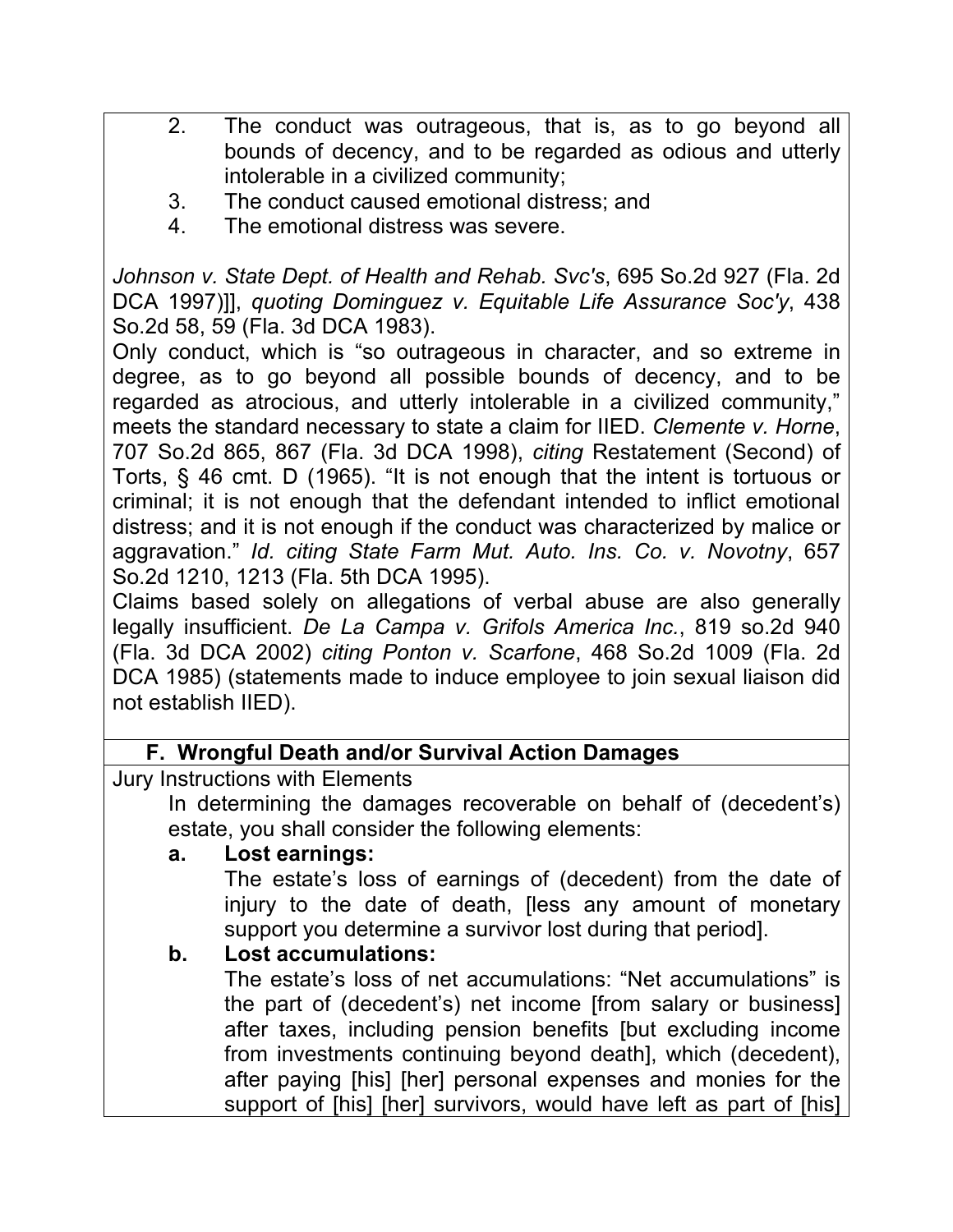- 2. The conduct was outrageous, that is, as to go beyond all bounds of decency, and to be regarded as odious and utterly intolerable in a civilized community;
- 3. The conduct caused emotional distress; and
- 4. The emotional distress was severe.

*Johnson v. State Dept. of Health and Rehab. Svc's*, 695 So.2d 927 (Fla. 2d DCA 1997)]], *quoting Dominguez v. Equitable Life Assurance Soc'y*, 438 So.2d 58, 59 (Fla. 3d DCA 1983).

Only conduct, which is "so outrageous in character, and so extreme in degree, as to go beyond all possible bounds of decency, and to be regarded as atrocious, and utterly intolerable in a civilized community," meets the standard necessary to state a claim for IIED. *Clemente v. Horne*, 707 So.2d 865, 867 (Fla. 3d DCA 1998), *citing* Restatement (Second) of Torts, § 46 cmt. D (1965). "It is not enough that the intent is tortuous or criminal; it is not enough that the defendant intended to inflict emotional distress; and it is not enough if the conduct was characterized by malice or aggravation." *Id. citing State Farm Mut. Auto. Ins. Co. v. Novotny*, 657 So.2d 1210, 1213 (Fla. 5th DCA 1995).

Claims based solely on allegations of verbal abuse are also generally legally insufficient. *De La Campa v. Grifols America Inc.*, 819 so.2d 940 (Fla. 3d DCA 2002) *citing Ponton v. Scarfone*, 468 So.2d 1009 (Fla. 2d DCA 1985) (statements made to induce employee to join sexual liaison did not establish IIED).

# **F. Wrongful Death and/or Survival Action Damages**

Jury Instructions with Elements

In determining the damages recoverable on behalf of (decedent's) estate, you shall consider the following elements:

# **a. Lost earnings:**

The estate's loss of earnings of (decedent) from the date of injury to the date of death, [less any amount of monetary support you determine a survivor lost during that period].

# **b. Lost accumulations:**

The estate's loss of net accumulations: "Net accumulations" is the part of (decedent's) net income [from salary or business] after taxes, including pension benefits [but excluding income from investments continuing beyond death], which (decedent), after paying [his] [her] personal expenses and monies for the support of [his] [her] survivors, would have left as part of [his]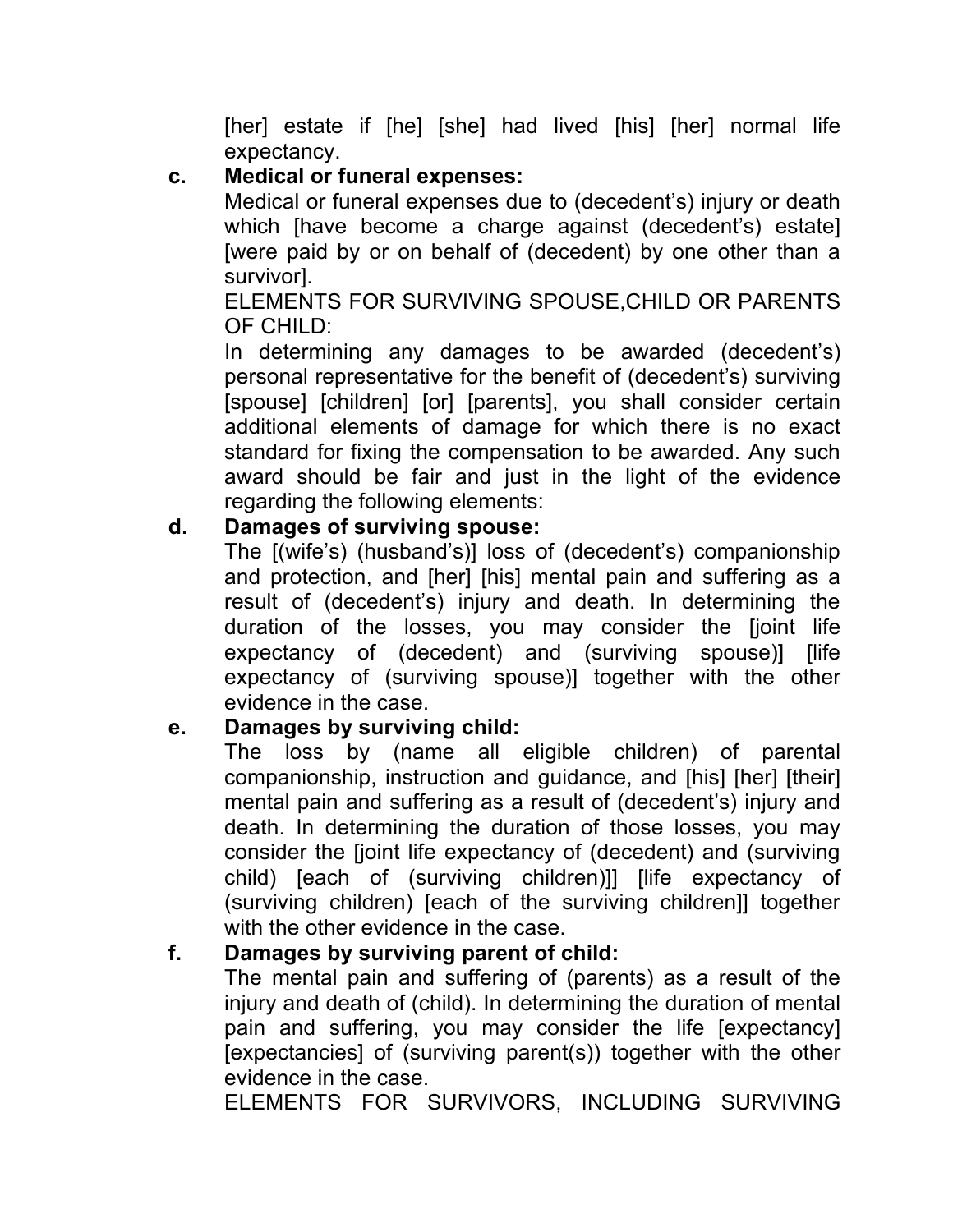[her] estate if [he] [she] had lived [his] [her] normal life expectancy.

# **c. Medical or funeral expenses:**

Medical or funeral expenses due to (decedent's) injury or death which [have become a charge against (decedent's) estate] [were paid by or on behalf of (decedent) by one other than a survivor].

ELEMENTS FOR SURVIVING SPOUSE,CHILD OR PARENTS OF CHILD:

In determining any damages to be awarded (decedent's) personal representative for the benefit of (decedent's) surviving [spouse] [children] [or] [parents], you shall consider certain additional elements of damage for which there is no exact standard for fixing the compensation to be awarded. Any such award should be fair and just in the light of the evidence regarding the following elements:

# **d. Damages of surviving spouse:**

The [(wife's) (husband's)] loss of (decedent's) companionship and protection, and [her] [his] mental pain and suffering as a result of (decedent's) injury and death. In determining the duration of the losses, you may consider the [joint life expectancy of (decedent) and (surviving spouse)] [life expectancy of (surviving spouse)] together with the other evidence in the case.

# **e. Damages by surviving child:**

The loss by (name all eligible children) of parental companionship, instruction and guidance, and [his] [her] [their] mental pain and suffering as a result of (decedent's) injury and death. In determining the duration of those losses, you may consider the [joint life expectancy of (decedent) and (surviving child) [each of (surviving children)]] [life expectancy of (surviving children) [each of the surviving children]] together with the other evidence in the case.

# **f. Damages by surviving parent of child:**

The mental pain and suffering of (parents) as a result of the injury and death of (child). In determining the duration of mental pain and suffering, you may consider the life [expectancy] [expectancies] of (surviving parent(s)) together with the other evidence in the case.

ELEMENTS FOR SURVIVORS, INCLUDING SURVIVING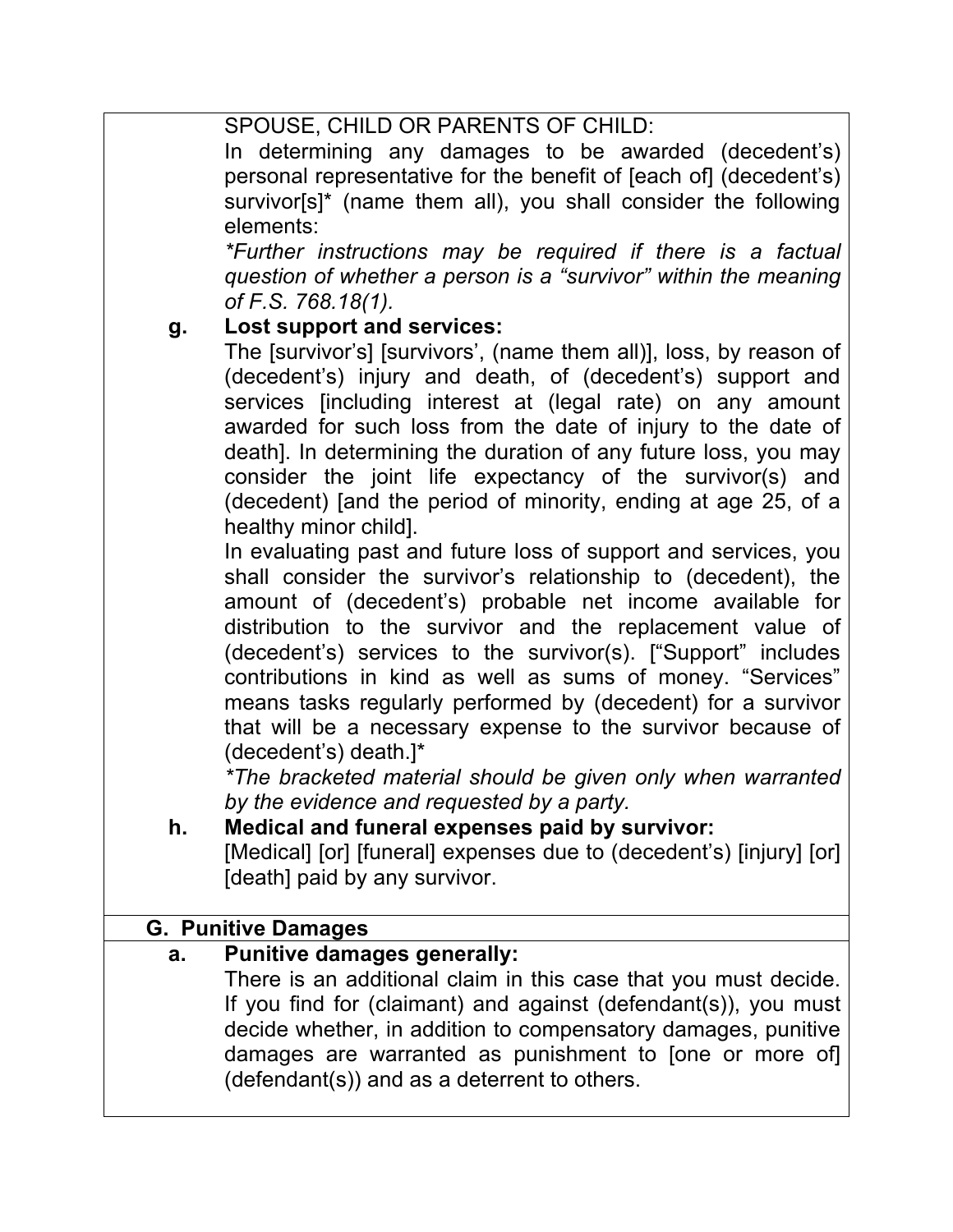SPOUSE, CHILD OR PARENTS OF CHILD:

In determining any damages to be awarded (decedent's) personal representative for the benefit of [each of] (decedent's) survivor[s]\* (name them all), you shall consider the following elements:

*\*Further instructions may be required if there is a factual question of whether a person is a "survivor" within the meaning of F.S. 768.18(1).*

**g. Lost support and services:**

The [survivor's] [survivors', (name them all)], loss, by reason of (decedent's) injury and death, of (decedent's) support and services [including interest at (legal rate) on any amount awarded for such loss from the date of injury to the date of death]. In determining the duration of any future loss, you may consider the joint life expectancy of the survivor(s) and (decedent) [and the period of minority, ending at age 25, of a healthy minor child].

In evaluating past and future loss of support and services, you shall consider the survivor's relationship to (decedent), the amount of (decedent's) probable net income available for distribution to the survivor and the replacement value of (decedent's) services to the survivor(s). ["Support" includes contributions in kind as well as sums of money. "Services" means tasks regularly performed by (decedent) for a survivor that will be a necessary expense to the survivor because of (decedent's) death.]\*

*\*The bracketed material should be given only when warranted by the evidence and requested by a party.*

**h. Medical and funeral expenses paid by survivor:** [Medical] [or] [funeral] expenses due to (decedent's) [injury] [or] [death] paid by any survivor.

#### **G. Punitive Damages**

# **a. Punitive damages generally:**

There is an additional claim in this case that you must decide. If you find for (claimant) and against (defendant(s)), you must decide whether, in addition to compensatory damages, punitive damages are warranted as punishment to [one or more of] (defendant(s)) and as a deterrent to others.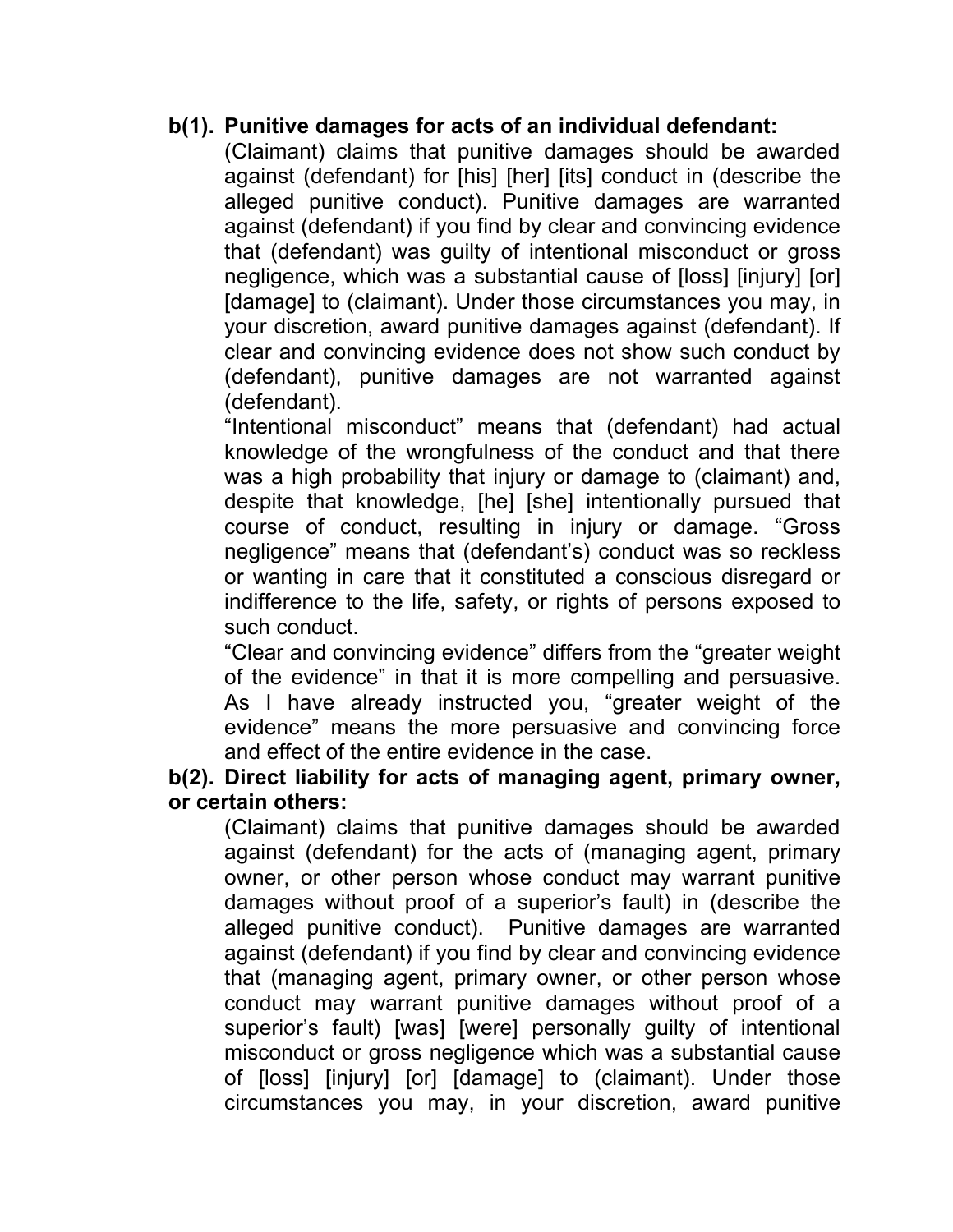# **b(1). Punitive damages for acts of an individual defendant:**

(Claimant) claims that punitive damages should be awarded against (defendant) for [his] [her] [its] conduct in (describe the alleged punitive conduct). Punitive damages are warranted against (defendant) if you find by clear and convincing evidence that (defendant) was guilty of intentional misconduct or gross negligence, which was a substantial cause of [loss] [injury] [or] [damage] to (claimant). Under those circumstances you may, in your discretion, award punitive damages against (defendant). If clear and convincing evidence does not show such conduct by (defendant), punitive damages are not warranted against (defendant).

"Intentional misconduct" means that (defendant) had actual knowledge of the wrongfulness of the conduct and that there was a high probability that injury or damage to (claimant) and, despite that knowledge, [he] [she] intentionally pursued that course of conduct, resulting in injury or damage. "Gross negligence" means that (defendant's) conduct was so reckless or wanting in care that it constituted a conscious disregard or indifference to the life, safety, or rights of persons exposed to such conduct.

"Clear and convincing evidence" differs from the "greater weight of the evidence" in that it is more compelling and persuasive. As I have already instructed you, "greater weight of the evidence" means the more persuasive and convincing force and effect of the entire evidence in the case.

#### **b(2). Direct liability for acts of managing agent, primary owner, or certain others:**

(Claimant) claims that punitive damages should be awarded against (defendant) for the acts of (managing agent, primary owner, or other person whose conduct may warrant punitive damages without proof of a superior's fault) in (describe the alleged punitive conduct). Punitive damages are warranted against (defendant) if you find by clear and convincing evidence that (managing agent, primary owner, or other person whose conduct may warrant punitive damages without proof of a superior's fault) [was] [were] personally guilty of intentional misconduct or gross negligence which was a substantial cause of [loss] [injury] [or] [damage] to (claimant). Under those circumstances you may, in your discretion, award punitive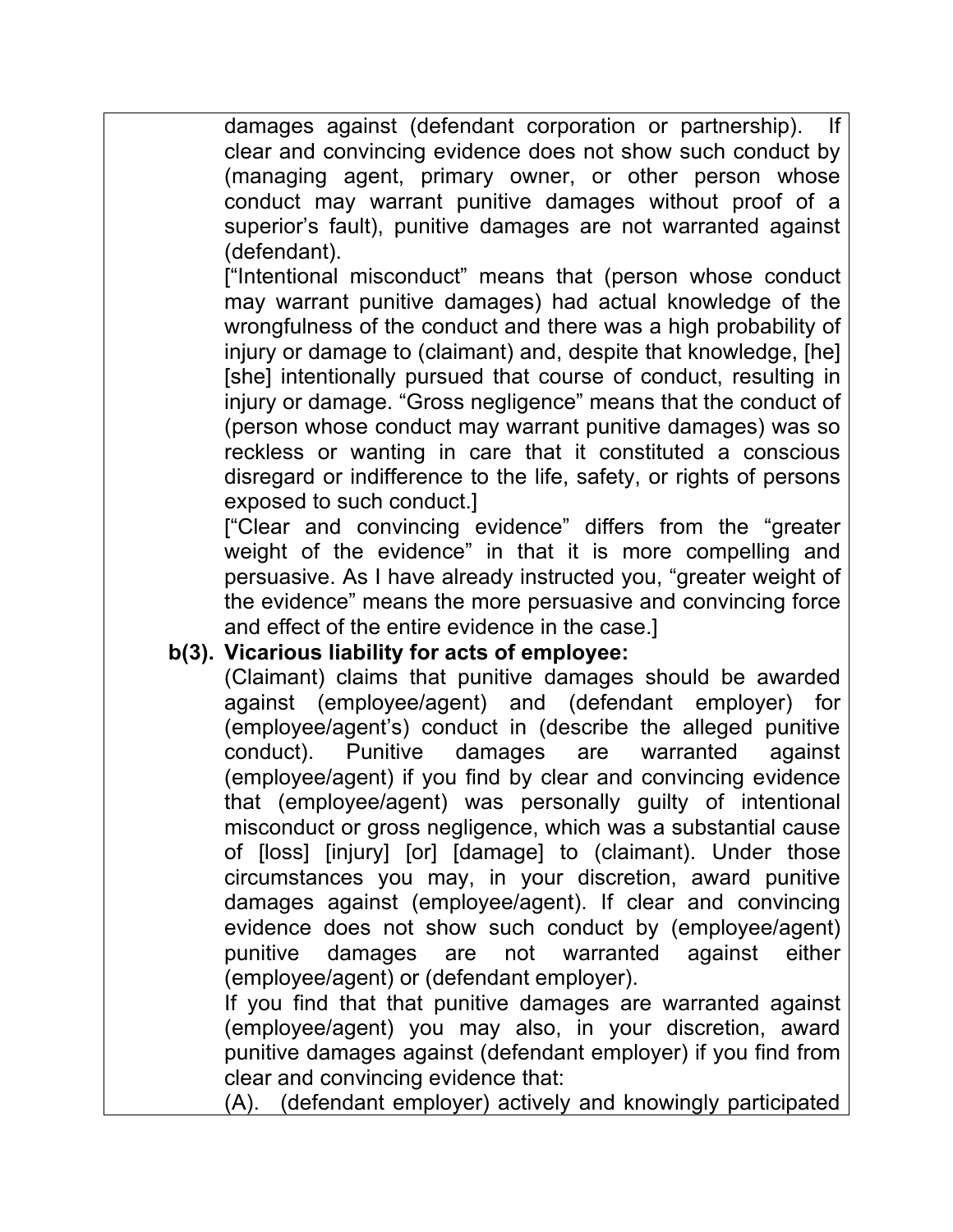damages against (defendant corporation or partnership). If clear and convincing evidence does not show such conduct by (managing agent, primary owner, or other person whose conduct may warrant punitive damages without proof of a superior's fault), punitive damages are not warranted against (defendant).

["Intentional misconduct" means that (person whose conduct may warrant punitive damages) had actual knowledge of the wrongfulness of the conduct and there was a high probability of injury or damage to (claimant) and, despite that knowledge, [he] [she] intentionally pursued that course of conduct, resulting in injury or damage. "Gross negligence" means that the conduct of (person whose conduct may warrant punitive damages) was so reckless or wanting in care that it constituted a conscious disregard or indifference to the life, safety, or rights of persons exposed to such conduct.]

["Clear and convincing evidence" differs from the "greater weight of the evidence" in that it is more compelling and persuasive. As I have already instructed you, "greater weight of the evidence" means the more persuasive and convincing force and effect of the entire evidence in the case.]

#### **b(3). Vicarious liability for acts of employee:**

(Claimant) claims that punitive damages should be awarded against (employee/agent) and (defendant employer) for (employee/agent's) conduct in (describe the alleged punitive conduct). Punitive damages are warranted against (employee/agent) if you find by clear and convincing evidence that (employee/agent) was personally guilty of intentional misconduct or gross negligence, which was a substantial cause of [loss] [injury] [or] [damage] to (claimant). Under those circumstances you may, in your discretion, award punitive damages against (employee/agent). If clear and convincing evidence does not show such conduct by (employee/agent) punitive damages are not warranted against either (employee/agent) or (defendant employer).

If you find that that punitive damages are warranted against (employee/agent) you may also, in your discretion, award punitive damages against (defendant employer) if you find from clear and convincing evidence that:

(A). (defendant employer) actively and knowingly participated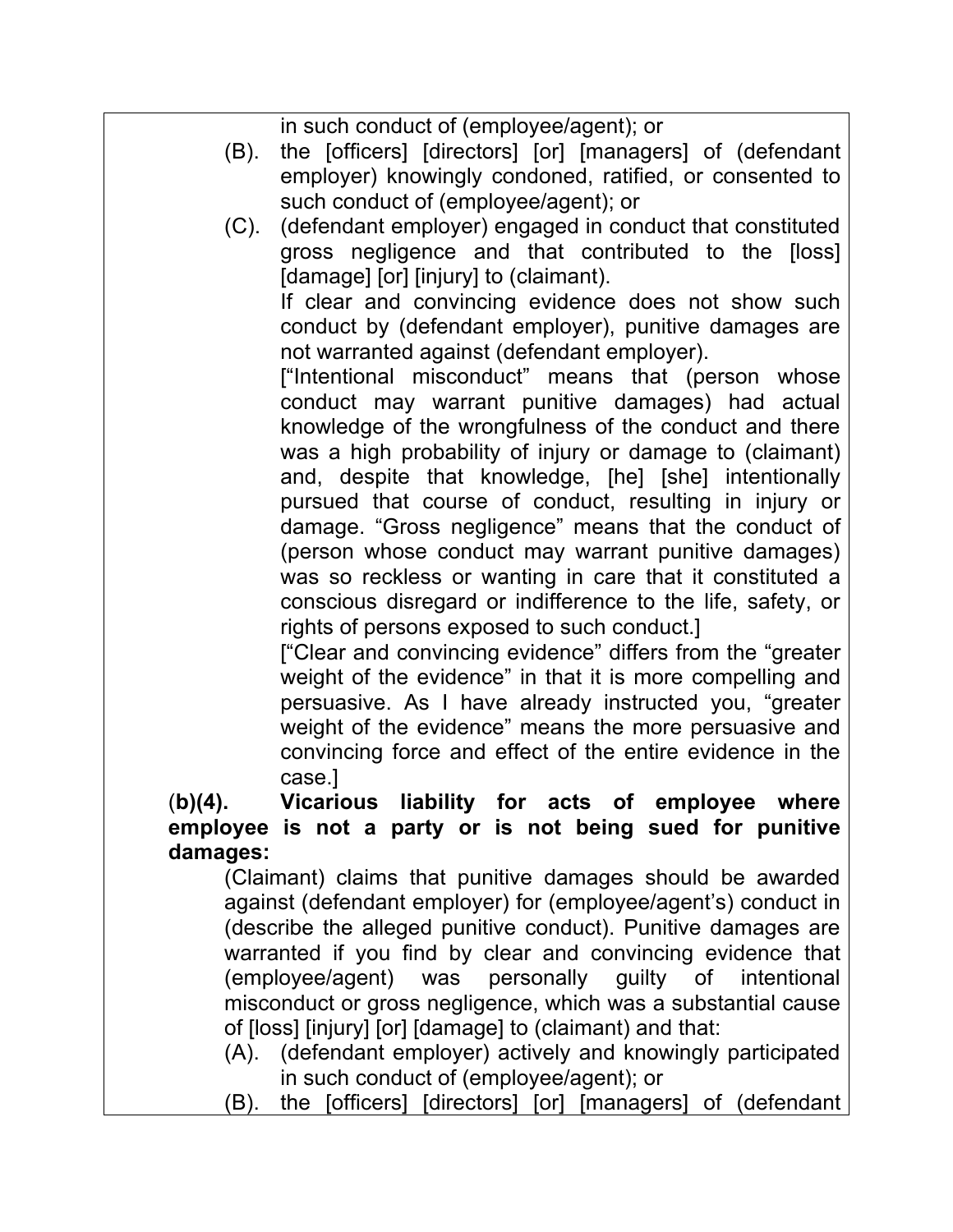in such conduct of (employee/agent); or

- (B). the [officers] [directors] [or] [managers] of (defendant employer) knowingly condoned, ratified, or consented to such conduct of (employee/agent); or
- (C). (defendant employer) engaged in conduct that constituted gross negligence and that contributed to the [loss] [damage] [or] [injury] to (claimant).

If clear and convincing evidence does not show such conduct by (defendant employer), punitive damages are not warranted against (defendant employer).

["Intentional misconduct" means that (person whose conduct may warrant punitive damages) had actual knowledge of the wrongfulness of the conduct and there was a high probability of injury or damage to (claimant) and, despite that knowledge, [he] [she] intentionally pursued that course of conduct, resulting in injury or damage. "Gross negligence" means that the conduct of (person whose conduct may warrant punitive damages) was so reckless or wanting in care that it constituted a conscious disregard or indifference to the life, safety, or rights of persons exposed to such conduct.]

["Clear and convincing evidence" differs from the "greater weight of the evidence" in that it is more compelling and persuasive. As I have already instructed you, "greater weight of the evidence" means the more persuasive and convincing force and effect of the entire evidence in the case.]

(**b)(4). Vicarious liability for acts of employee where employee is not a party or is not being sued for punitive damages:**

(Claimant) claims that punitive damages should be awarded against (defendant employer) for (employee/agent's) conduct in (describe the alleged punitive conduct). Punitive damages are warranted if you find by clear and convincing evidence that (employee/agent) was personally guilty of intentional misconduct or gross negligence, which was a substantial cause of [loss] [injury] [or] [damage] to (claimant) and that:

- (A). (defendant employer) actively and knowingly participated in such conduct of (employee/agent); or
- (B). the [officers] [directors] [or] [managers] of (defendant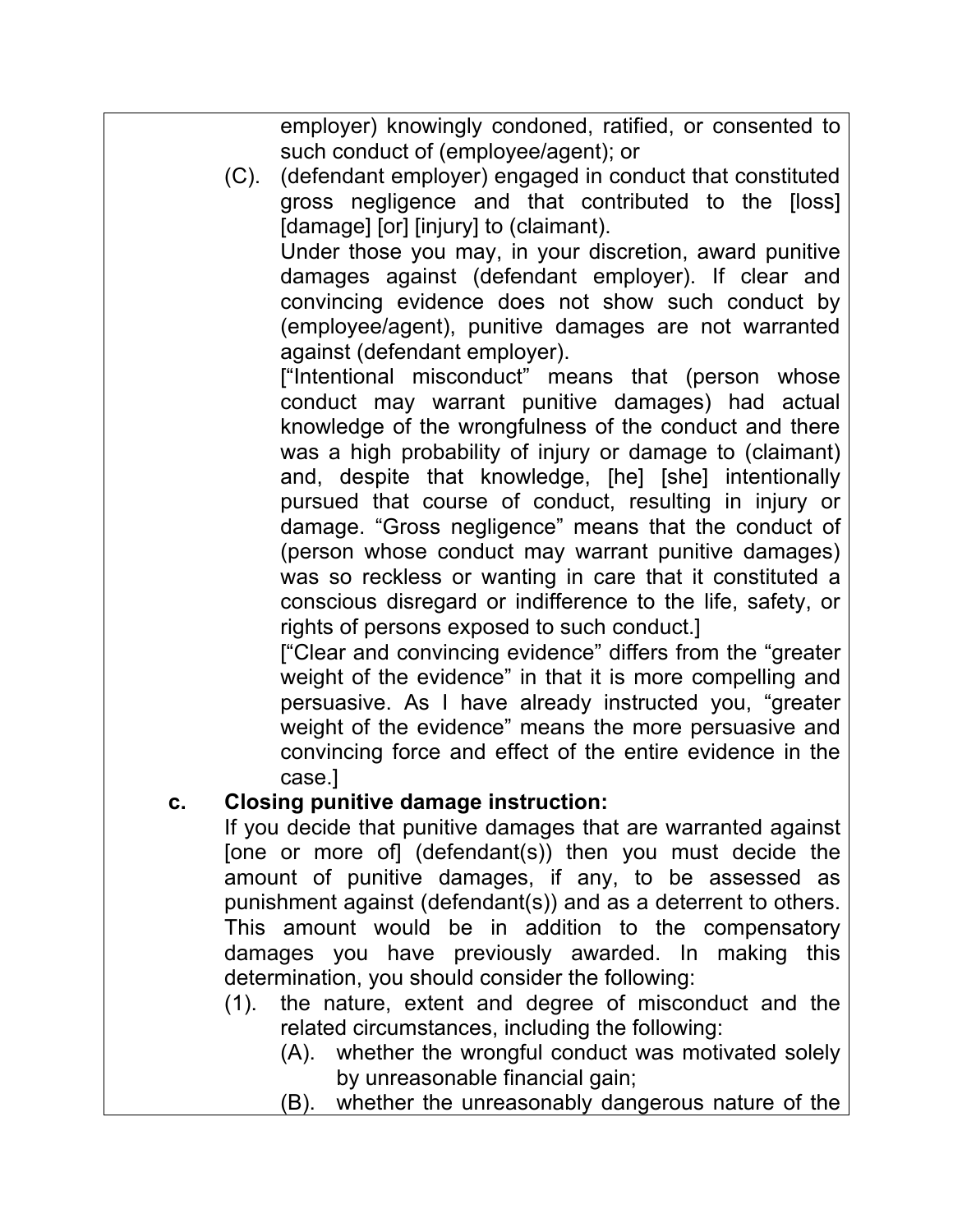employer) knowingly condoned, ratified, or consented to such conduct of (employee/agent); or

(C). (defendant employer) engaged in conduct that constituted gross negligence and that contributed to the [loss] [damage] [or] [injury] to (claimant).

Under those you may, in your discretion, award punitive damages against (defendant employer). If clear and convincing evidence does not show such conduct by (employee/agent), punitive damages are not warranted against (defendant employer).

["Intentional misconduct" means that (person whose conduct may warrant punitive damages) had actual knowledge of the wrongfulness of the conduct and there was a high probability of injury or damage to (claimant) and, despite that knowledge, [he] [she] intentionally pursued that course of conduct, resulting in injury or damage. "Gross negligence" means that the conduct of (person whose conduct may warrant punitive damages) was so reckless or wanting in care that it constituted a conscious disregard or indifference to the life, safety, or rights of persons exposed to such conduct.]

["Clear and convincing evidence" differs from the "greater weight of the evidence" in that it is more compelling and persuasive. As I have already instructed you, "greater weight of the evidence" means the more persuasive and convincing force and effect of the entire evidence in the case.]

# **c. Closing punitive damage instruction:**

If you decide that punitive damages that are warranted against [one or more of] (defendant(s)) then you must decide the amount of punitive damages, if any, to be assessed as punishment against (defendant(s)) and as a deterrent to others. This amount would be in addition to the compensatory damages you have previously awarded. In making this determination, you should consider the following:

- (1). the nature, extent and degree of misconduct and the related circumstances, including the following:
	- (A). whether the wrongful conduct was motivated solely by unreasonable financial gain;
	- (B). whether the unreasonably dangerous nature of the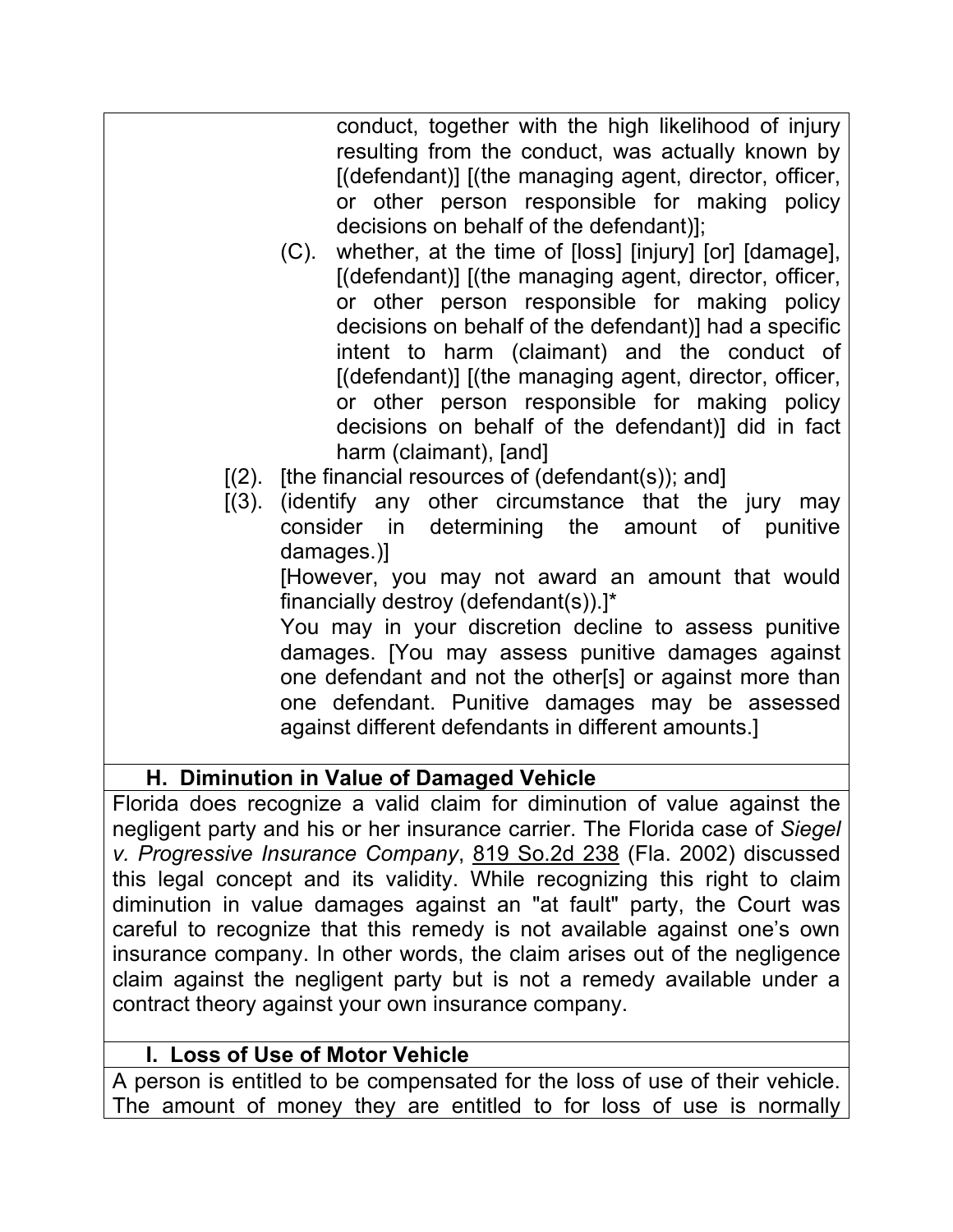conduct, together with the high likelihood of injury resulting from the conduct, was actually known by [(defendant)] [(the managing agent, director, officer, or other person responsible for making policy decisions on behalf of the defendant)];

- (C). whether, at the time of [loss] [injury] [or] [damage], [(defendant)] [(the managing agent, director, officer, or other person responsible for making policy decisions on behalf of the defendant)] had a specific intent to harm (claimant) and the conduct of [(defendant)] [(the managing agent, director, officer, or other person responsible for making policy decisions on behalf of the defendant)] did in fact harm (claimant), [and]
- $[(2)$ . [the financial resources of (defendant(s)); and]
- [(3). (identify any other circumstance that the jury may consider in determining the amount of punitive damages.)]

[However, you may not award an amount that would financially destroy (defendant(s)).]\*

You may in your discretion decline to assess punitive damages. [You may assess punitive damages against one defendant and not the other[s] or against more than one defendant. Punitive damages may be assessed against different defendants in different amounts.]

# **H. Diminution in Value of Damaged Vehicle**

Florida does recognize a valid claim for diminution of value against the negligent party and his or her insurance carrier. The Florida case of *Siegel v. Progressive Insurance Company*, 819 So.2d 238 (Fla. 2002) discussed this legal concept and its validity. While recognizing this right to claim diminution in value damages against an "at fault" party, the Court was careful to recognize that this remedy is not available against one's own insurance company. In other words, the claim arises out of the negligence claim against the negligent party but is not a remedy available under a contract theory against your own insurance company.

# **I. Loss of Use of Motor Vehicle**

A person is entitled to be compensated for the loss of use of their vehicle. The amount of money they are entitled to for loss of use is normally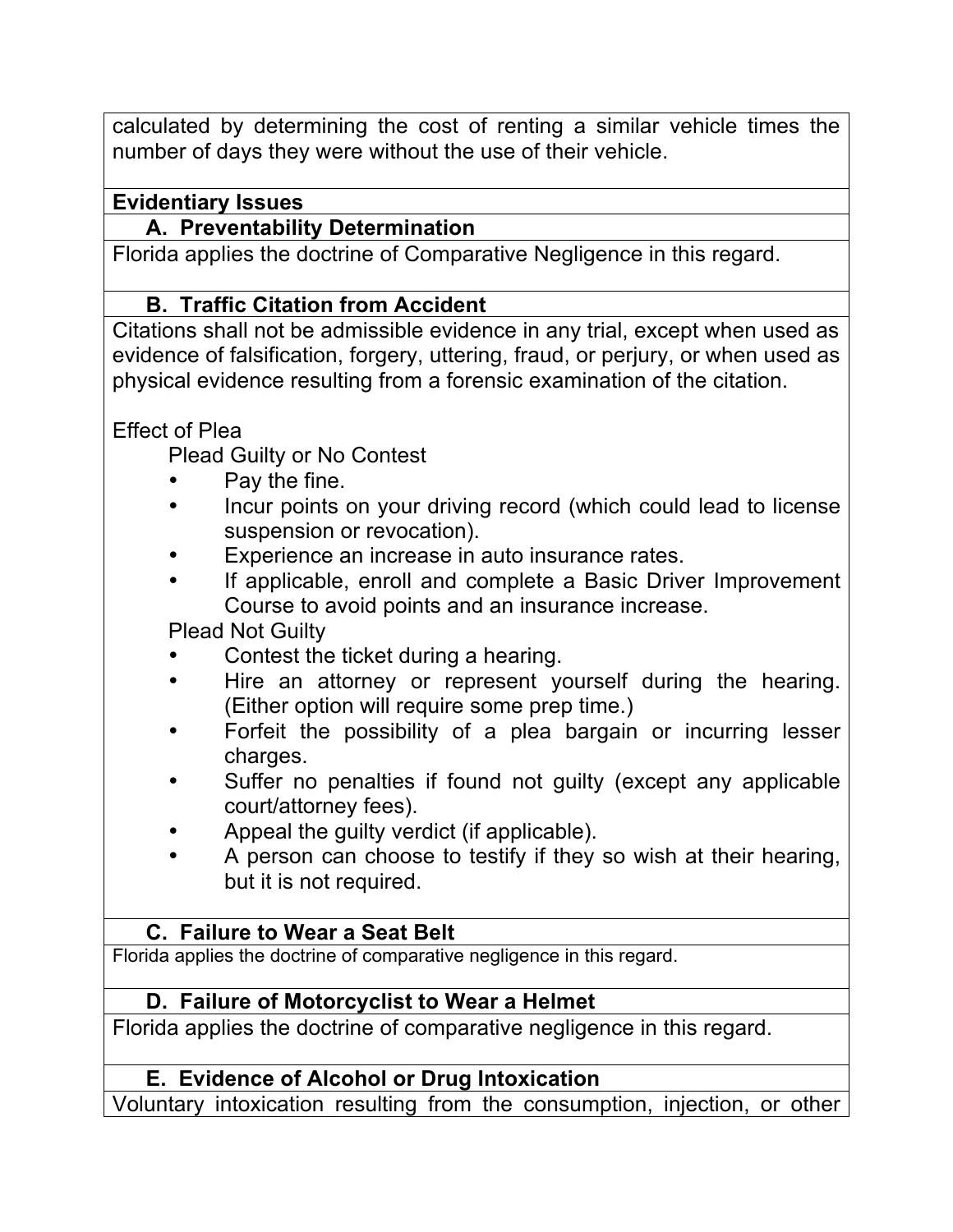calculated by determining the cost of renting a similar vehicle times the number of days they were without the use of their vehicle.

#### **Evidentiary Issues**

### **A. Preventability Determination**

Florida applies the doctrine of Comparative Negligence in this regard.

#### **B. Traffic Citation from Accident**

Citations shall not be admissible evidence in any trial, except when used as evidence of falsification, forgery, uttering, fraud, or perjury, or when used as physical evidence resulting from a forensic examination of the citation.

Effect of Plea

Plead Guilty or No Contest

- Pay the fine.
- Incur points on your driving record (which could lead to license suspension or revocation).
- Experience an increase in auto insurance rates.
- If applicable, enroll and complete a Basic Driver Improvement Course to avoid points and an insurance increase.

Plead Not Guilty

- Contest the ticket during a hearing.
- Hire an attorney or represent yourself during the hearing. (Either option will require some prep time.)
- Forfeit the possibility of a plea bargain or incurring lesser charges.
- Suffer no penalties if found not guilty (except any applicable court/attorney fees).
- Appeal the guilty verdict (if applicable).
- A person can choose to testify if they so wish at their hearing, but it is not required.

#### **C. Failure to Wear a Seat Belt**

Florida applies the doctrine of comparative negligence in this regard.

#### **D. Failure of Motorcyclist to Wear a Helmet**

Florida applies the doctrine of comparative negligence in this regard.

#### **E. Evidence of Alcohol or Drug Intoxication**

Voluntary intoxication resulting from the consumption, injection, or other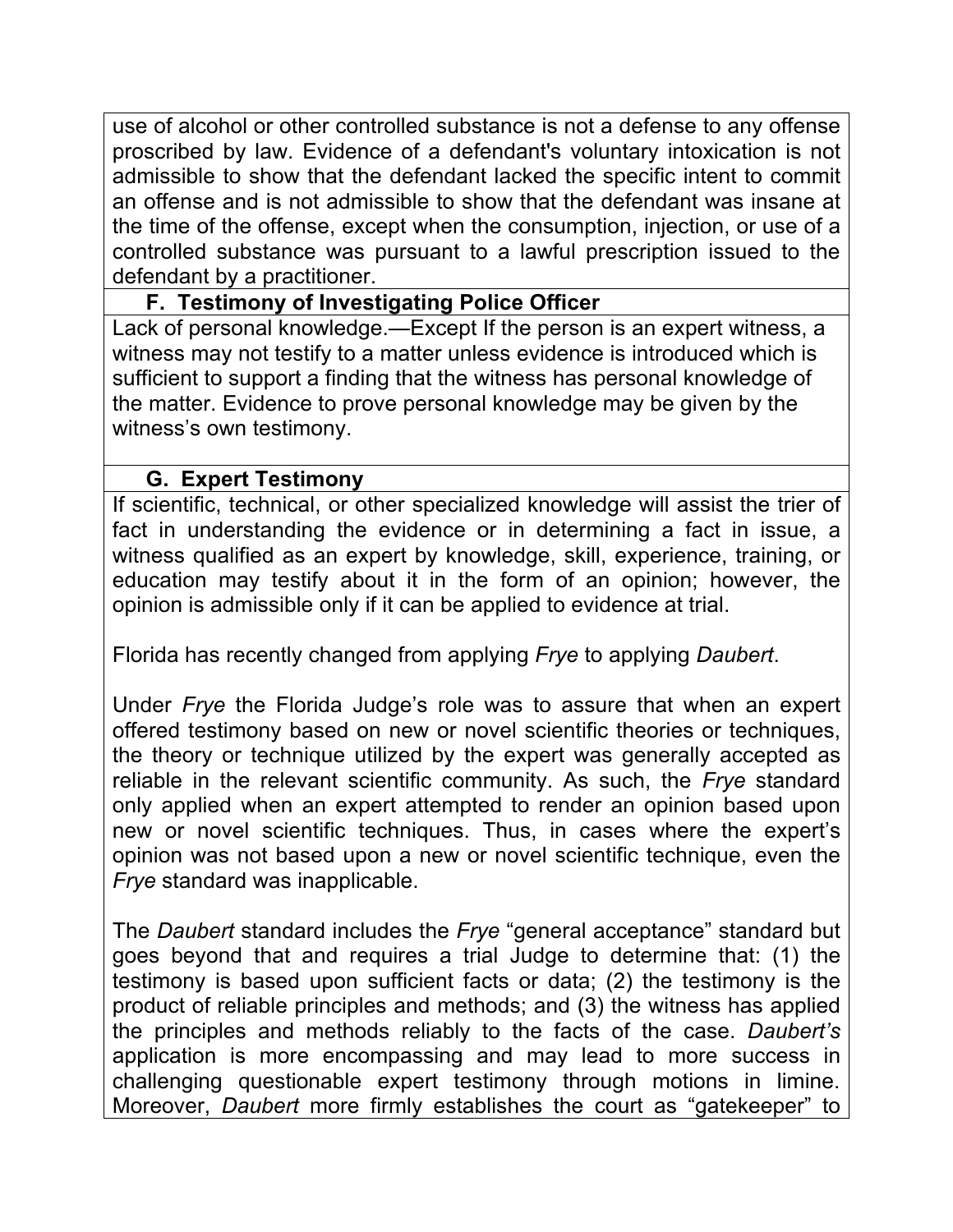use of alcohol or other controlled substance is not a defense to any offense proscribed by law. Evidence of a defendant's voluntary intoxication is not admissible to show that the defendant lacked the specific intent to commit an offense and is not admissible to show that the defendant was insane at the time of the offense, except when the consumption, injection, or use of a controlled substance was pursuant to a lawful prescription issued to the defendant by a practitioner.

**F. Testimony of Investigating Police Officer**

Lack of personal knowledge.—Except If the person is an expert witness, a witness may not testify to a matter unless evidence is introduced which is sufficient to support a finding that the witness has personal knowledge of the matter. Evidence to prove personal knowledge may be given by the witness's own testimony.

# **G. Expert Testimony**

If scientific, technical, or other specialized knowledge will assist the trier of fact in understanding the evidence or in determining a fact in issue, a witness qualified as an expert by knowledge, skill, experience, training, or education may testify about it in the form of an opinion; however, the opinion is admissible only if it can be applied to evidence at trial.

Florida has recently changed from applying *Frye* to applying *Daubert*.

Under *Frye* the Florida Judge's role was to assure that when an expert offered testimony based on new or novel scientific theories or techniques, the theory or technique utilized by the expert was generally accepted as reliable in the relevant scientific community. As such, the *Frye* standard only applied when an expert attempted to render an opinion based upon new or novel scientific techniques. Thus, in cases where the expert's opinion was not based upon a new or novel scientific technique, even the *Frye* standard was inapplicable.

The *Daubert* standard includes the *Frye* "general acceptance" standard but goes beyond that and requires a trial Judge to determine that: (1) the testimony is based upon sufficient facts or data; (2) the testimony is the product of reliable principles and methods; and (3) the witness has applied the principles and methods reliably to the facts of the case. *Daubert's*  application is more encompassing and may lead to more success in challenging questionable expert testimony through motions in limine. Moreover, *Daubert* more firmly establishes the court as "gatekeeper" to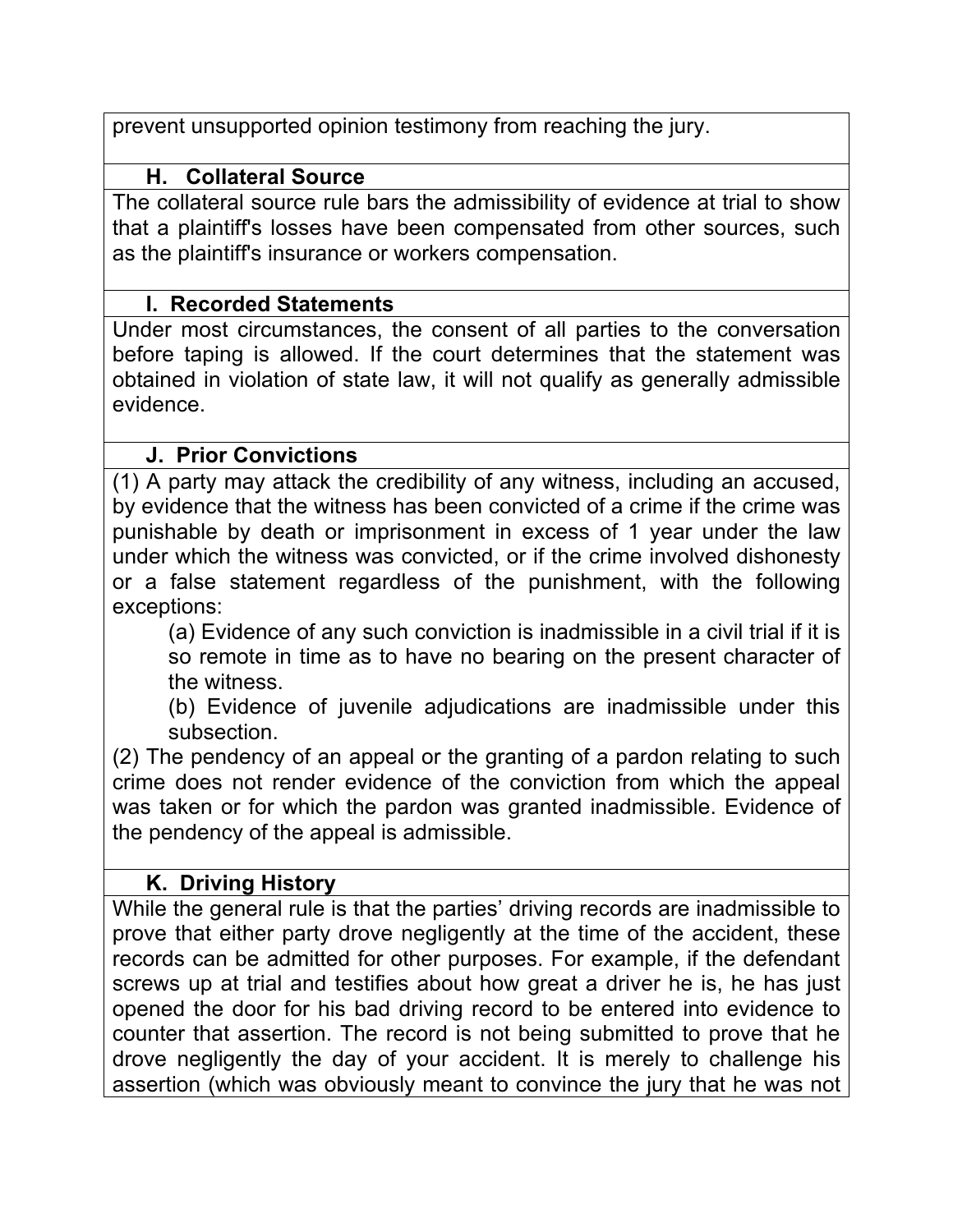prevent unsupported opinion testimony from reaching the jury.

# **H. Collateral Source**

The collateral source rule bars the admissibility of evidence at trial to show that a plaintiff's losses have been compensated from other sources, such as the plaintiff's insurance or workers compensation.

# **I. Recorded Statements**

Under most circumstances, the consent of all parties to the conversation before taping is allowed. If the court determines that the statement was obtained in violation of state law, it will not qualify as generally admissible evidence.

# **J. Prior Convictions**

(1) A party may attack the credibility of any witness, including an accused, by evidence that the witness has been convicted of a crime if the crime was punishable by death or imprisonment in excess of 1 year under the law under which the witness was convicted, or if the crime involved dishonesty or a false statement regardless of the punishment, with the following exceptions:

(a) Evidence of any such conviction is inadmissible in a civil trial if it is so remote in time as to have no bearing on the present character of the witness.

(b) Evidence of juvenile adjudications are inadmissible under this subsection.

(2) The pendency of an appeal or the granting of a pardon relating to such crime does not render evidence of the conviction from which the appeal was taken or for which the pardon was granted inadmissible. Evidence of the pendency of the appeal is admissible.

# **K. Driving History**

While the general rule is that the parties' driving records are inadmissible to prove that either party drove negligently at the time of the accident, these records can be admitted for other purposes. For example, if the defendant screws up at trial and testifies about how great a driver he is, he has just opened the door for his bad driving record to be entered into evidence to counter that assertion. The record is not being submitted to prove that he drove negligently the day of your accident. It is merely to challenge his assertion (which was obviously meant to convince the jury that he was not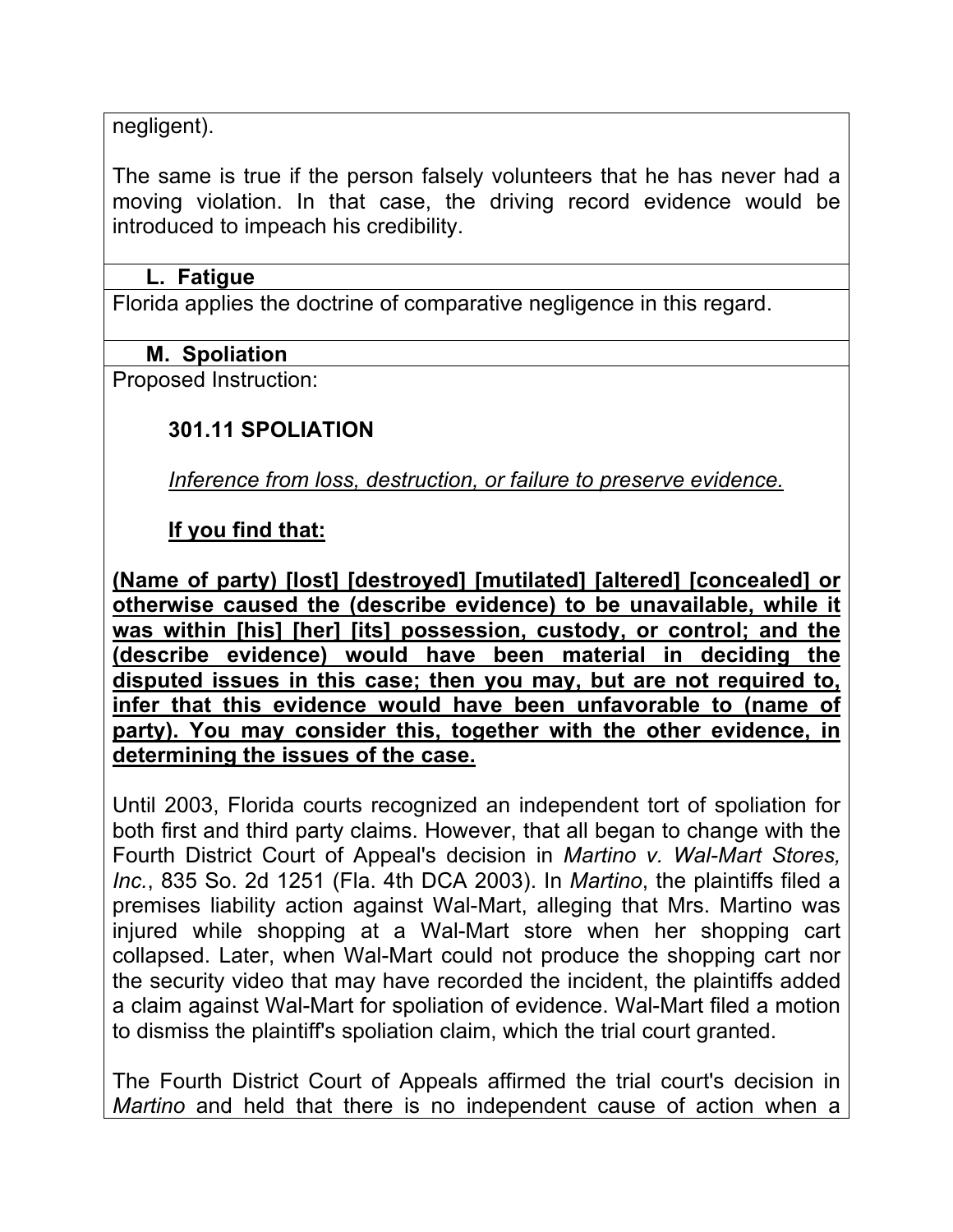#### negligent).

The same is true if the person falsely volunteers that he has never had a moving violation. In that case, the driving record evidence would be introduced to impeach his credibility.

#### **L. Fatigue**

Florida applies the doctrine of comparative negligence in this regard.

#### **M. Spoliation**

Proposed Instruction:

# **301.11 SPOLIATION**

*Inference from loss, destruction, or failure to preserve evidence.*

# **If you find that:**

**(Name of party) [lost] [destroyed] [mutilated] [altered] [concealed] or otherwise caused the (describe evidence) to be unavailable, while it was within [his] [her] [its] possession, custody, or control; and the (describe evidence) would have been material in deciding the disputed issues in this case; then you may, but are not required to, infer that this evidence would have been unfavorable to (name of party). You may consider this, together with the other evidence, in determining the issues of the case.**

Until 2003, Florida courts recognized an independent tort of spoliation for both first and third party claims. However, that all began to change with the Fourth District Court of Appeal's decision in *Martino v. Wal-Mart Stores, Inc.*, 835 So. 2d 1251 (Fla. 4th DCA 2003). In *Martino*, the plaintiffs filed a premises liability action against Wal-Mart, alleging that Mrs. Martino was injured while shopping at a Wal-Mart store when her shopping cart collapsed. Later, when Wal-Mart could not produce the shopping cart nor the security video that may have recorded the incident, the plaintiffs added a claim against Wal-Mart for spoliation of evidence. Wal-Mart filed a motion to dismiss the plaintiff's spoliation claim, which the trial court granted.

The Fourth District Court of Appeals affirmed the trial court's decision in *Martino* and held that there is no independent cause of action when a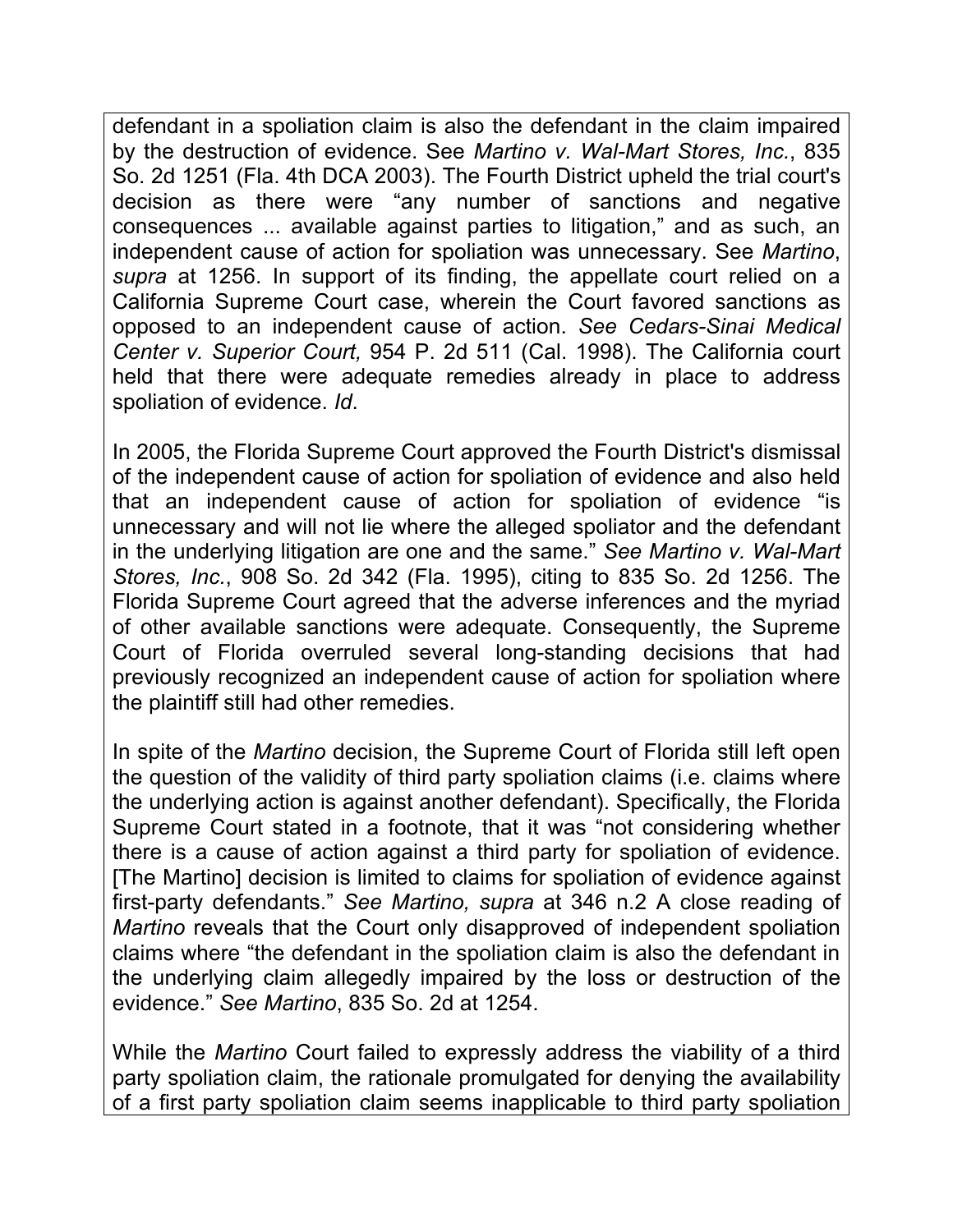defendant in a spoliation claim is also the defendant in the claim impaired by the destruction of evidence. See *Martino v. Wal-Mart Stores, Inc.*, 835 So. 2d 1251 (Fla. 4th DCA 2003). The Fourth District upheld the trial court's decision as there were "any number of sanctions and negative consequences ... available against parties to litigation," and as such, an independent cause of action for spoliation was unnecessary. See *Martino*, *supra* at 1256. In support of its finding, the appellate court relied on a California Supreme Court case, wherein the Court favored sanctions as opposed to an independent cause of action. *See Cedars-Sinai Medical Center v. Superior Court,* 954 P. 2d 511 (Cal. 1998). The California court held that there were adequate remedies already in place to address spoliation of evidence. *Id*.

In 2005, the Florida Supreme Court approved the Fourth District's dismissal of the independent cause of action for spoliation of evidence and also held that an independent cause of action for spoliation of evidence "is unnecessary and will not lie where the alleged spoliator and the defendant in the underlying litigation are one and the same." *See Martino v. Wal-Mart Stores, Inc.*, 908 So. 2d 342 (Fla. 1995), citing to 835 So. 2d 1256. The Florida Supreme Court agreed that the adverse inferences and the myriad of other available sanctions were adequate. Consequently, the Supreme Court of Florida overruled several long-standing decisions that had previously recognized an independent cause of action for spoliation where the plaintiff still had other remedies.

In spite of the *Martino* decision, the Supreme Court of Florida still left open the question of the validity of third party spoliation claims (i.e. claims where the underlying action is against another defendant). Specifically, the Florida Supreme Court stated in a footnote, that it was "not considering whether there is a cause of action against a third party for spoliation of evidence. [The Martino] decision is limited to claims for spoliation of evidence against first-party defendants." *See Martino, supra* at 346 n.2 A close reading of *Martino* reveals that the Court only disapproved of independent spoliation claims where "the defendant in the spoliation claim is also the defendant in the underlying claim allegedly impaired by the loss or destruction of the evidence." *See Martino*, 835 So. 2d at 1254.

While the *Martino* Court failed to expressly address the viability of a third party spoliation claim, the rationale promulgated for denying the availability of a first party spoliation claim seems inapplicable to third party spoliation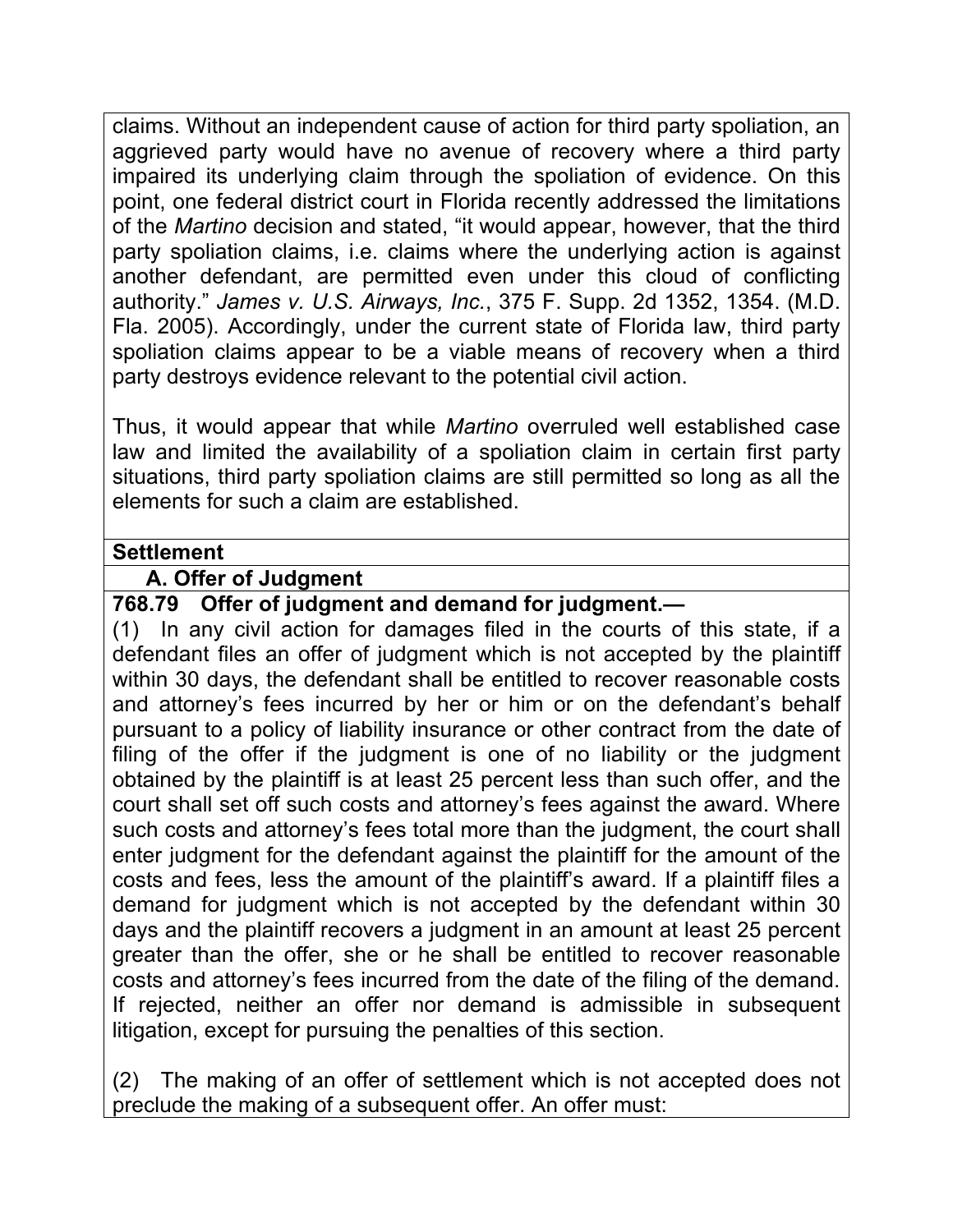claims. Without an independent cause of action for third party spoliation, an aggrieved party would have no avenue of recovery where a third party impaired its underlying claim through the spoliation of evidence. On this point, one federal district court in Florida recently addressed the limitations of the *Martino* decision and stated, "it would appear, however, that the third party spoliation claims, i.e. claims where the underlying action is against another defendant, are permitted even under this cloud of conflicting authority." *James v. U.S. Airways, Inc.*, 375 F. Supp. 2d 1352, 1354. (M.D. Fla. 2005). Accordingly, under the current state of Florida law, third party spoliation claims appear to be a viable means of recovery when a third party destroys evidence relevant to the potential civil action.

Thus, it would appear that while *Martino* overruled well established case law and limited the availability of a spoliation claim in certain first party situations, third party spoliation claims are still permitted so long as all the elements for such a claim are established.

### **Settlement**

### **A. Offer of Judgment**

### **768.79 Offer of judgment and demand for judgment.—**

(1) In any civil action for damages filed in the courts of this state, if a defendant files an offer of judgment which is not accepted by the plaintiff within 30 days, the defendant shall be entitled to recover reasonable costs and attorney's fees incurred by her or him or on the defendant's behalf pursuant to a policy of liability insurance or other contract from the date of filing of the offer if the judgment is one of no liability or the judgment obtained by the plaintiff is at least 25 percent less than such offer, and the court shall set off such costs and attorney's fees against the award. Where such costs and attorney's fees total more than the judgment, the court shall enter judgment for the defendant against the plaintiff for the amount of the costs and fees, less the amount of the plaintiff's award. If a plaintiff files a demand for judgment which is not accepted by the defendant within 30 days and the plaintiff recovers a judgment in an amount at least 25 percent greater than the offer, she or he shall be entitled to recover reasonable costs and attorney's fees incurred from the date of the filing of the demand. If rejected, neither an offer nor demand is admissible in subsequent litigation, except for pursuing the penalties of this section.

(2) The making of an offer of settlement which is not accepted does not preclude the making of a subsequent offer. An offer must: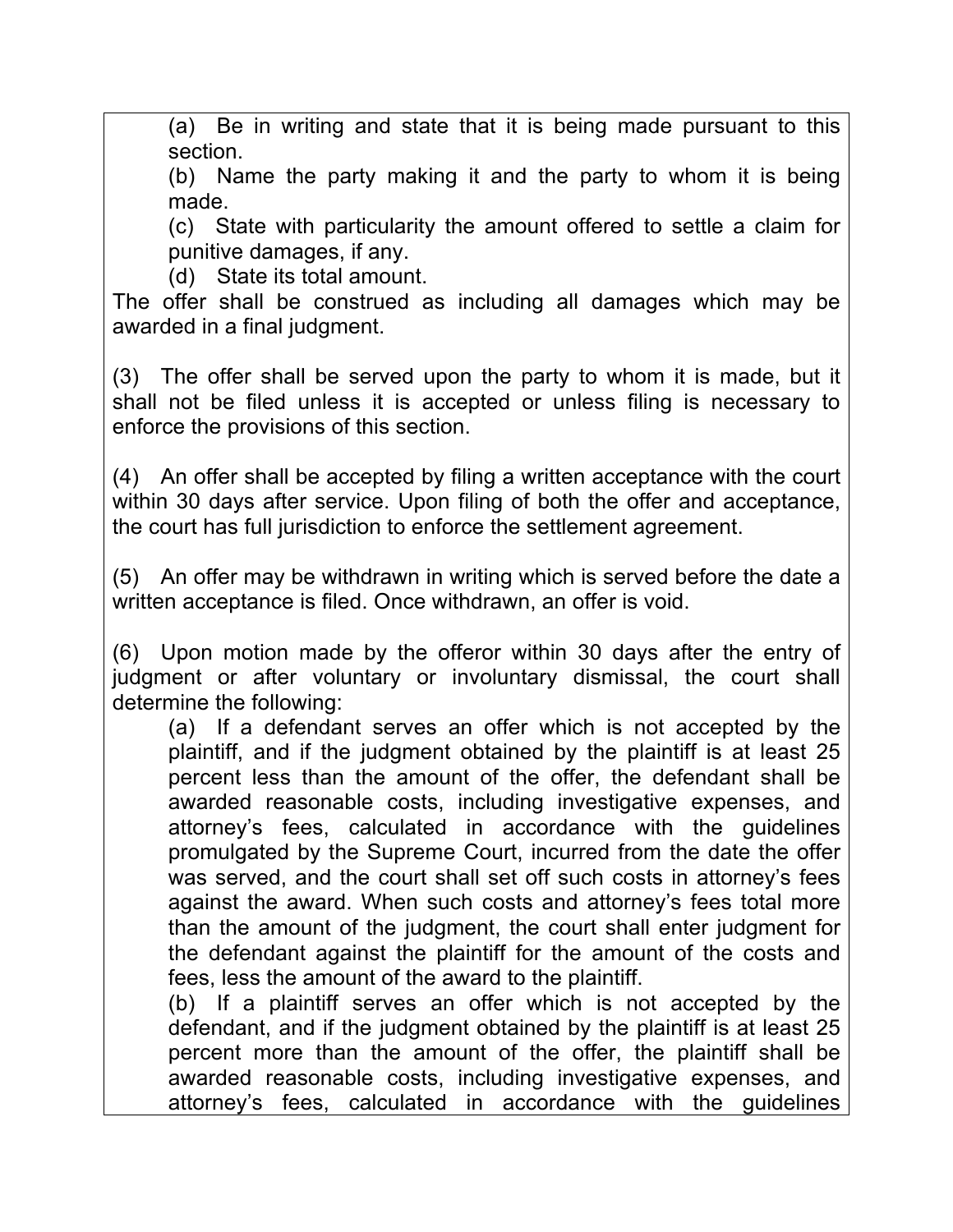(a) Be in writing and state that it is being made pursuant to this section.

(b) Name the party making it and the party to whom it is being made.

(c) State with particularity the amount offered to settle a claim for punitive damages, if any.

(d) State its total amount.

The offer shall be construed as including all damages which may be awarded in a final judgment.

(3) The offer shall be served upon the party to whom it is made, but it shall not be filed unless it is accepted or unless filing is necessary to enforce the provisions of this section.

(4) An offer shall be accepted by filing a written acceptance with the court within 30 days after service. Upon filing of both the offer and acceptance, the court has full jurisdiction to enforce the settlement agreement.

(5) An offer may be withdrawn in writing which is served before the date a written acceptance is filed. Once withdrawn, an offer is void.

(6) Upon motion made by the offeror within 30 days after the entry of judgment or after voluntary or involuntary dismissal, the court shall determine the following:

(a) If a defendant serves an offer which is not accepted by the plaintiff, and if the judgment obtained by the plaintiff is at least 25 percent less than the amount of the offer, the defendant shall be awarded reasonable costs, including investigative expenses, and attorney's fees, calculated in accordance with the guidelines promulgated by the Supreme Court, incurred from the date the offer was served, and the court shall set off such costs in attorney's fees against the award. When such costs and attorney's fees total more than the amount of the judgment, the court shall enter judgment for the defendant against the plaintiff for the amount of the costs and fees, less the amount of the award to the plaintiff.

(b) If a plaintiff serves an offer which is not accepted by the defendant, and if the judgment obtained by the plaintiff is at least 25 percent more than the amount of the offer, the plaintiff shall be awarded reasonable costs, including investigative expenses, and attorney's fees, calculated in accordance with the guidelines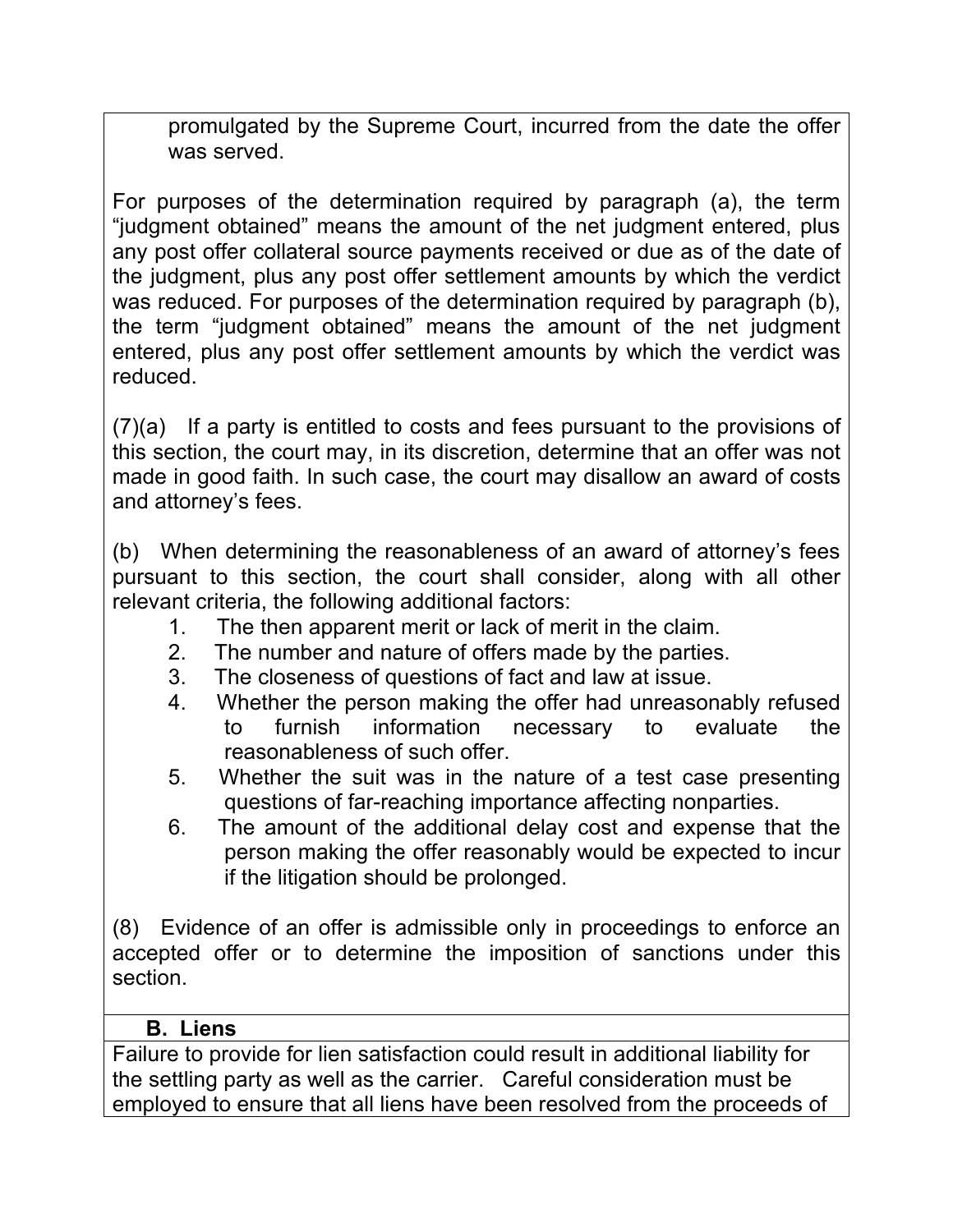promulgated by the Supreme Court, incurred from the date the offer was served.

For purposes of the determination required by paragraph (a), the term "judgment obtained" means the amount of the net judgment entered, plus any post offer collateral source payments received or due as of the date of the judgment, plus any post offer settlement amounts by which the verdict was reduced. For purposes of the determination required by paragraph (b), the term "judgment obtained" means the amount of the net judgment entered, plus any post offer settlement amounts by which the verdict was reduced.

(7)(a) If a party is entitled to costs and fees pursuant to the provisions of this section, the court may, in its discretion, determine that an offer was not made in good faith. In such case, the court may disallow an award of costs and attorney's fees.

(b) When determining the reasonableness of an award of attorney's fees pursuant to this section, the court shall consider, along with all other relevant criteria, the following additional factors:

- 1. The then apparent merit or lack of merit in the claim.
- 2. The number and nature of offers made by the parties.
- 3. The closeness of questions of fact and law at issue.
- 4. Whether the person making the offer had unreasonably refused to furnish information necessary to evaluate the reasonableness of such offer.
- 5. Whether the suit was in the nature of a test case presenting questions of far-reaching importance affecting nonparties.
- 6. The amount of the additional delay cost and expense that the person making the offer reasonably would be expected to incur if the litigation should be prolonged.

(8) Evidence of an offer is admissible only in proceedings to enforce an accepted offer or to determine the imposition of sanctions under this section.

#### **B. Liens**

Failure to provide for lien satisfaction could result in additional liability for the settling party as well as the carrier. Careful consideration must be employed to ensure that all liens have been resolved from the proceeds of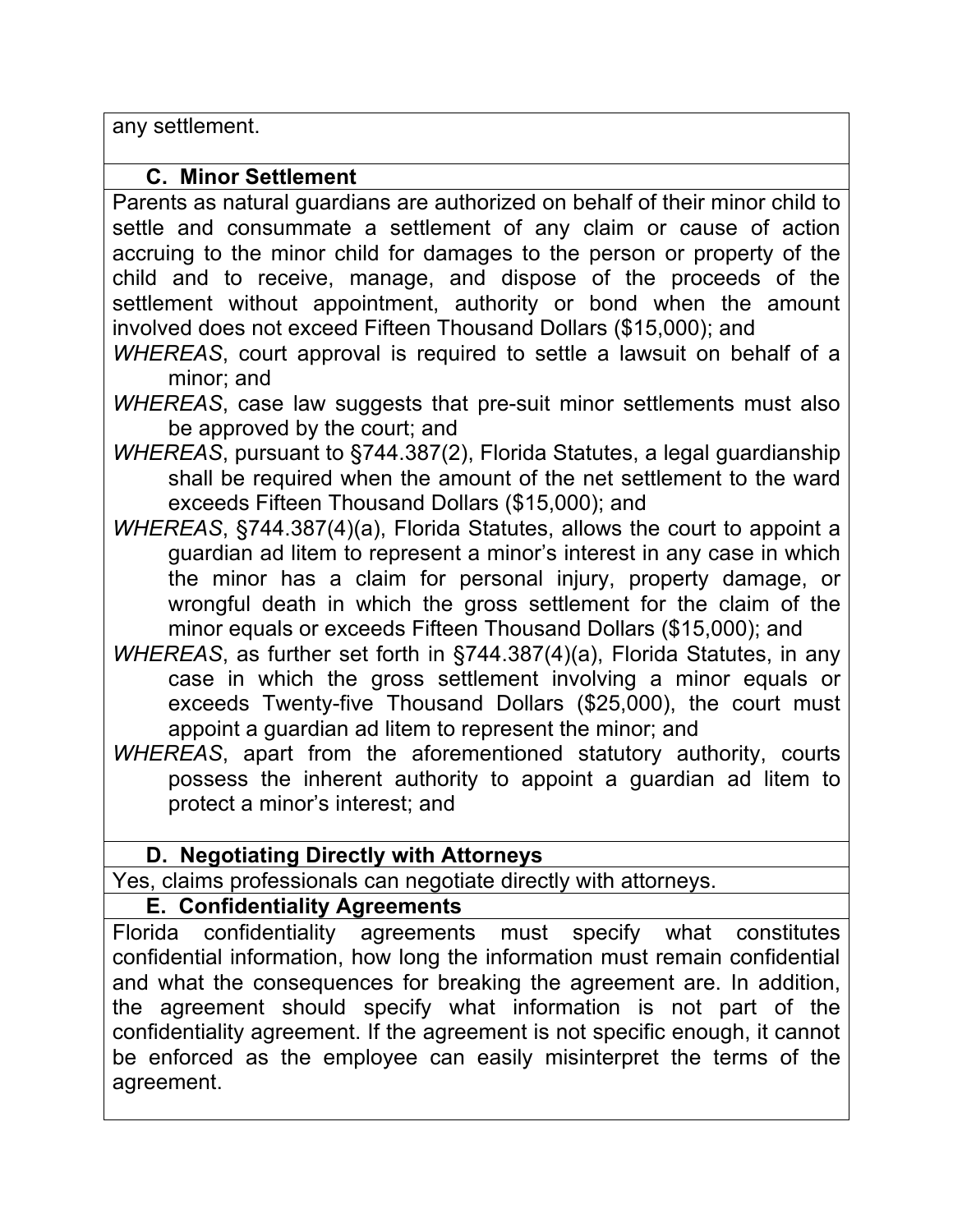any settlement.

# **C. Minor Settlement**

Parents as natural guardians are authorized on behalf of their minor child to settle and consummate a settlement of any claim or cause of action accruing to the minor child for damages to the person or property of the child and to receive, manage, and dispose of the proceeds of the settlement without appointment, authority or bond when the amount involved does not exceed Fifteen Thousand Dollars (\$15,000); and

- *WHEREAS*, court approval is required to settle a lawsuit on behalf of a minor; and
- *WHEREAS*, case law suggests that pre-suit minor settlements must also be approved by the court; and
- *WHEREAS*, pursuant to §744.387(2), Florida Statutes, a legal guardianship shall be required when the amount of the net settlement to the ward exceeds Fifteen Thousand Dollars (\$15,000); and
- *WHEREAS*, §744.387(4)(a), Florida Statutes, allows the court to appoint a guardian ad litem to represent a minor's interest in any case in which the minor has a claim for personal injury, property damage, or wrongful death in which the gross settlement for the claim of the minor equals or exceeds Fifteen Thousand Dollars (\$15,000); and
- *WHEREAS*, as further set forth in §744.387(4)(a), Florida Statutes, in any case in which the gross settlement involving a minor equals or exceeds Twenty-five Thousand Dollars (\$25,000), the court must appoint a guardian ad litem to represent the minor; and
- *WHEREAS*, apart from the aforementioned statutory authority, courts possess the inherent authority to appoint a guardian ad litem to protect a minor's interest; and

# **D. Negotiating Directly with Attorneys**

Yes, claims professionals can negotiate directly with attorneys.

# **E. Confidentiality Agreements**

Florida confidentiality agreements must specify what constitutes confidential information, how long the information must remain confidential and what the consequences for breaking the agreement are. In addition, the agreement should specify what information is not part of the confidentiality agreement. If the agreement is not specific enough, it cannot be enforced as the employee can easily misinterpret the terms of the agreement.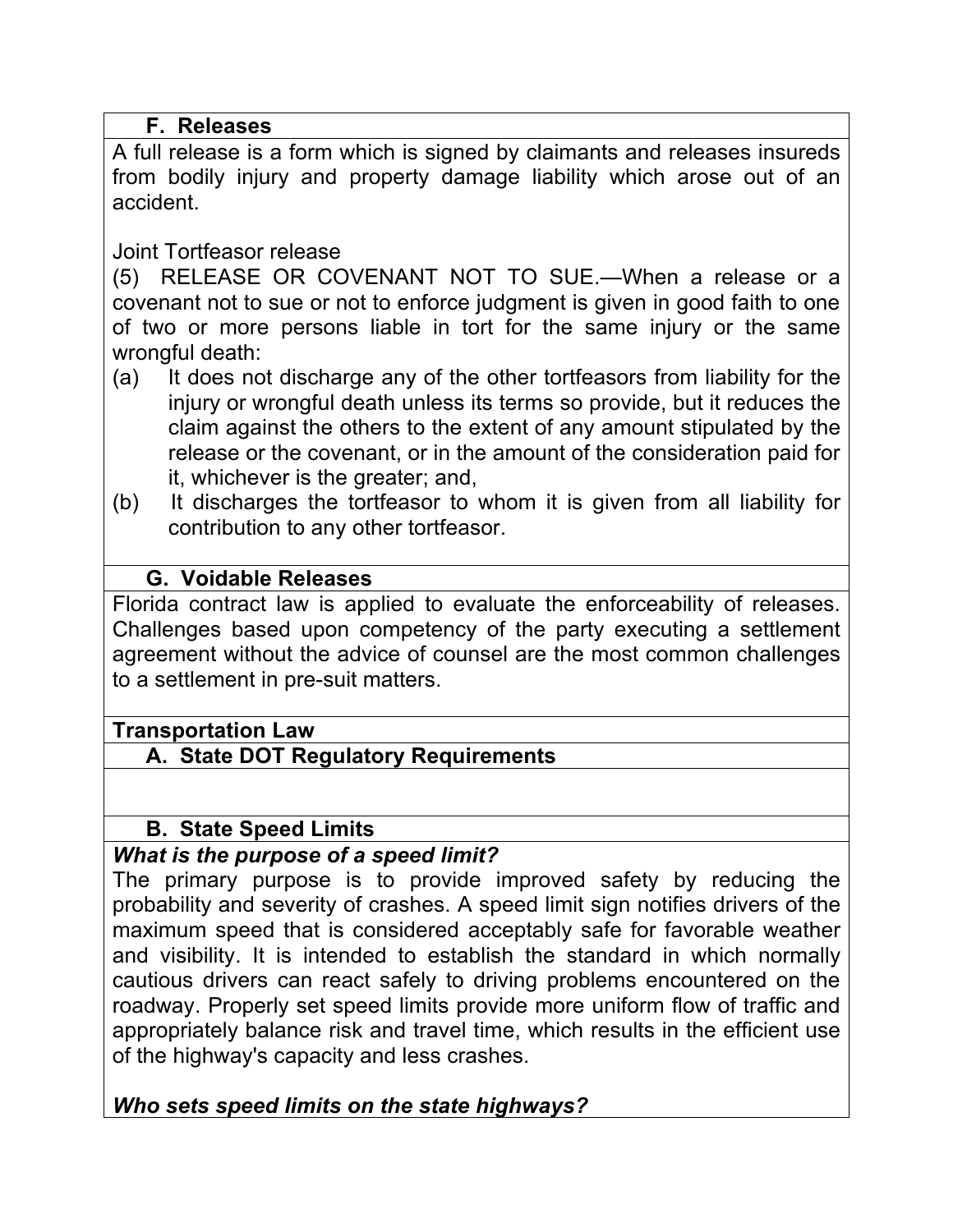#### **F. Releases**

A full release is a form which is signed by claimants and releases insureds from bodily injury and property damage liability which arose out of an accident.

# Joint Tortfeasor release

(5) RELEASE OR COVENANT NOT TO SUE.—When a release or a covenant not to sue or not to enforce judgment is given in good faith to one of two or more persons liable in tort for the same injury or the same wrongful death:

- (a) It does not discharge any of the other tortfeasors from liability for the injury or wrongful death unless its terms so provide, but it reduces the claim against the others to the extent of any amount stipulated by the release or the covenant, or in the amount of the consideration paid for it, whichever is the greater; and,
- (b) It discharges the tortfeasor to whom it is given from all liability for contribution to any other tortfeasor.

# **G. Voidable Releases**

Florida contract law is applied to evaluate the enforceability of releases. Challenges based upon competency of the party executing a settlement agreement without the advice of counsel are the most common challenges to a settlement in pre-suit matters.

# **Transportation Law**

**A. State DOT Regulatory Requirements**

# **B. State Speed Limits**

# *What is the purpose of a speed limit?*

The primary purpose is to provide improved safety by reducing the probability and severity of crashes. A speed limit sign notifies drivers of the maximum speed that is considered acceptably safe for favorable weather and visibility. It is intended to establish the standard in which normally cautious drivers can react safely to driving problems encountered on the roadway. Properly set speed limits provide more uniform flow of traffic and appropriately balance risk and travel time, which results in the efficient use of the highway's capacity and less crashes.

# *Who sets speed limits on the state highways?*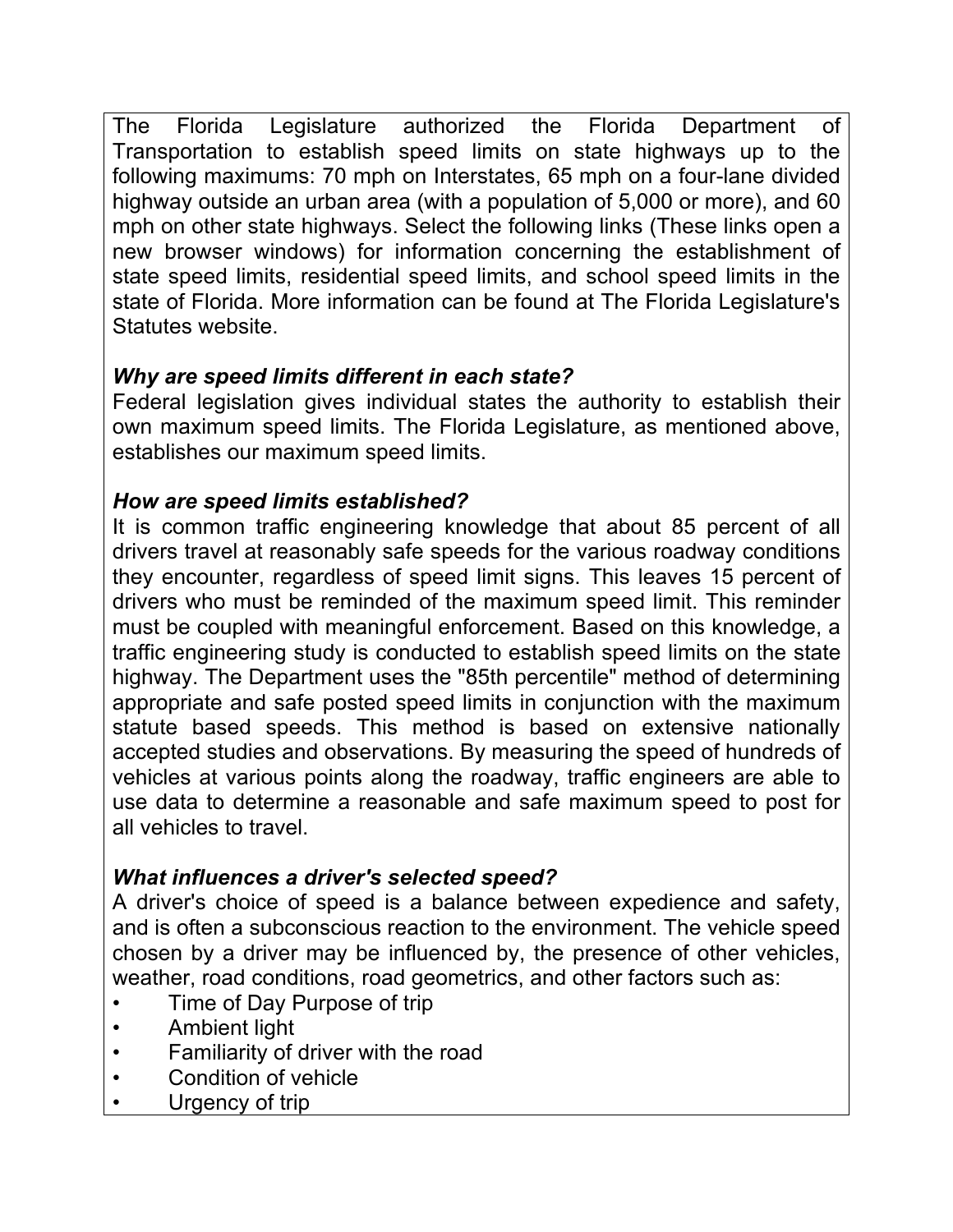The Florida Legislature authorized the Florida Department of Transportation to establish speed limits on state highways up to the following maximums: 70 mph on Interstates, 65 mph on a four-lane divided highway outside an urban area (with a population of 5,000 or more), and 60 mph on other state highways. Select the following links (These links open a new browser windows) for information concerning the establishment of state speed limits, residential speed limits, and school speed limits in the state of Florida. More information can be found at The Florida Legislature's Statutes website.

# *Why are speed limits different in each state?*

Federal legislation gives individual states the authority to establish their own maximum speed limits. The Florida Legislature, as mentioned above, establishes our maximum speed limits.

# *How are speed limits established?*

It is common traffic engineering knowledge that about 85 percent of all drivers travel at reasonably safe speeds for the various roadway conditions they encounter, regardless of speed limit signs. This leaves 15 percent of drivers who must be reminded of the maximum speed limit. This reminder must be coupled with meaningful enforcement. Based on this knowledge, a traffic engineering study is conducted to establish speed limits on the state highway. The Department uses the "85th percentile" method of determining appropriate and safe posted speed limits in conjunction with the maximum statute based speeds. This method is based on extensive nationally accepted studies and observations. By measuring the speed of hundreds of vehicles at various points along the roadway, traffic engineers are able to use data to determine a reasonable and safe maximum speed to post for all vehicles to travel.

# *What influences a driver's selected speed?*

A driver's choice of speed is a balance between expedience and safety, and is often a subconscious reaction to the environment. The vehicle speed chosen by a driver may be influenced by, the presence of other vehicles, weather, road conditions, road geometrics, and other factors such as:

- Time of Day Purpose of trip
- Ambient light
- Familiarity of driver with the road
- Condition of vehicle
- Urgency of trip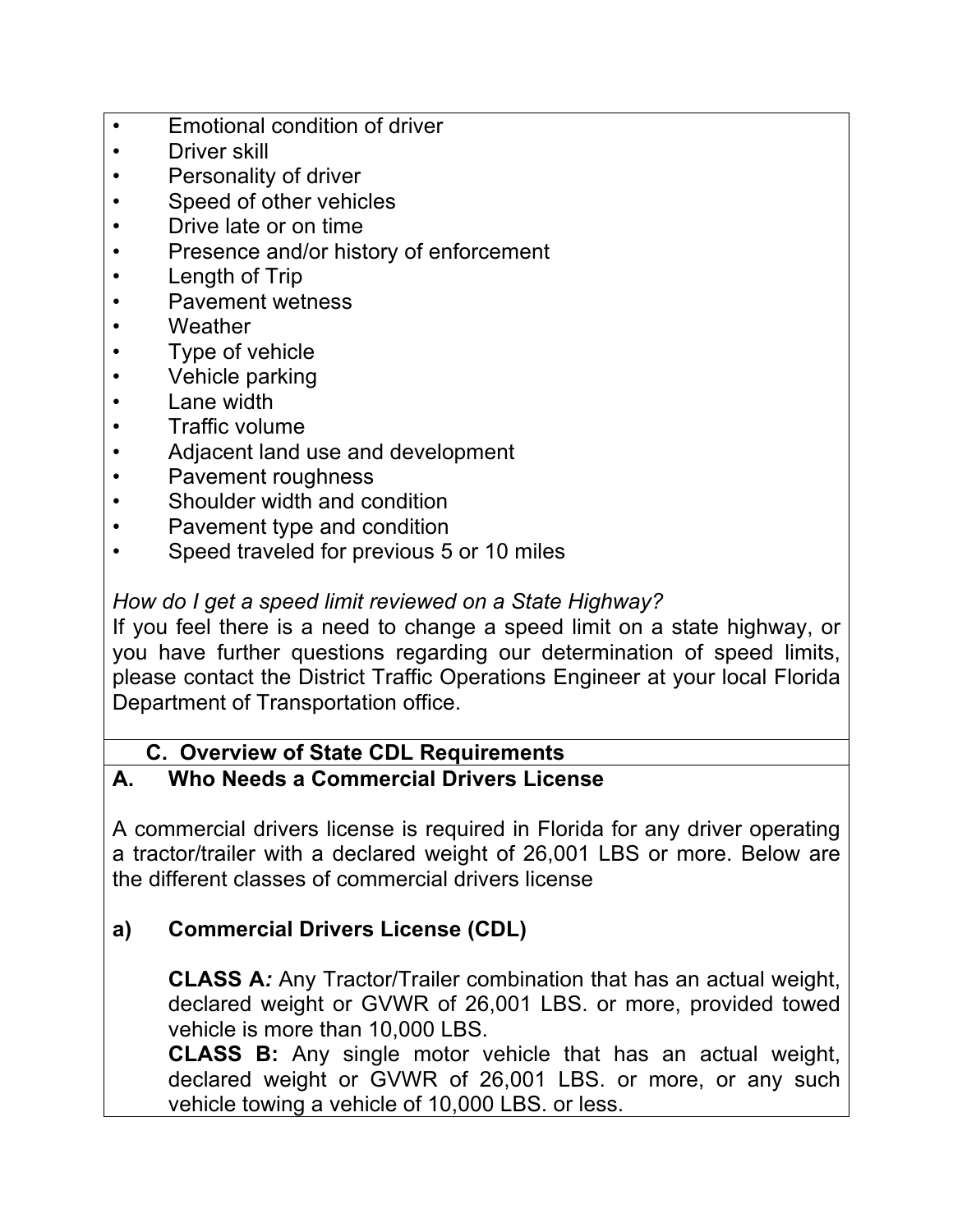- Emotional condition of driver
- Driver skill
- Personality of driver
- Speed of other vehicles
- Drive late or on time
- Presence and/or history of enforcement
- Length of Trip
- Pavement wetness
- Weather
- Type of vehicle
- Vehicle parking
- Lane width
- Traffic volume
- Adjacent land use and development
- Pavement roughness
- Shoulder width and condition
- Pavement type and condition
- Speed traveled for previous 5 or 10 miles

# *How do I get a speed limit reviewed on a State Highway?*

If you feel there is a need to change a speed limit on a state highway, or you have further questions regarding our determination of speed limits, please contact the District Traffic Operations Engineer at your local Florida Department of Transportation office.

# **C. Overview of State CDL Requirements**

# **A. Who Needs a Commercial Drivers License**

A commercial drivers license is required in Florida for any driver operating a tractor/trailer with a declared weight of 26,001 LBS or more. Below are the different classes of commercial drivers license

# **a) Commercial Drivers License (CDL)**

**CLASS A***:* Any Tractor/Trailer combination that has an actual weight, declared weight or GVWR of 26,001 LBS. or more, provided towed vehicle is more than 10,000 LBS.

**CLASS B:** Any single motor vehicle that has an actual weight, declared weight or GVWR of 26,001 LBS. or more, or any such vehicle towing a vehicle of 10,000 LBS. or less.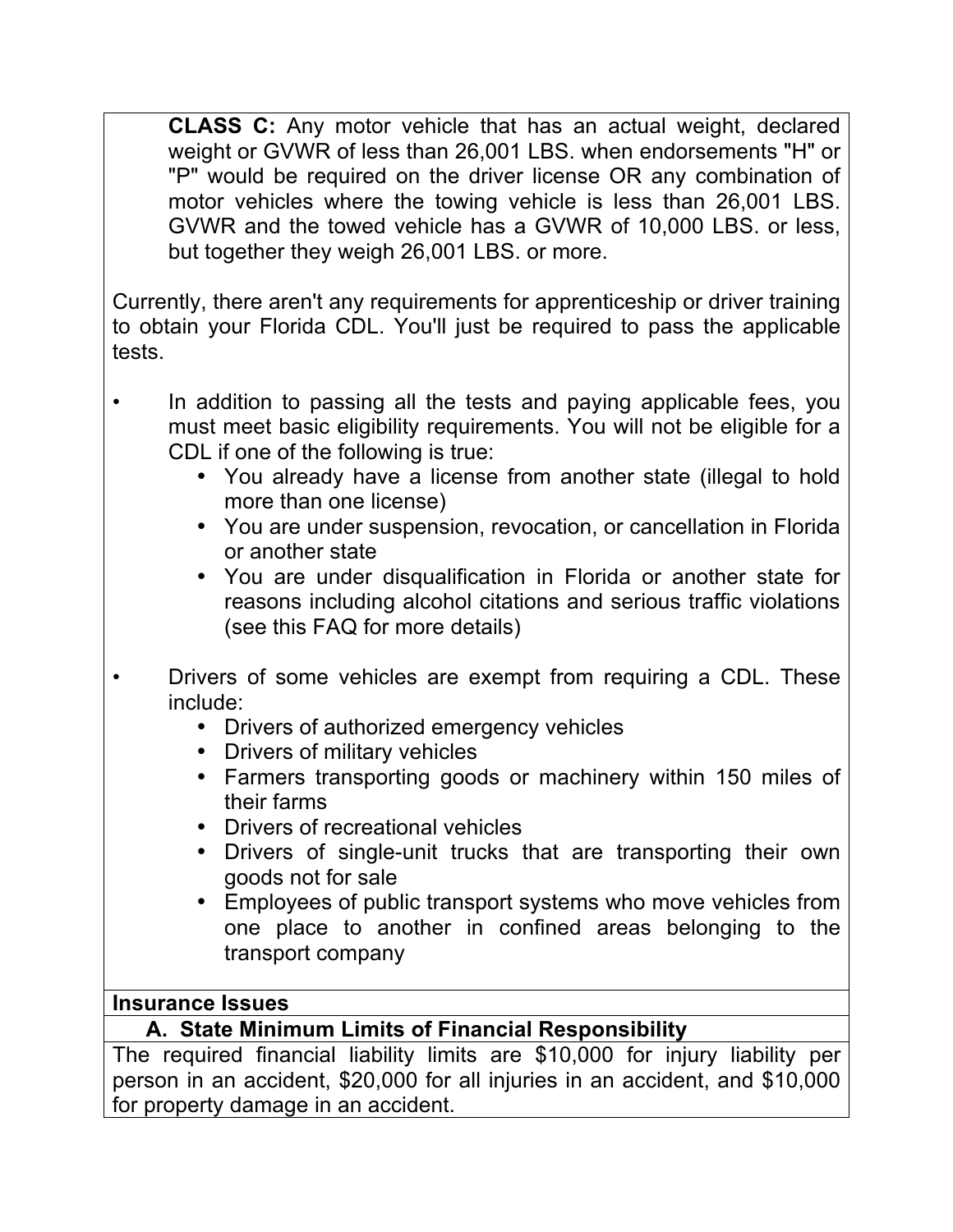**CLASS C:** Any motor vehicle that has an actual weight, declared weight or GVWR of less than 26,001 LBS. when endorsements "H" or "P" would be required on the driver license OR any combination of motor vehicles where the towing vehicle is less than 26,001 LBS. GVWR and the towed vehicle has a GVWR of 10,000 LBS. or less, but together they weigh 26,001 LBS. or more.

Currently, there aren't any requirements for apprenticeship or driver training to obtain your Florida CDL. You'll just be required to pass the applicable tests.

- In addition to passing all the tests and paying applicable fees, you must meet basic eligibility requirements. You will not be eligible for a CDL if one of the following is true:
	- You already have a license from another state (illegal to hold more than one license)
	- You are under suspension, revocation, or cancellation in Florida or another state
	- You are under disqualification in Florida or another state for reasons including alcohol citations and serious traffic violations (see this FAQ for more details)
- Drivers of some vehicles are exempt from requiring a CDL. These include:
	- Drivers of authorized emergency vehicles
	- Drivers of military vehicles
	- Farmers transporting goods or machinery within 150 miles of their farms
	- Drivers of recreational vehicles
	- Drivers of single-unit trucks that are transporting their own goods not for sale
	- Employees of public transport systems who move vehicles from one place to another in confined areas belonging to the transport company

#### **Insurance Issues**

# **A. State Minimum Limits of Financial Responsibility**

The required financial liability limits are \$10,000 for injury liability per person in an accident, \$20,000 for all injuries in an accident, and \$10,000 for property damage in an accident.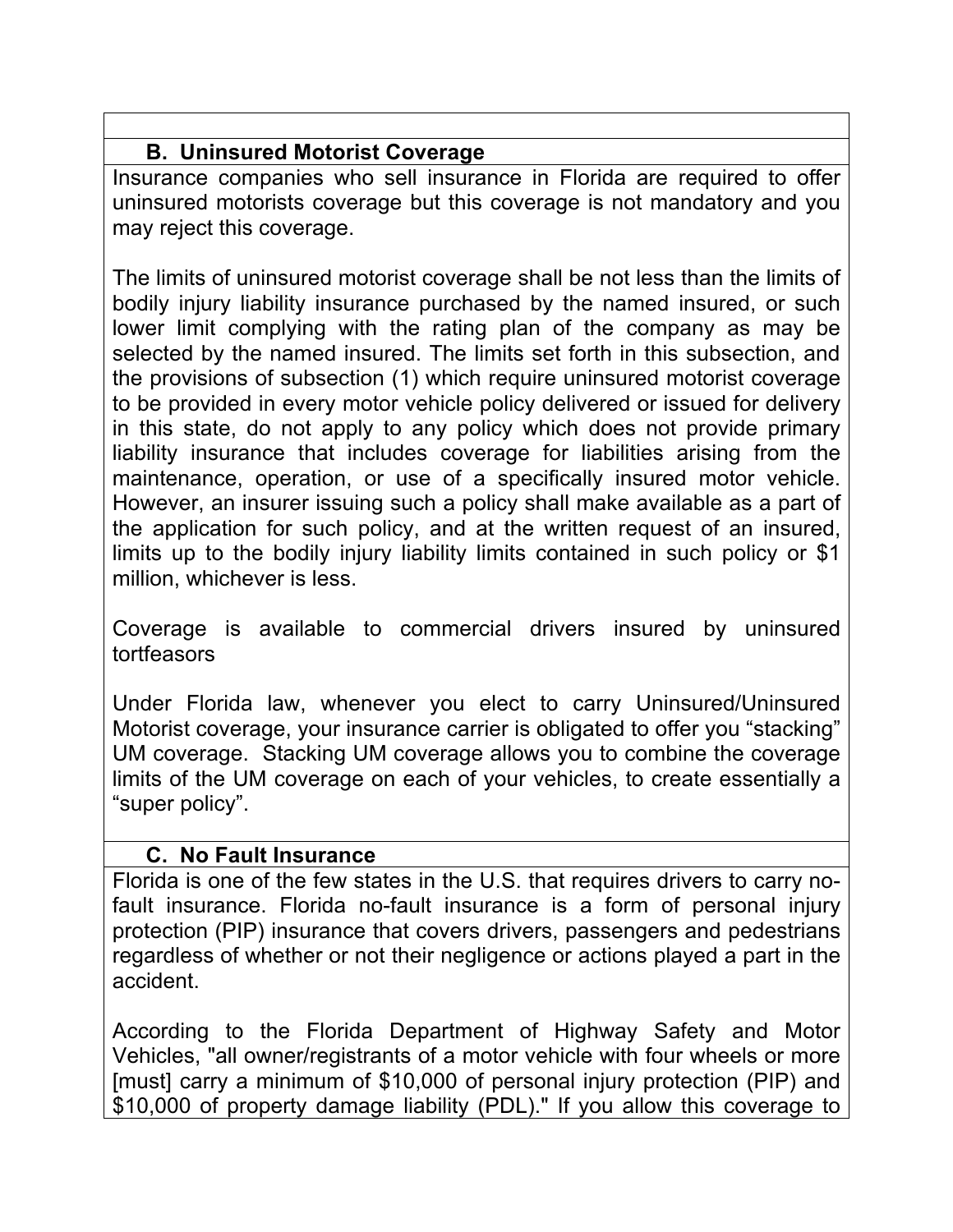# **B. Uninsured Motorist Coverage**

Insurance companies who sell insurance in Florida are required to offer uninsured motorists coverage but this coverage is not mandatory and you may reject this coverage.

The limits of uninsured motorist coverage shall be not less than the limits of bodily injury liability insurance purchased by the named insured, or such lower limit complying with the rating plan of the company as may be selected by the named insured. The limits set forth in this subsection, and the provisions of subsection (1) which require uninsured motorist coverage to be provided in every motor vehicle policy delivered or issued for delivery in this state, do not apply to any policy which does not provide primary liability insurance that includes coverage for liabilities arising from the maintenance, operation, or use of a specifically insured motor vehicle. However, an insurer issuing such a policy shall make available as a part of the application for such policy, and at the written request of an insured, limits up to the bodily injury liability limits contained in such policy or \$1 million, whichever is less.

Coverage is available to commercial drivers insured by uninsured tortfeasors

Under Florida law, whenever you elect to carry Uninsured/Uninsured Motorist coverage, your insurance carrier is obligated to offer you "stacking" UM coverage. Stacking UM coverage allows you to combine the coverage limits of the UM coverage on each of your vehicles, to create essentially a "super policy".

# **C. No Fault Insurance**

Florida is one of the few states in the U.S. that requires drivers to carry nofault insurance. Florida no-fault insurance is a form of personal injury protection (PIP) insurance that covers drivers, passengers and pedestrians regardless of whether or not their negligence or actions played a part in the accident.

According to the Florida Department of Highway Safety and Motor Vehicles, "all owner/registrants of a motor vehicle with four wheels or more [must] carry a minimum of \$10,000 of personal injury protection (PIP) and \$10,000 of property damage liability (PDL)." If you allow this coverage to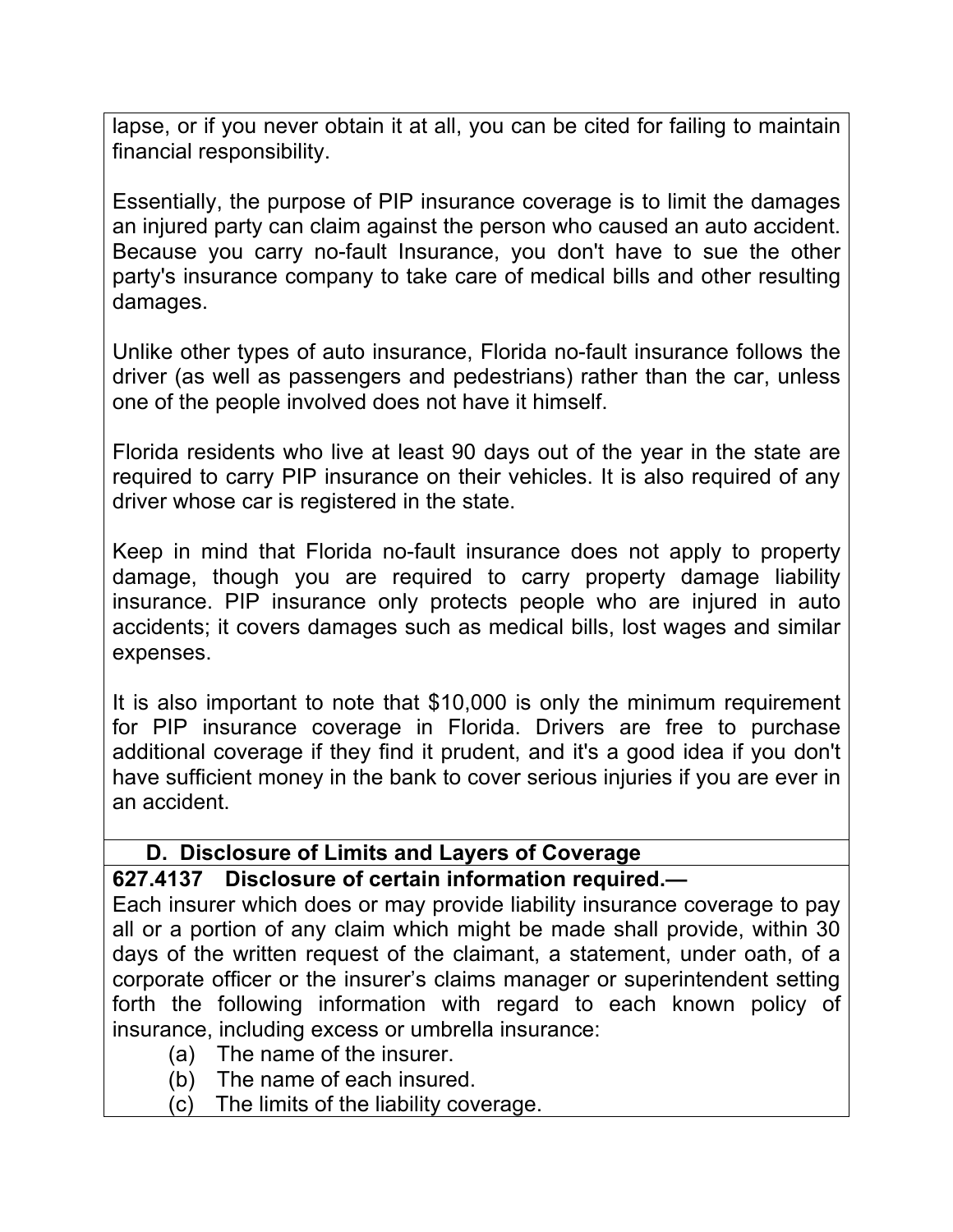lapse, or if you never obtain it at all, you can be cited for failing to maintain financial responsibility.

Essentially, the purpose of PIP insurance coverage is to limit the damages an injured party can claim against the person who caused an auto accident. Because you carry no-fault Insurance, you don't have to sue the other party's insurance company to take care of medical bills and other resulting damages.

Unlike other types of auto insurance, Florida no-fault insurance follows the driver (as well as passengers and pedestrians) rather than the car, unless one of the people involved does not have it himself.

Florida residents who live at least 90 days out of the year in the state are required to carry PIP insurance on their vehicles. It is also required of any driver whose car is registered in the state.

Keep in mind that Florida no-fault insurance does not apply to property damage, though you are required to carry property damage liability insurance. PIP insurance only protects people who are injured in auto accidents; it covers damages such as medical bills, lost wages and similar expenses.

It is also important to note that \$10,000 is only the minimum requirement for PIP insurance coverage in Florida. Drivers are free to purchase additional coverage if they find it prudent, and it's a good idea if you don't have sufficient money in the bank to cover serious injuries if you are ever in an accident.

# **D. Disclosure of Limits and Layers of Coverage**

#### **627.4137 Disclosure of certain information required.—**

Each insurer which does or may provide liability insurance coverage to pay all or a portion of any claim which might be made shall provide, within 30 days of the written request of the claimant, a statement, under oath, of a corporate officer or the insurer's claims manager or superintendent setting forth the following information with regard to each known policy of insurance, including excess or umbrella insurance:

- (a) The name of the insurer.
- (b) The name of each insured.
- (c) The limits of the liability coverage.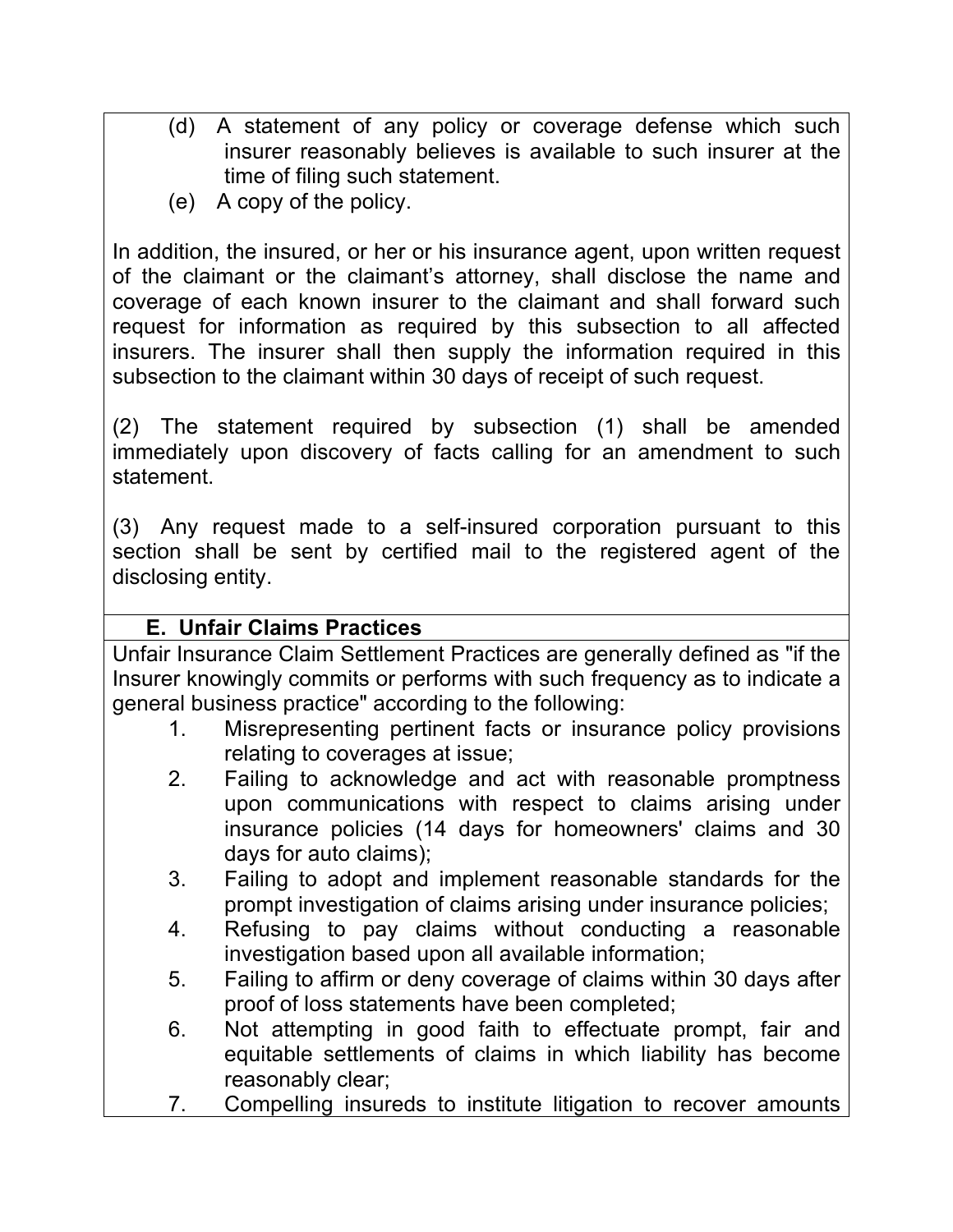- (d) A statement of any policy or coverage defense which such insurer reasonably believes is available to such insurer at the time of filing such statement.
- (e) A copy of the policy.

In addition, the insured, or her or his insurance agent, upon written request of the claimant or the claimant's attorney, shall disclose the name and coverage of each known insurer to the claimant and shall forward such request for information as required by this subsection to all affected insurers. The insurer shall then supply the information required in this subsection to the claimant within 30 days of receipt of such request.

(2) The statement required by subsection (1) shall be amended immediately upon discovery of facts calling for an amendment to such statement.

(3) Any request made to a self-insured corporation pursuant to this section shall be sent by certified mail to the registered agent of the disclosing entity.

# **E. Unfair Claims Practices**

Unfair Insurance Claim Settlement Practices are generally defined as "if the Insurer knowingly commits or performs with such frequency as to indicate a general business practice" according to the following:

- 1. Misrepresenting pertinent facts or insurance policy provisions relating to coverages at issue;
- 2. Failing to acknowledge and act with reasonable promptness upon communications with respect to claims arising under insurance policies (14 days for homeowners' claims and 30 days for auto claims);
- 3. Failing to adopt and implement reasonable standards for the prompt investigation of claims arising under insurance policies;
- 4. Refusing to pay claims without conducting a reasonable investigation based upon all available information;
- 5. Failing to affirm or deny coverage of claims within 30 days after proof of loss statements have been completed;
- 6. Not attempting in good faith to effectuate prompt, fair and equitable settlements of claims in which liability has become reasonably clear;
- 7. Compelling insureds to institute litigation to recover amounts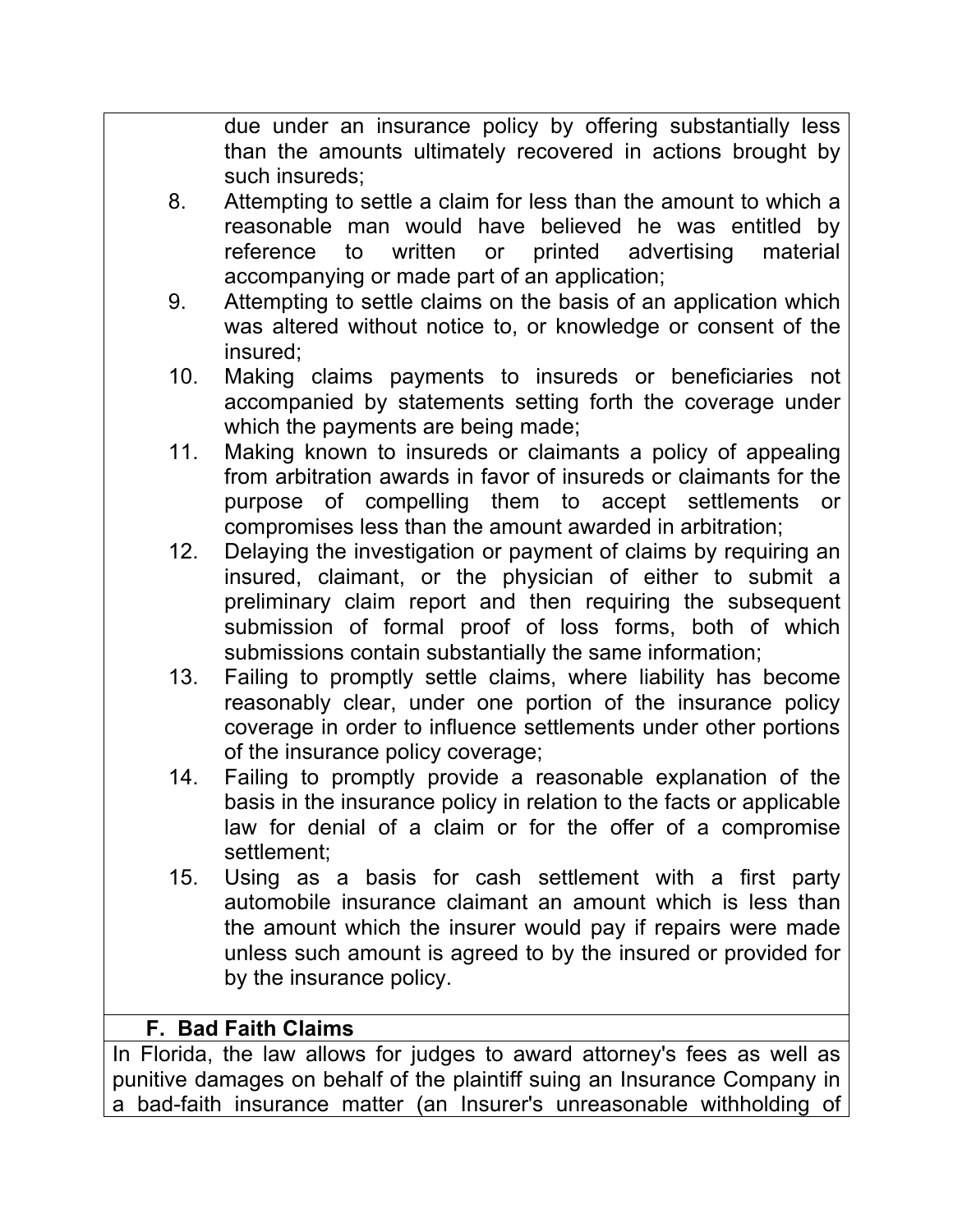due under an insurance policy by offering substantially less than the amounts ultimately recovered in actions brought by such insureds;

- 8. Attempting to settle a claim for less than the amount to which a reasonable man would have believed he was entitled by reference to written or printed advertising material accompanying or made part of an application;
- 9. Attempting to settle claims on the basis of an application which was altered without notice to, or knowledge or consent of the insured;
- 10. Making claims payments to insureds or beneficiaries not accompanied by statements setting forth the coverage under which the payments are being made;
- 11. Making known to insureds or claimants a policy of appealing from arbitration awards in favor of insureds or claimants for the purpose of compelling them to accept settlements or compromises less than the amount awarded in arbitration;
- 12. Delaying the investigation or payment of claims by requiring an insured, claimant, or the physician of either to submit a preliminary claim report and then requiring the subsequent submission of formal proof of loss forms, both of which submissions contain substantially the same information;
- 13. Failing to promptly settle claims, where liability has become reasonably clear, under one portion of the insurance policy coverage in order to influence settlements under other portions of the insurance policy coverage;
- 14. Failing to promptly provide a reasonable explanation of the basis in the insurance policy in relation to the facts or applicable law for denial of a claim or for the offer of a compromise settlement;
- 15. Using as a basis for cash settlement with a first party automobile insurance claimant an amount which is less than the amount which the insurer would pay if repairs were made unless such amount is agreed to by the insured or provided for by the insurance policy.

#### **F. Bad Faith Claims**

In Florida, the law allows for judges to award attorney's fees as well as punitive damages on behalf of the plaintiff suing an Insurance Company in a bad-faith insurance matter (an Insurer's unreasonable withholding of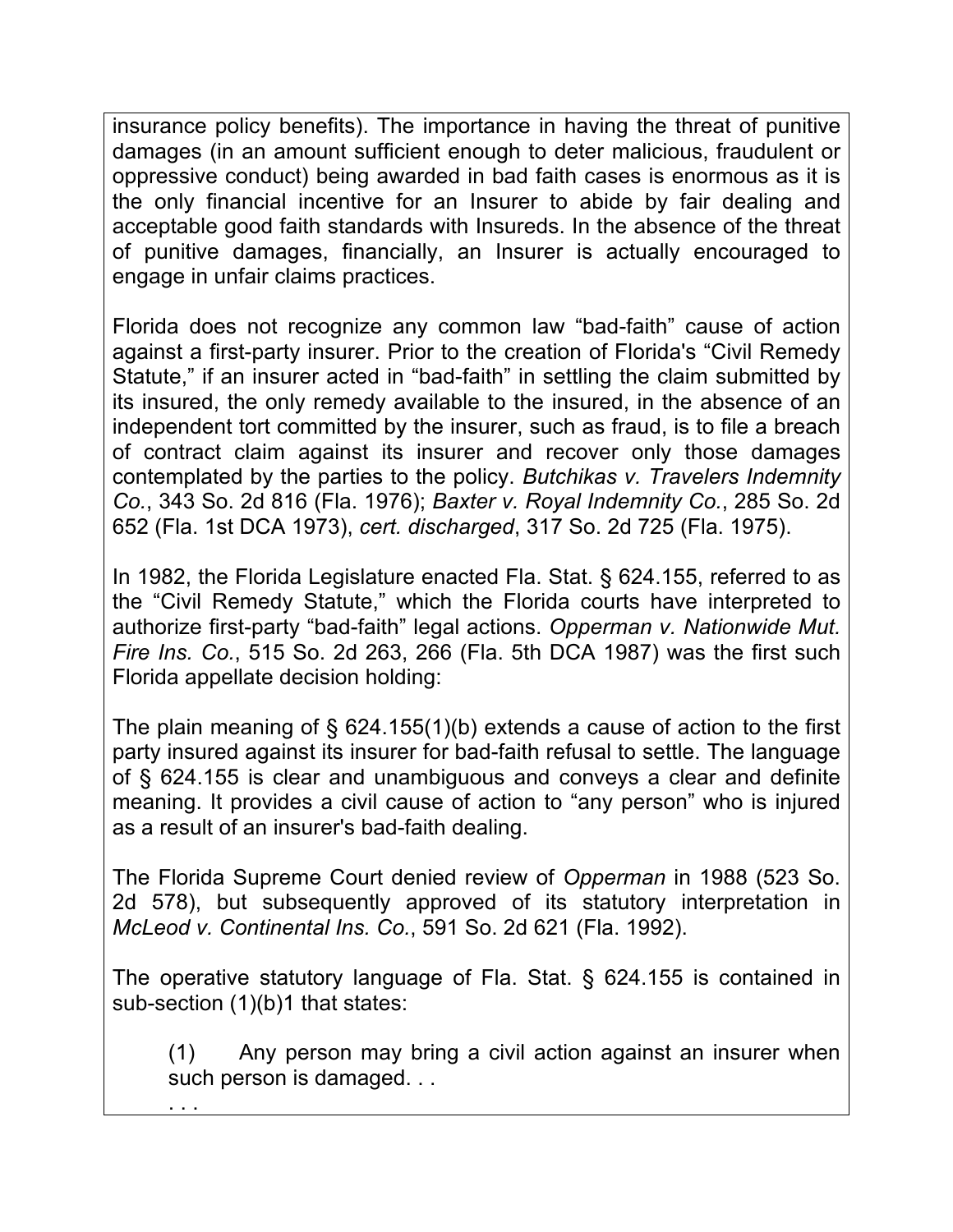insurance policy benefits). The importance in having the threat of punitive damages (in an amount sufficient enough to deter malicious, fraudulent or oppressive conduct) being awarded in bad faith cases is enormous as it is the only financial incentive for an Insurer to abide by fair dealing and acceptable good faith standards with Insureds. In the absence of the threat of punitive damages, financially, an Insurer is actually encouraged to engage in unfair claims practices.

Florida does not recognize any common law "bad-faith" cause of action against a first-party insurer. Prior to the creation of Florida's "Civil Remedy Statute," if an insurer acted in "bad-faith" in settling the claim submitted by its insured, the only remedy available to the insured, in the absence of an independent tort committed by the insurer, such as fraud, is to file a breach of contract claim against its insurer and recover only those damages contemplated by the parties to the policy. *Butchikas v. Travelers Indemnity Co.*, 343 So. 2d 816 (Fla. 1976); *Baxter v. Royal Indemnity Co.*, 285 So. 2d 652 (Fla. 1st DCA 1973), *cert. discharged*, 317 So. 2d 725 (Fla. 1975).

In 1982, the Florida Legislature enacted Fla. Stat. § 624.155, referred to as the "Civil Remedy Statute," which the Florida courts have interpreted to authorize first-party "bad-faith" legal actions. *Opperman v. Nationwide Mut. Fire Ins. Co.*, 515 So. 2d 263, 266 (Fla. 5th DCA 1987) was the first such Florida appellate decision holding:

The plain meaning of § 624.155(1)(b) extends a cause of action to the first party insured against its insurer for bad-faith refusal to settle. The language of § 624.155 is clear and unambiguous and conveys a clear and definite meaning. It provides a civil cause of action to "any person" who is injured as a result of an insurer's bad-faith dealing.

The Florida Supreme Court denied review of *Opperman* in 1988 (523 So. 2d 578), but subsequently approved of its statutory interpretation in *McLeod v. Continental Ins. Co.*, 591 So. 2d 621 (Fla. 1992).

The operative statutory language of Fla. Stat. § 624.155 is contained in sub-section (1)(b)1 that states:

. . .

(1) Any person may bring a civil action against an insurer when such person is damaged. . .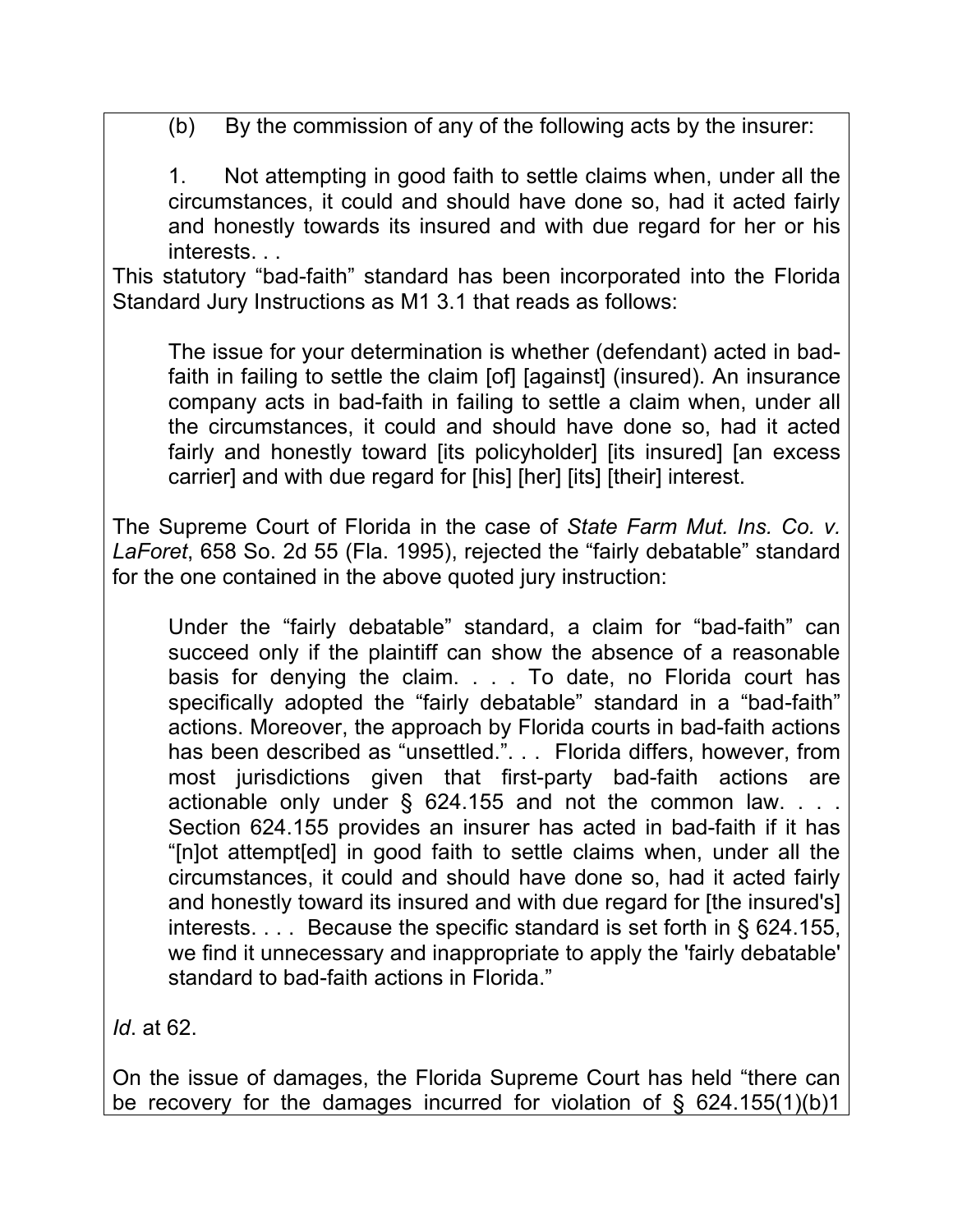(b) By the commission of any of the following acts by the insurer:

1. Not attempting in good faith to settle claims when, under all the circumstances, it could and should have done so, had it acted fairly and honestly towards its insured and with due regard for her or his interests. . .

This statutory "bad-faith" standard has been incorporated into the Florida Standard Jury Instructions as M1 3.1 that reads as follows:

The issue for your determination is whether (defendant) acted in badfaith in failing to settle the claim [of] [against] (insured). An insurance company acts in bad-faith in failing to settle a claim when, under all the circumstances, it could and should have done so, had it acted fairly and honestly toward [its policyholder] [its insured] [an excess carrier] and with due regard for [his] [her] [its] [their] interest.

The Supreme Court of Florida in the case of *State Farm Mut. Ins. Co. v. LaForet*, 658 So. 2d 55 (Fla. 1995), rejected the "fairly debatable" standard for the one contained in the above quoted jury instruction:

Under the "fairly debatable" standard, a claim for "bad-faith" can succeed only if the plaintiff can show the absence of a reasonable basis for denying the claim. . . . To date, no Florida court has specifically adopted the "fairly debatable" standard in a "bad-faith" actions. Moreover, the approach by Florida courts in bad-faith actions has been described as "unsettled.". . . Florida differs, however, from most jurisdictions given that first-party bad-faith actions are actionable only under § 624.155 and not the common law. . . . Section 624.155 provides an insurer has acted in bad-faith if it has "[n]ot attempt[ed] in good faith to settle claims when, under all the circumstances, it could and should have done so, had it acted fairly and honestly toward its insured and with due regard for [the insured's] interests. . . . Because the specific standard is set forth in § 624.155, we find it unnecessary and inappropriate to apply the 'fairly debatable' standard to bad-faith actions in Florida."

*Id*. at 62.

On the issue of damages, the Florida Supreme Court has held "there can be recovery for the damages incurred for violation of  $\S$  624.155(1)(b)1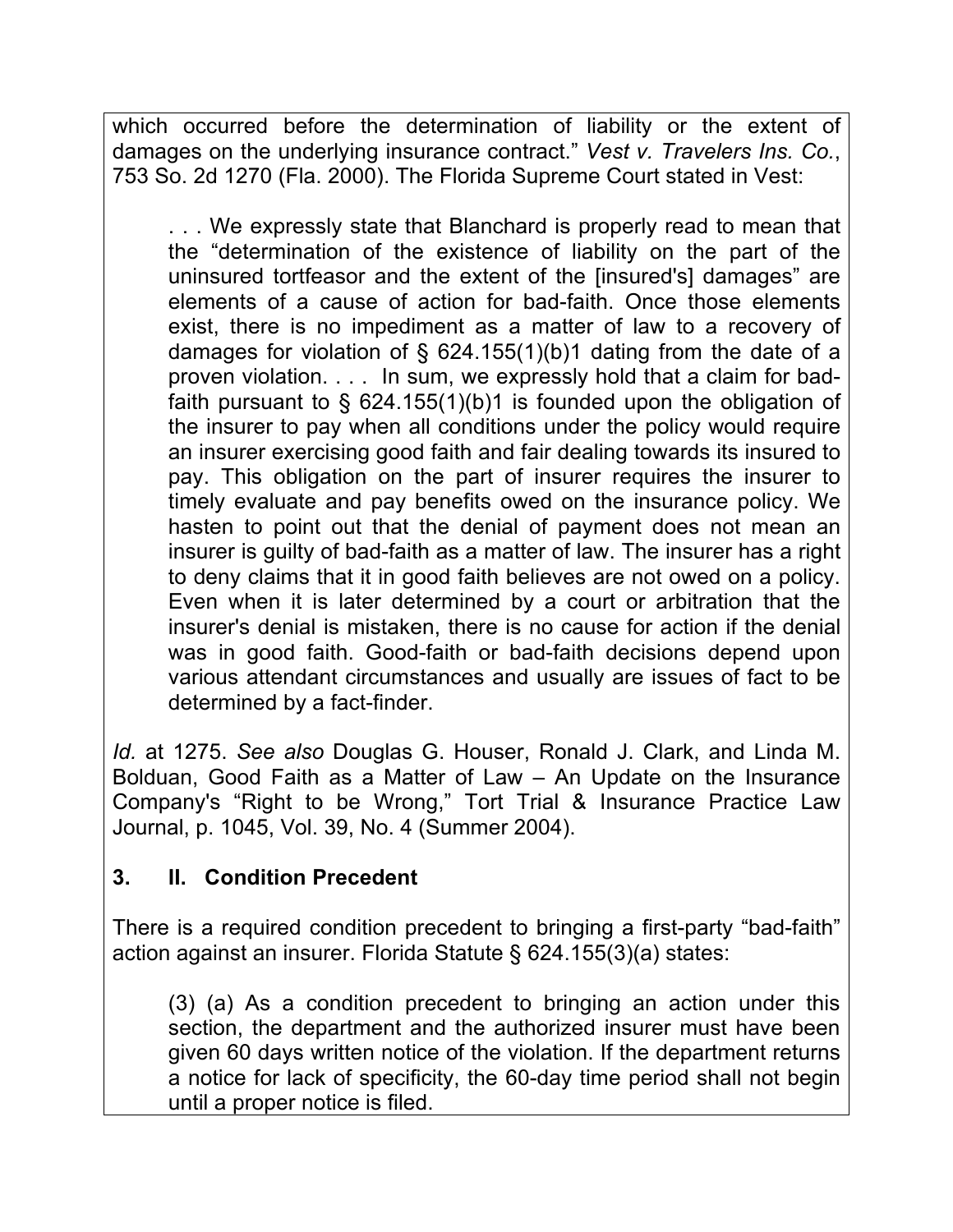which occurred before the determination of liability or the extent of damages on the underlying insurance contract." *Vest v. Travelers Ins. Co.*, 753 So. 2d 1270 (Fla. 2000). The Florida Supreme Court stated in Vest:

. . . We expressly state that Blanchard is properly read to mean that the "determination of the existence of liability on the part of the uninsured tortfeasor and the extent of the [insured's] damages" are elements of a cause of action for bad-faith. Once those elements exist, there is no impediment as a matter of law to a recovery of damages for violation of § 624.155(1)(b)1 dating from the date of a proven violation. . . . In sum, we expressly hold that a claim for badfaith pursuant to  $\S$  624.155(1)(b)1 is founded upon the obligation of the insurer to pay when all conditions under the policy would require an insurer exercising good faith and fair dealing towards its insured to pay. This obligation on the part of insurer requires the insurer to timely evaluate and pay benefits owed on the insurance policy. We hasten to point out that the denial of payment does not mean an insurer is guilty of bad-faith as a matter of law. The insurer has a right to deny claims that it in good faith believes are not owed on a policy. Even when it is later determined by a court or arbitration that the insurer's denial is mistaken, there is no cause for action if the denial was in good faith. Good-faith or bad-faith decisions depend upon various attendant circumstances and usually are issues of fact to be determined by a fact-finder.

*Id.* at 1275. *See also* Douglas G. Houser, Ronald J. Clark, and Linda M. Bolduan, Good Faith as a Matter of Law – An Update on the Insurance Company's "Right to be Wrong," Tort Trial & Insurance Practice Law Journal, p. 1045, Vol. 39, No. 4 (Summer 2004).

# **3. II. Condition Precedent**

There is a required condition precedent to bringing a first-party "bad-faith" action against an insurer. Florida Statute § 624.155(3)(a) states:

(3) (a) As a condition precedent to bringing an action under this section, the department and the authorized insurer must have been given 60 days written notice of the violation. If the department returns a notice for lack of specificity, the 60-day time period shall not begin until a proper notice is filed.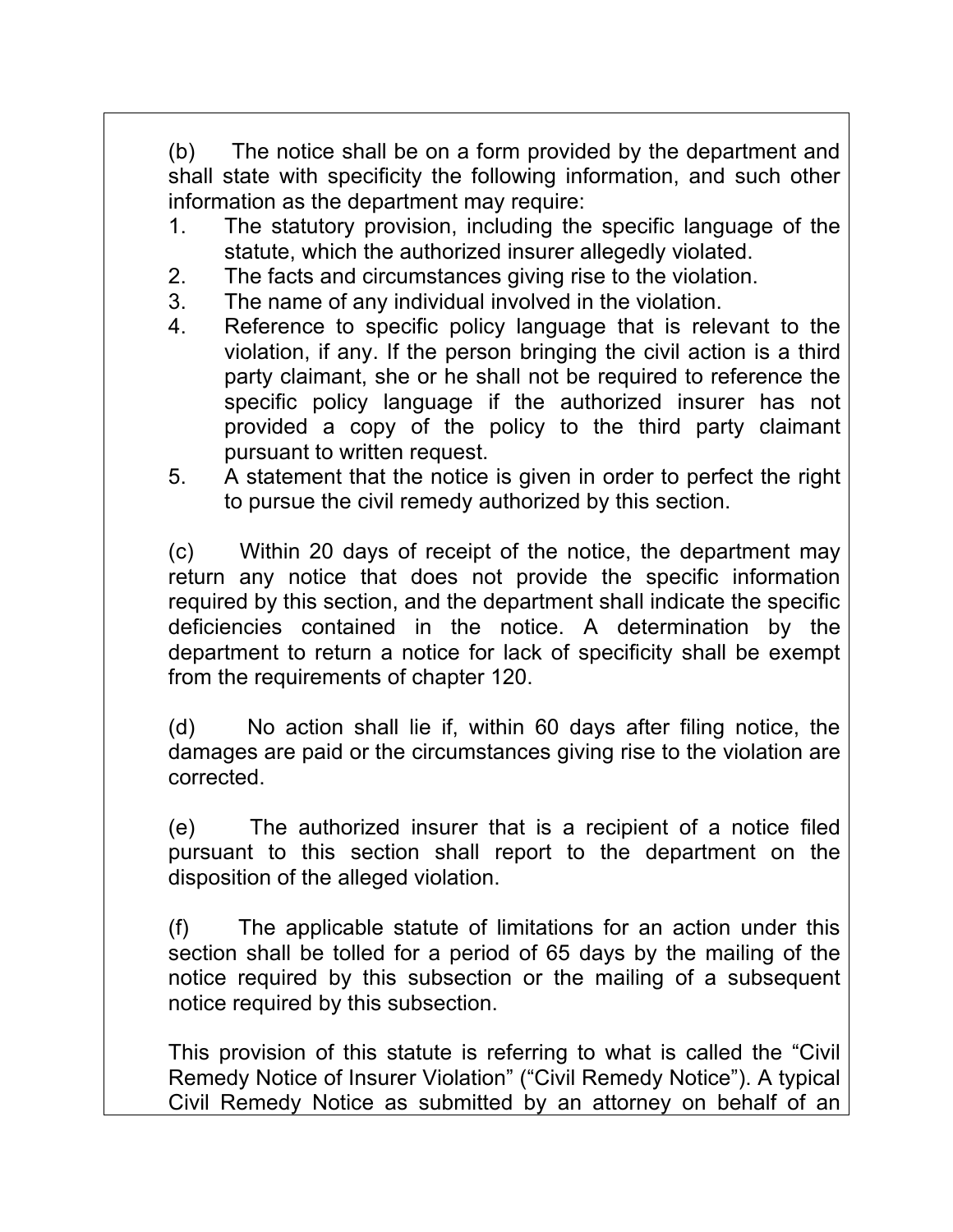(b) The notice shall be on a form provided by the department and shall state with specificity the following information, and such other information as the department may require:

- 1. The statutory provision, including the specific language of the statute, which the authorized insurer allegedly violated.
- 2. The facts and circumstances giving rise to the violation.
- 3. The name of any individual involved in the violation.
- 4. Reference to specific policy language that is relevant to the violation, if any. If the person bringing the civil action is a third party claimant, she or he shall not be required to reference the specific policy language if the authorized insurer has not provided a copy of the policy to the third party claimant pursuant to written request.
- 5. A statement that the notice is given in order to perfect the right to pursue the civil remedy authorized by this section.

(c) Within 20 days of receipt of the notice, the department may return any notice that does not provide the specific information required by this section, and the department shall indicate the specific deficiencies contained in the notice. A determination by the department to return a notice for lack of specificity shall be exempt from the requirements of chapter 120.

(d) No action shall lie if, within 60 days after filing notice, the damages are paid or the circumstances giving rise to the violation are corrected.

(e) The authorized insurer that is a recipient of a notice filed pursuant to this section shall report to the department on the disposition of the alleged violation.

(f) The applicable statute of limitations for an action under this section shall be tolled for a period of 65 days by the mailing of the notice required by this subsection or the mailing of a subsequent notice required by this subsection.

This provision of this statute is referring to what is called the "Civil Remedy Notice of Insurer Violation" ("Civil Remedy Notice"). A typical Civil Remedy Notice as submitted by an attorney on behalf of an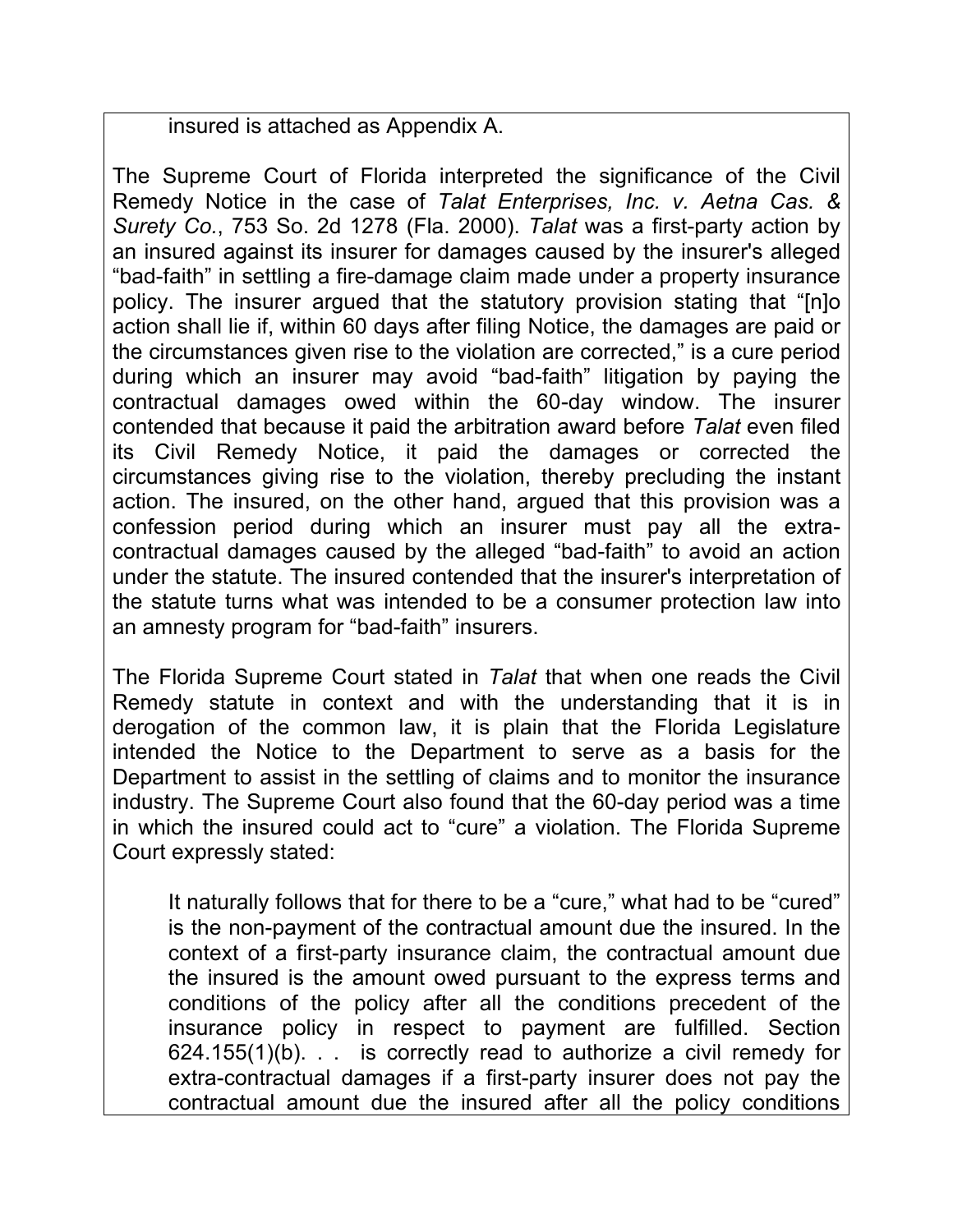insured is attached as Appendix A.

The Supreme Court of Florida interpreted the significance of the Civil Remedy Notice in the case of *Talat Enterprises, Inc. v. Aetna Cas. & Surety Co.*, 753 So. 2d 1278 (Fla. 2000). *Talat* was a first-party action by an insured against its insurer for damages caused by the insurer's alleged "bad-faith" in settling a fire-damage claim made under a property insurance policy. The insurer argued that the statutory provision stating that "[n]o action shall lie if, within 60 days after filing Notice, the damages are paid or the circumstances given rise to the violation are corrected," is a cure period during which an insurer may avoid "bad-faith" litigation by paying the contractual damages owed within the 60-day window. The insurer contended that because it paid the arbitration award before *Talat* even filed its Civil Remedy Notice, it paid the damages or corrected the circumstances giving rise to the violation, thereby precluding the instant action. The insured, on the other hand, argued that this provision was a confession period during which an insurer must pay all the extracontractual damages caused by the alleged "bad-faith" to avoid an action under the statute. The insured contended that the insurer's interpretation of the statute turns what was intended to be a consumer protection law into an amnesty program for "bad-faith" insurers.

The Florida Supreme Court stated in *Talat* that when one reads the Civil Remedy statute in context and with the understanding that it is in derogation of the common law, it is plain that the Florida Legislature intended the Notice to the Department to serve as a basis for the Department to assist in the settling of claims and to monitor the insurance industry. The Supreme Court also found that the 60-day period was a time in which the insured could act to "cure" a violation. The Florida Supreme Court expressly stated:

It naturally follows that for there to be a "cure," what had to be "cured" is the non-payment of the contractual amount due the insured. In the context of a first-party insurance claim, the contractual amount due the insured is the amount owed pursuant to the express terms and conditions of the policy after all the conditions precedent of the insurance policy in respect to payment are fulfilled. Section  $624.155(1)(b)$ ... is correctly read to authorize a civil remedy for extra-contractual damages if a first-party insurer does not pay the contractual amount due the insured after all the policy conditions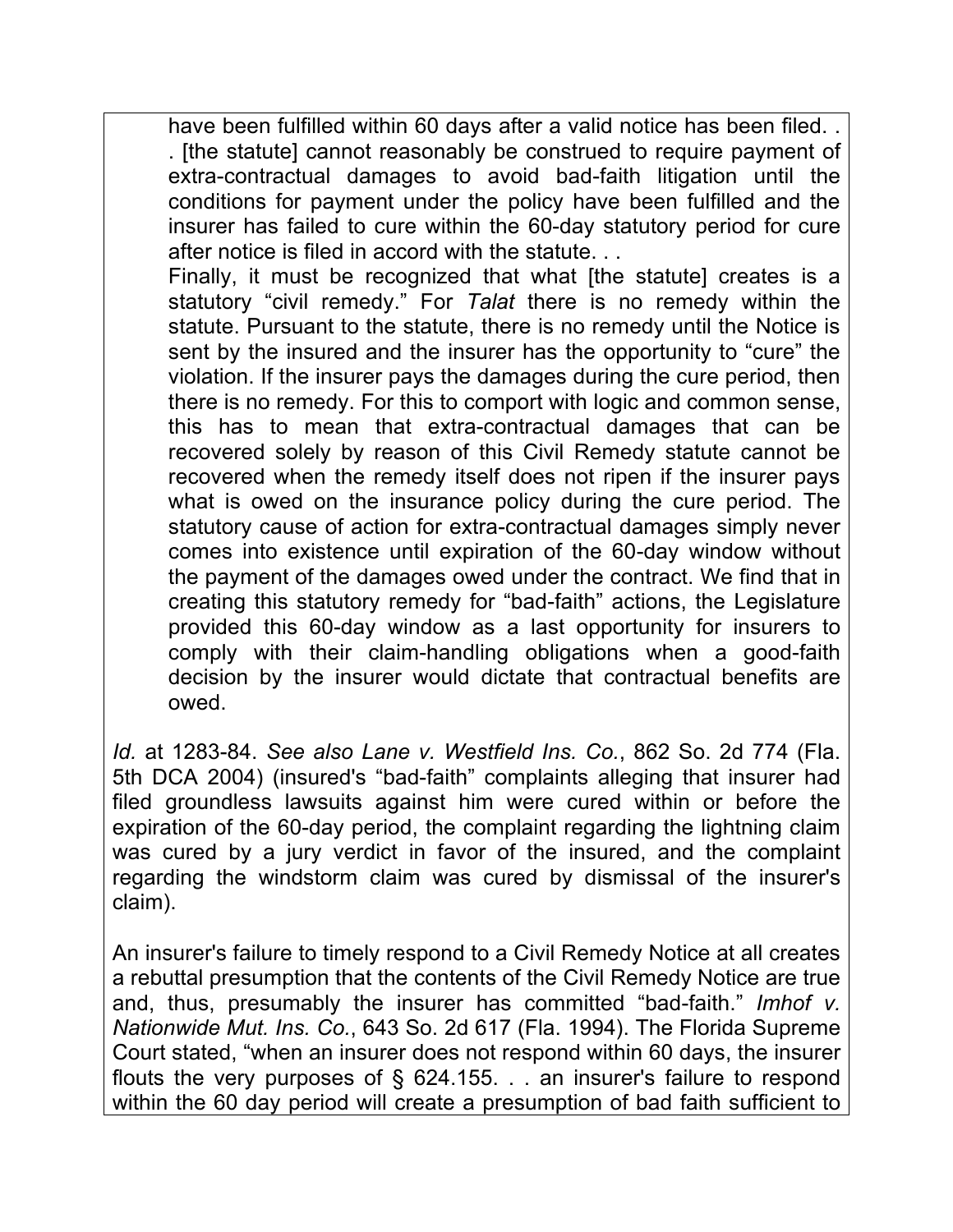have been fulfilled within 60 days after a valid notice has been filed. . [the statute] cannot reasonably be construed to require payment of extra-contractual damages to avoid bad-faith litigation until the conditions for payment under the policy have been fulfilled and the insurer has failed to cure within the 60-day statutory period for cure after notice is filed in accord with the statute. . .

Finally, it must be recognized that what [the statute] creates is a statutory "civil remedy." For *Talat* there is no remedy within the statute. Pursuant to the statute, there is no remedy until the Notice is sent by the insured and the insurer has the opportunity to "cure" the violation. If the insurer pays the damages during the cure period, then there is no remedy. For this to comport with logic and common sense, this has to mean that extra-contractual damages that can be recovered solely by reason of this Civil Remedy statute cannot be recovered when the remedy itself does not ripen if the insurer pays what is owed on the insurance policy during the cure period. The statutory cause of action for extra-contractual damages simply never comes into existence until expiration of the 60-day window without the payment of the damages owed under the contract. We find that in creating this statutory remedy for "bad-faith" actions, the Legislature provided this 60-day window as a last opportunity for insurers to comply with their claim-handling obligations when a good-faith decision by the insurer would dictate that contractual benefits are owed.

*Id.* at 1283-84. *See also Lane v. Westfield Ins. Co.*, 862 So. 2d 774 (Fla. 5th DCA 2004) (insured's "bad-faith" complaints alleging that insurer had filed groundless lawsuits against him were cured within or before the expiration of the 60-day period, the complaint regarding the lightning claim was cured by a jury verdict in favor of the insured, and the complaint regarding the windstorm claim was cured by dismissal of the insurer's claim).

An insurer's failure to timely respond to a Civil Remedy Notice at all creates a rebuttal presumption that the contents of the Civil Remedy Notice are true and, thus, presumably the insurer has committed "bad-faith." *Imhof v. Nationwide Mut. Ins. Co.*, 643 So. 2d 617 (Fla. 1994). The Florida Supreme Court stated, "when an insurer does not respond within 60 days, the insurer flouts the very purposes of  $\S$  624.155. . . an insurer's failure to respond within the 60 day period will create a presumption of bad faith sufficient to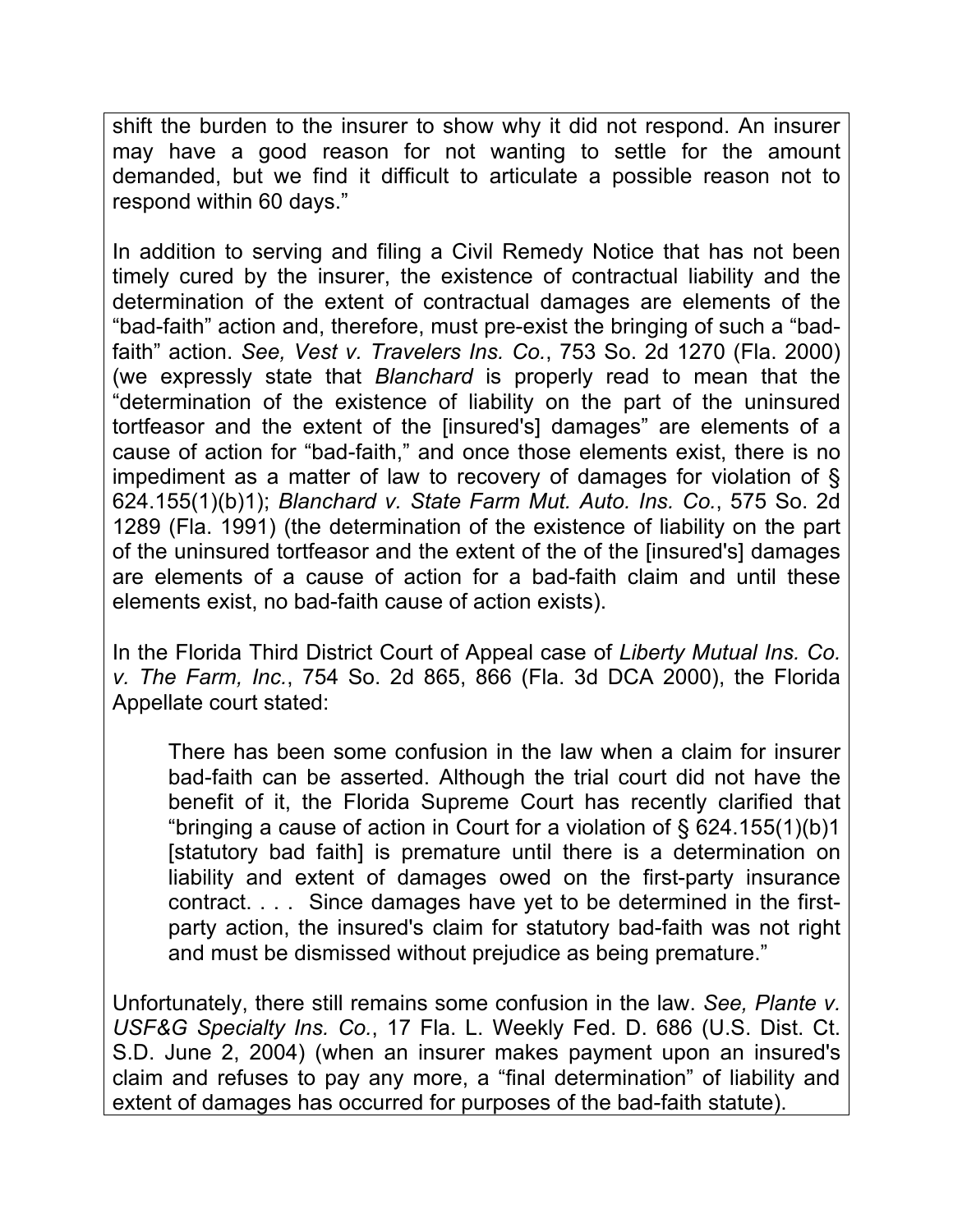shift the burden to the insurer to show why it did not respond. An insurer may have a good reason for not wanting to settle for the amount demanded, but we find it difficult to articulate a possible reason not to respond within 60 days."

In addition to serving and filing a Civil Remedy Notice that has not been timely cured by the insurer, the existence of contractual liability and the determination of the extent of contractual damages are elements of the "bad-faith" action and, therefore, must pre-exist the bringing of such a "badfaith" action. *See, Vest v. Travelers Ins. Co.*, 753 So. 2d 1270 (Fla. 2000) (we expressly state that *Blanchard* is properly read to mean that the "determination of the existence of liability on the part of the uninsured tortfeasor and the extent of the [insured's] damages" are elements of a cause of action for "bad-faith," and once those elements exist, there is no impediment as a matter of law to recovery of damages for violation of § 624.155(1)(b)1); *Blanchard v. State Farm Mut. Auto. Ins. Co.*, 575 So. 2d 1289 (Fla. 1991) (the determination of the existence of liability on the part of the uninsured tortfeasor and the extent of the of the [insured's] damages are elements of a cause of action for a bad-faith claim and until these elements exist, no bad-faith cause of action exists).

In the Florida Third District Court of Appeal case of *Liberty Mutual Ins. Co. v. The Farm, Inc.*, 754 So. 2d 865, 866 (Fla. 3d DCA 2000), the Florida Appellate court stated:

There has been some confusion in the law when a claim for insurer bad-faith can be asserted. Although the trial court did not have the benefit of it, the Florida Supreme Court has recently clarified that "bringing a cause of action in Court for a violation of  $\S$  624.155(1)(b)1 [statutory bad faith] is premature until there is a determination on liability and extent of damages owed on the first-party insurance contract. . . . Since damages have yet to be determined in the firstparty action, the insured's claim for statutory bad-faith was not right and must be dismissed without prejudice as being premature."

Unfortunately, there still remains some confusion in the law. *See, Plante v. USF&G Specialty Ins. Co.*, 17 Fla. L. Weekly Fed. D. 686 (U.S. Dist. Ct. S.D. June 2, 2004) (when an insurer makes payment upon an insured's claim and refuses to pay any more, a "final determination" of liability and extent of damages has occurred for purposes of the bad-faith statute).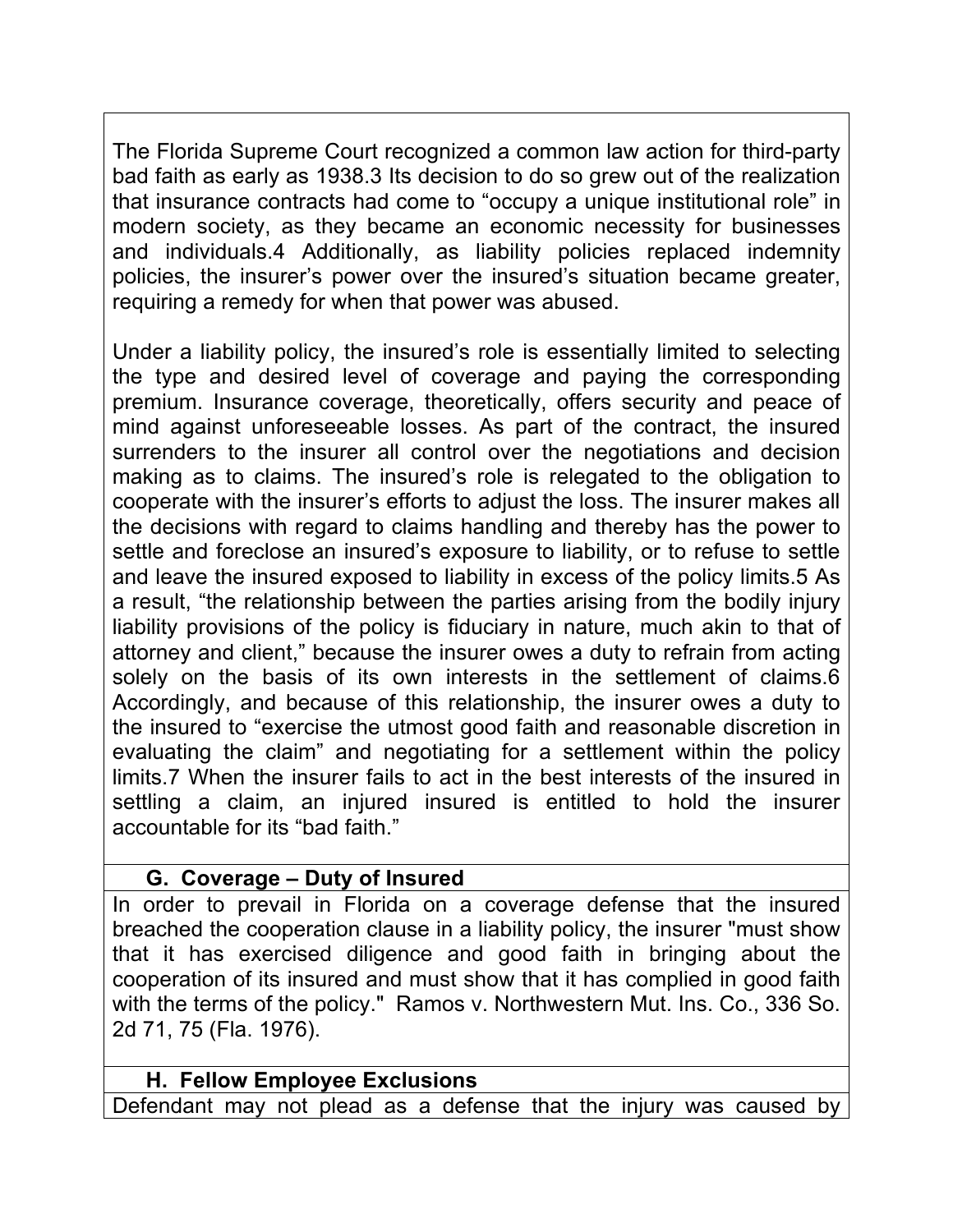The Florida Supreme Court recognized a common law action for third-party bad faith as early as 1938.3 Its decision to do so grew out of the realization that insurance contracts had come to "occupy a unique institutional role" in modern society, as they became an economic necessity for businesses and individuals.4 Additionally, as liability policies replaced indemnity policies, the insurer's power over the insured's situation became greater, requiring a remedy for when that power was abused.

Under a liability policy, the insured's role is essentially limited to selecting the type and desired level of coverage and paying the corresponding premium. Insurance coverage, theoretically, offers security and peace of mind against unforeseeable losses. As part of the contract, the insured surrenders to the insurer all control over the negotiations and decision making as to claims. The insured's role is relegated to the obligation to cooperate with the insurer's efforts to adjust the loss. The insurer makes all the decisions with regard to claims handling and thereby has the power to settle and foreclose an insured's exposure to liability, or to refuse to settle and leave the insured exposed to liability in excess of the policy limits.5 As a result, "the relationship between the parties arising from the bodily injury liability provisions of the policy is fiduciary in nature, much akin to that of attorney and client," because the insurer owes a duty to refrain from acting solely on the basis of its own interests in the settlement of claims.6 Accordingly, and because of this relationship, the insurer owes a duty to the insured to "exercise the utmost good faith and reasonable discretion in evaluating the claim" and negotiating for a settlement within the policy limits.7 When the insurer fails to act in the best interests of the insured in settling a claim, an injured insured is entitled to hold the insurer accountable for its "bad faith."

#### **G. Coverage – Duty of Insured**

In order to prevail in Florida on a coverage defense that the insured breached the cooperation clause in a liability policy, the insurer "must show that it has exercised diligence and good faith in bringing about the cooperation of its insured and must show that it has complied in good faith with the terms of the policy." Ramos v. Northwestern Mut. Ins. Co., 336 So. 2d 71, 75 (Fla. 1976).

#### **H. Fellow Employee Exclusions**

Defendant may not plead as a defense that the injury was caused by